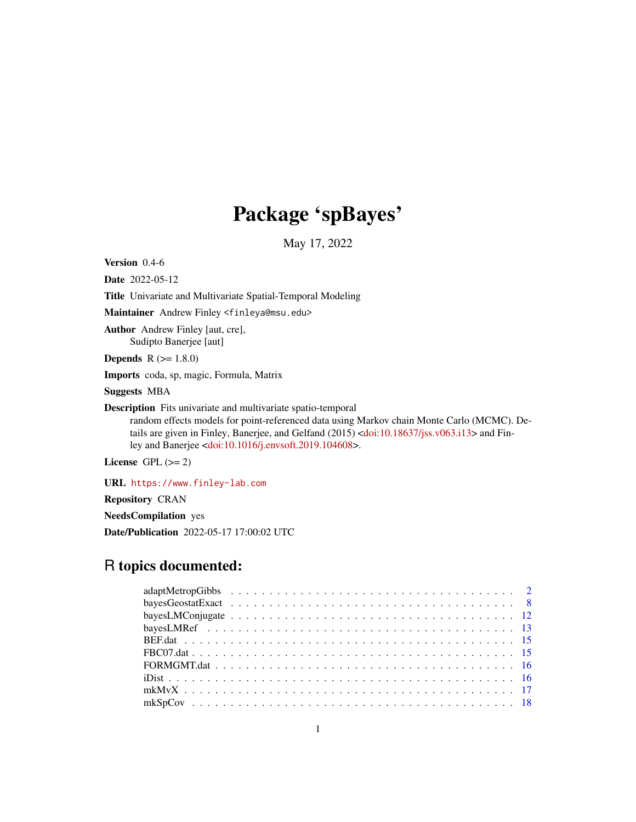# Package 'spBayes'

May 17, 2022

<span id="page-0-0"></span>Version 0.4-6

Date 2022-05-12

Title Univariate and Multivariate Spatial-Temporal Modeling

Maintainer Andrew Finley <finleya@msu.edu>

Author Andrew Finley [aut, cre], Sudipto Banerjee [aut]

**Depends**  $R (= 1.8.0)$ 

Imports coda, sp, magic, Formula, Matrix

Suggests MBA

Description Fits univariate and multivariate spatio-temporal

random effects models for point-referenced data using Markov chain Monte Carlo (MCMC). De-tails are given in Finley, Banerjee, and Gelfand (2015) [<doi:10.18637/jss.v063.i13>](https://doi.org/10.18637/jss.v063.i13) and Finley and Banerjee [<doi:10.1016/j.envsoft.2019.104608>](https://doi.org/10.1016/j.envsoft.2019.104608).

License GPL  $(>= 2)$ 

URL <https://www.finley-lab.com>

Repository CRAN

NeedsCompilation yes

Date/Publication 2022-05-17 17:00:02 UTC

# R topics documented: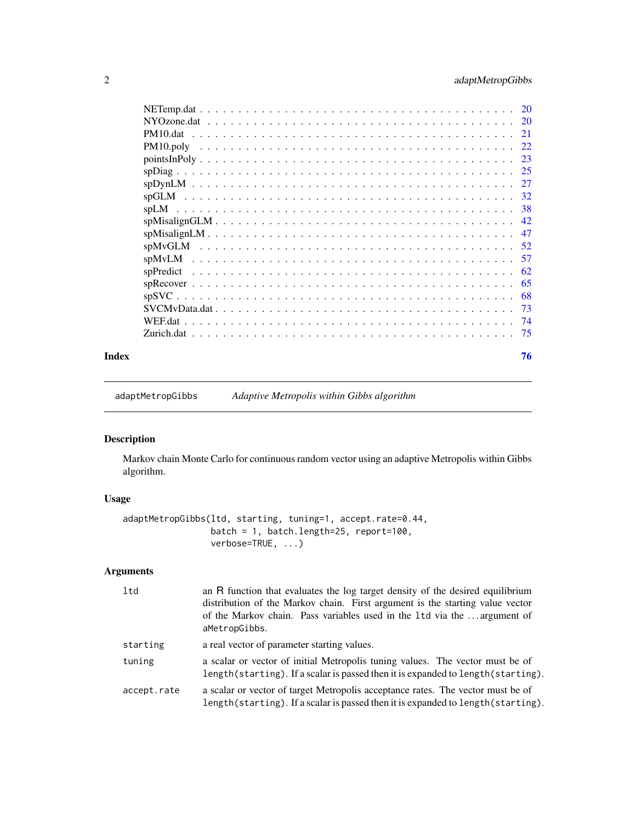# <span id="page-1-0"></span>2 adaptMetropGibbs

| Index | 76 |
|-------|----|

adaptMetropGibbs *Adaptive Metropolis within Gibbs algorithm*

# Description

Markov chain Monte Carlo for continuous random vector using an adaptive Metropolis within Gibbs algorithm.

# Usage

```
adaptMetropGibbs(ltd, starting, tuning=1, accept.rate=0.44,
                batch = 1, batch.length=25, report=100,
                verbose=TRUE, ...)
```
# Arguments

| ltd         | an R function that evaluates the log target density of the desired equilibrium<br>distribution of the Markov chain. First argument is the starting value vector<br>of the Markov chain. Pass variables used in the 1td via the  argument of<br>aMetropGibbs. |
|-------------|--------------------------------------------------------------------------------------------------------------------------------------------------------------------------------------------------------------------------------------------------------------|
| starting    | a real vector of parameter starting values.                                                                                                                                                                                                                  |
| tuning      | a scalar or vector of initial Metropolis tuning values. The vector must be of<br>length (starting). If a scalar is passed then it is expanded to length (starting).                                                                                          |
| accept.rate | a scalar or vector of target Metropolis acceptance rates. The vector must be of<br>length(starting). If a scalar is passed then it is expanded to length(starting).                                                                                          |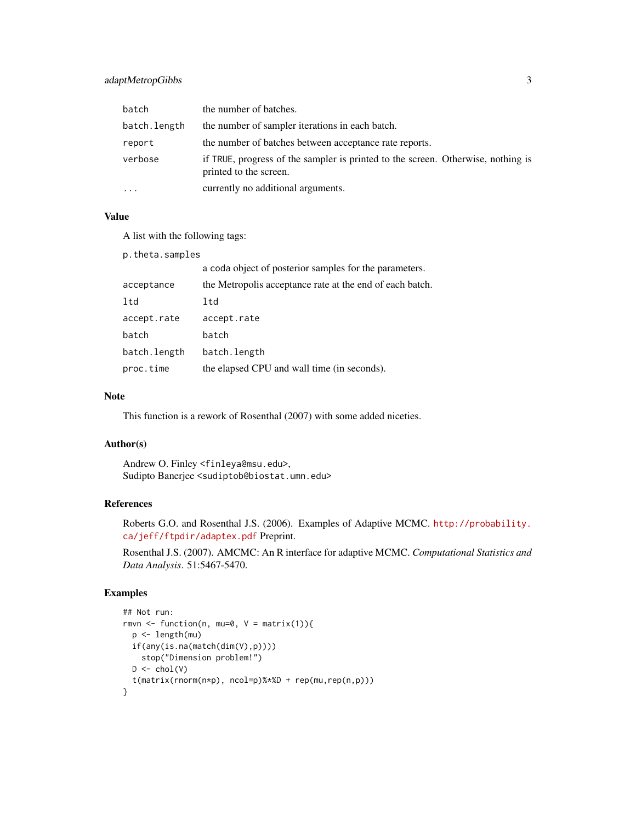# adaptMetropGibbs 3

| batch        | the number of batches.                                                                                     |
|--------------|------------------------------------------------------------------------------------------------------------|
| batch.length | the number of sampler iterations in each batch.                                                            |
| report       | the number of batches between acceptance rate reports.                                                     |
| verbose      | if TRUE, progress of the sampler is printed to the screen. Otherwise, nothing is<br>printed to the screen. |
| .            | currently no additional arguments.                                                                         |

# Value

A list with the following tags:

| a coda object of posterior samples for the parameters.   |
|----------------------------------------------------------|
| the Metropolis acceptance rate at the end of each batch. |
|                                                          |
|                                                          |
|                                                          |
|                                                          |
|                                                          |
|                                                          |

# Note

This function is a rework of Rosenthal (2007) with some added niceties.

# Author(s)

Andrew O. Finley <finleya@msu.edu>, Sudipto Banerjee <sudiptob@biostat.umn.edu>

# References

Roberts G.O. and Rosenthal J.S. (2006). Examples of Adaptive MCMC. [http://probability.](http://probability.ca/jeff/ftpdir/adaptex.pdf) [ca/jeff/ftpdir/adaptex.pdf](http://probability.ca/jeff/ftpdir/adaptex.pdf) Preprint.

Rosenthal J.S. (2007). AMCMC: An R interface for adaptive MCMC. *Computational Statistics and Data Analysis*. 51:5467-5470.

```
## Not run:
rmvn <- function(n, mu=0, V = matrix(1)){
  p <- length(mu)
  if(any(is.na(match(dim(V),p))))
    stop("Dimension problem!")
  D \leftarrow \text{chol}(V)t(matrix(rnorm(n*p), ncol=p)%*%D + rep(mu,rep(n,p)))
}
```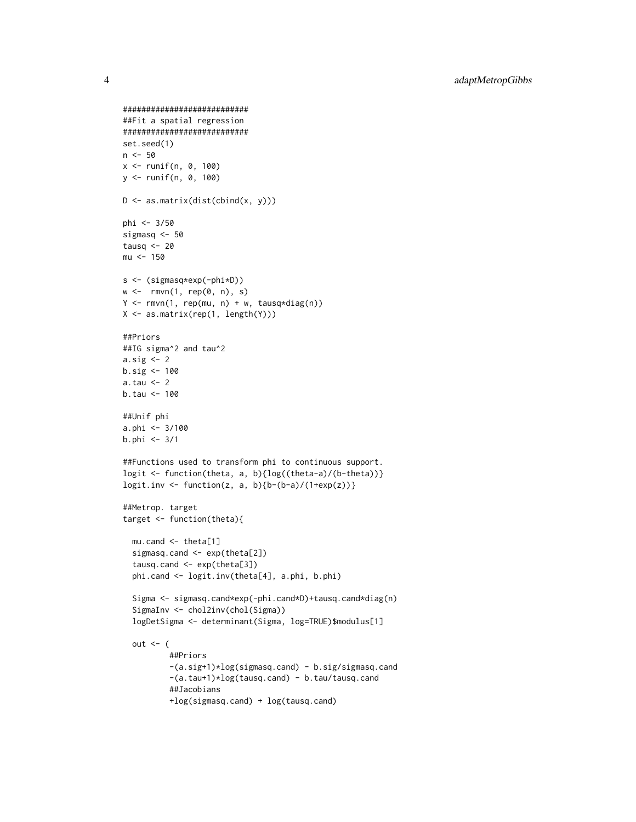```
###########################
##Fit a spatial regression
###########################
set.seed(1)
n <- 50
x <- runif(n, 0, 100)
y <- runif(n, 0, 100)
D <- as.matrix(dist(cbind(x, y)))
phi <- 3/50
sigmasq <- 50
tausq <-20mu < - 150s <- (sigmasq*exp(-phi*D))
w \leftarrow rmvn(1, rep(0, n), s)Y \leq -rmvn(1, rep(mu, n) + w, tausq*diag(n))X <- as.matrix(rep(1, length(Y)))
##Priors
##IG sigma^2 and tau^2
a.sig <- 2
b.size \leftarrow 100a.tau <- 2
b.tau <- 100
##Unif phi
a.phi <- 3/100
b.phi <- 3/1
##Functions used to transform phi to continuous support.
logit <- function(theta, a, b){log((theta-a)/(b-theta))}
logit.inv <- function(z, a, b){b-(b-a)/(1+exp(z))}
##Metrop. target
target <- function(theta){
  mu.cand <- theta[1]
  sigmasq.cand <- exp(theta[2])
  tausq.cand <- exp(theta[3])
  phi.cand <- logit.inv(theta[4], a.phi, b.phi)
  Sigma <- sigmasq.cand*exp(-phi.cand*D)+tausq.cand*diag(n)
  SigmaInv <- chol2inv(chol(Sigma))
  logDetSigma <- determinant(Sigma, log=TRUE)$modulus[1]
  out \leq (
          ##Priors
          -(a.sig+1)*log(sigmasq.cand) - b.sig/sigmasq.cand
          -(a.tau+1)*log(tausq.cand) - b.tau/tausq.cand
          ##Jacobians
          +log(sigmasq.cand) + log(tausq.cand)
```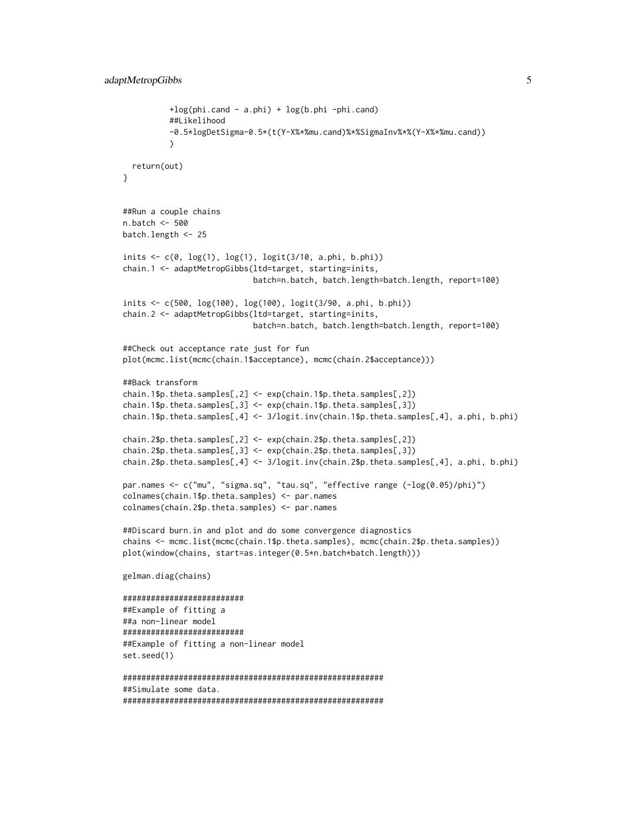```
+log(phi.cand - a.phi) + log(b.phi -phi.cand)
          ##Likelihood
          -0.5*logDetSigma-0.5*(t(Y-X%*%mu.cand)%*%SigmaInv%*%(Y-X%*%mu.cand))
          \lambdareturn(out)
}
##Run a couple chains
n.batch <- 500
batch.length <- 25
inits \leq c(0, \log(1), \log(1), \log(t(3/10, \alpha.\text{phi}, \text{b.phi}))chain.1 <- adaptMetropGibbs(ltd=target, starting=inits,
                            batch=n.batch, batch.length=batch.length, report=100)
inits <- c(500, log(100), log(100), logit(3/90, a.phi, b.phi))
chain.2 <- adaptMetropGibbs(ltd=target, starting=inits,
                            batch=n.batch, batch.length=batch.length, report=100)
##Check out acceptance rate just for fun
plot(mcmc.list(mcmc(chain.1$acceptance), mcmc(chain.2$acceptance)))
##Back transform
chain.1$p.theta.samples[,2] <- exp(chain.1$p.theta.samples[,2])
chain.1$p.theta.samples[,3] <- exp(chain.1$p.theta.samples[,3])
chain.1$p.theta.samples[,4] <- 3/logit.inv(chain.1$p.theta.samples[,4], a.phi, b.phi)
chain.2$p.theta.samples[,2] <- exp(chain.2$p.theta.samples[,2])
chain.2$p.theta.samples[,3] <- exp(chain.2$p.theta.samples[,3])
chain.2$p.theta.samples[,4] <- 3/logit.inv(chain.2$p.theta.samples[,4], a.phi, b.phi)
par.names <- c("mu", "sigma.sq", "tau.sq", "effective range (-log(0.05)/phi)")
colnames(chain.1$p.theta.samples) <- par.names
colnames(chain.2$p.theta.samples) <- par.names
##Discard burn.in and plot and do some convergence diagnostics
chains <- mcmc.list(mcmc(chain.1$p.theta.samples), mcmc(chain.2$p.theta.samples))
plot(window(chains, start=as.integer(0.5*n.batch*batch.length)))
gelman.diag(chains)
##########################
##Example of fitting a
##a non-linear model
##########################
##Example of fitting a non-linear model
set.seed(1)
########################################################
##Simulate some data.
########################################################
```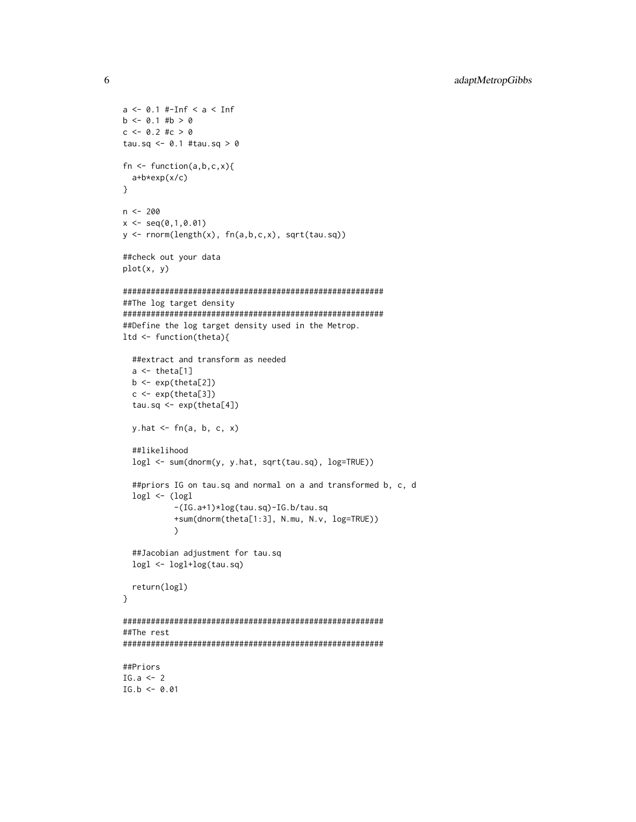```
a <- 0.1 #-Inf < a < Inf
b \le 0.1 #b > 0c \le -0.2 #c > 0tau.sq <- 0.1 #tau.sq > 0fn \leq function(a,b,c,x){
  a+b*exp(x/c)
}
n <- 200
x \leq -\text{seq}(0,1,0.01)y <- rnorm(length(x), fn(a,b,c,x), sqrt(tau.sq))
##check out your data
plot(x, y)
########################################################
##The log target density
########################################################
##Define the log target density used in the Metrop.
ltd <- function(theta){
  ##extract and transform as needed
  a \leftarrow \text{theta}[1]b \leftarrow \exp(\text{theta}[2])c \leq - \exp(\text{theta}[3])tau.sq \leq exp(theta[4])
  y.hat <- fn(a, b, c, x)
  ##likelihood
  logl <- sum(dnorm(y, y.hat, sqrt(tau.sq), log=TRUE))
  ##priors IG on tau.sq and normal on a and transformed b, c, d
  logl <- (logl
           -(IG.a+1)*log(tau.sq)-IG.b/tau.sq
           +sum(dnorm(theta[1:3], N.mu, N.v, log=TRUE))
           \mathcal{L}##Jacobian adjustment for tau.sq
  logl <- logl+log(tau.sq)
  return(logl)
}
########################################################
##The rest
########################################################
##Priors
IG.a \leq 2
IG.b < -0.01
```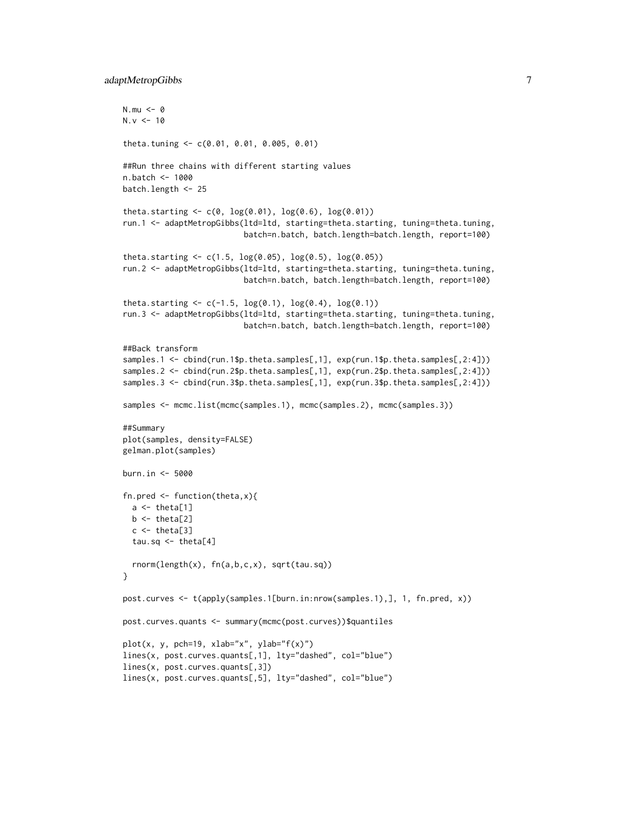# adaptMetropGibbs 7

```
N.mu < -0N.v < -10theta.tuning <- c(0.01, 0.01, 0.005, 0.01)
##Run three chains with different starting values
n.batch <- 1000
batch.length <- 25
theta.starting \leq c(0, \log(0.01), \log(0.6), \log(0.01))run.1 <- adaptMetropGibbs(ltd=ltd, starting=theta.starting, tuning=theta.tuning,
                           batch=n.batch, batch.length=batch.length, report=100)
theta.starting \leq c(1.5, \log(0.05), \log(0.5), \log(0.05))run.2 <- adaptMetropGibbs(ltd=ltd, starting=theta.starting, tuning=theta.tuning,
                          batch=n.batch, batch.length=batch.length, report=100)
theta.starting \leq c(-1.5, \log(0.1), \log(0.4), \log(0.1))run.3 <- adaptMetropGibbs(ltd=ltd, starting=theta.starting, tuning=theta.tuning,
                           batch=n.batch, batch.length=batch.length, report=100)
##Back transform
samples.1 <- cbind(run.1$p.theta.samples[,1], exp(run.1$p.theta.samples[,2:4]))
samples.2 <- cbind(run.2$p.theta.samples[,1], exp(run.2$p.theta.samples[,2:4]))
samples.3 <- cbind(run.3$p.theta.samples[,1], exp(run.3$p.theta.samples[,2:4]))
samples <- mcmc.list(mcmc(samples.1), mcmc(samples.2), mcmc(samples.3))
##Summary
plot(samples, density=FALSE)
gelman.plot(samples)
burn.in <- 5000
fn.pred \leq function(theta, x){
  a \leftarrow \text{theta}[1]b \leq theta[2]
  c \leftarrow \text{theta[3]}tau.sq \leq theta[4]
  rnorm(length(x), fn(a,b,c,x), sqrt(tau.sq))
}
post.curves <- t(apply(samples.1[burn.in:nrow(samples.1),], 1, fn.pred, x))
post.curves.quants <- summary(mcmc(post.curves))$quantiles
plot(x, y, pch=19, xlab="x", ylab="f(x)")
lines(x, post.curves.quants[,1], lty="dashed", col="blue")
lines(x, post.curves.quants[,3])
lines(x, post.curves.quants[,5], lty="dashed", col="blue")
```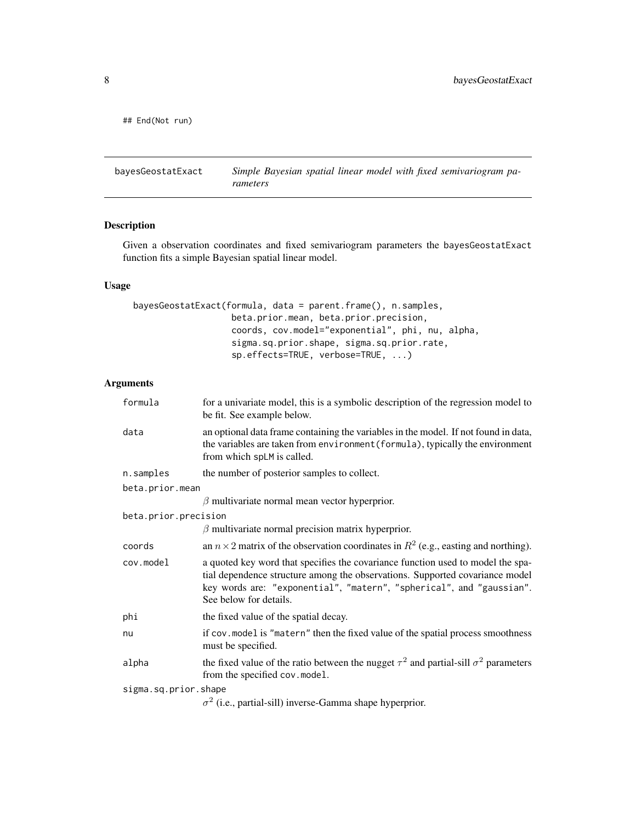<span id="page-7-0"></span>## End(Not run)

bayesGeostatExact *Simple Bayesian spatial linear model with fixed semivariogram parameters*

# Description

Given a observation coordinates and fixed semivariogram parameters the bayesGeostatExact function fits a simple Bayesian spatial linear model.

# Usage

```
bayesGeostatExact(formula, data = parent.frame(), n.samples,
                   beta.prior.mean, beta.prior.precision,
                   coords, cov.model="exponential", phi, nu, alpha,
                   sigma.sq.prior.shape, sigma.sq.prior.rate,
                   sp.effects=TRUE, verbose=TRUE, ...)
```
# Arguments

| formula              | for a univariate model, this is a symbolic description of the regression model to<br>be fit. See example below.                                                                                                                                                   |
|----------------------|-------------------------------------------------------------------------------------------------------------------------------------------------------------------------------------------------------------------------------------------------------------------|
| data                 | an optional data frame containing the variables in the model. If not found in data,<br>the variables are taken from environment (formula), typically the environment<br>from which spLM is called.                                                                |
| n.samples            | the number of posterior samples to collect.                                                                                                                                                                                                                       |
| beta.prior.mean      |                                                                                                                                                                                                                                                                   |
|                      | $\beta$ multivariate normal mean vector hyperprior.                                                                                                                                                                                                               |
| beta.prior.precision |                                                                                                                                                                                                                                                                   |
|                      | $\beta$ multivariate normal precision matrix hyperprior.                                                                                                                                                                                                          |
| coords               | an $n \times 2$ matrix of the observation coordinates in $R^2$ (e.g., easting and northing).                                                                                                                                                                      |
| cov.model            | a quoted key word that specifies the covariance function used to model the spa-<br>tial dependence structure among the observations. Supported covariance model<br>key words are: "exponential", "matern", "spherical", and "gaussian".<br>See below for details. |
| phi                  | the fixed value of the spatial decay.                                                                                                                                                                                                                             |
| nu                   | if cov. model is "matern" then the fixed value of the spatial process smoothness<br>must be specified.                                                                                                                                                            |
| alpha                | the fixed value of the ratio between the nugget $\tau^2$ and partial-sill $\sigma^2$ parameters<br>from the specified cov.model.                                                                                                                                  |
| sigma.sq.prior.shape |                                                                                                                                                                                                                                                                   |
|                      | $\sigma^2$ (i.e., partial-sill) inverse-Gamma shape hyperprior.                                                                                                                                                                                                   |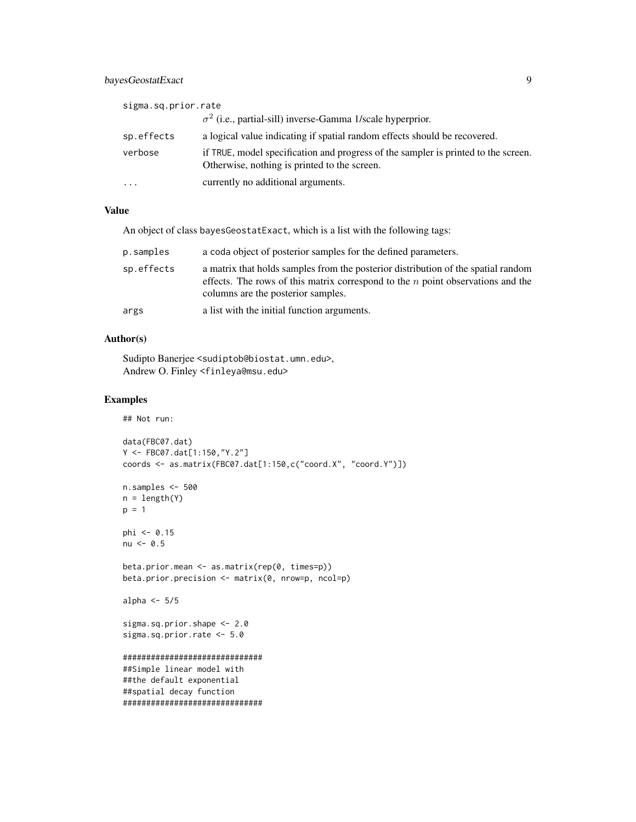# bayesGeostatExact 9

| sigma.sq.prior.rate |                                                                                                                                    |
|---------------------|------------------------------------------------------------------------------------------------------------------------------------|
|                     | $\sigma^2$ (i.e., partial-sill) inverse-Gamma 1/scale hyperprior.                                                                  |
| sp.effects          | a logical value indicating if spatial random effects should be recovered.                                                          |
| verbose             | if TRUE, model specification and progress of the sampler is printed to the screen.<br>Otherwise, nothing is printed to the screen. |
| $\ddotsc$           | currently no additional arguments.                                                                                                 |

# Value

An object of class bayesGeostatExact, which is a list with the following tags:

| p.samples  | a coda object of posterior samples for the defined parameters.                                                                                                                                               |
|------------|--------------------------------------------------------------------------------------------------------------------------------------------------------------------------------------------------------------|
| sp.effects | a matrix that holds samples from the posterior distribution of the spatial random<br>effects. The rows of this matrix correspond to the $n$ point observations and the<br>columns are the posterior samples. |
| args       | a list with the initial function arguments.                                                                                                                                                                  |

#### Author(s)

Sudipto Banerjee <sudiptob@biostat.umn.edu>, Andrew O. Finley <finleya@msu.edu>

```
## Not run:
data(FBC07.dat)
Y <- FBC07.dat[1:150,"Y.2"]
coords <- as.matrix(FBC07.dat[1:150,c("coord.X", "coord.Y")])
n.samples <- 500
n = length(Y)p = 1phi <- 0.15
nu <- 0.5
beta.prior.mean <- as.matrix(rep(0, times=p))
beta.prior.precision <- matrix(0, nrow=p, ncol=p)
alpha <-5/5sigma.sq.prior.shape <- 2.0
sigma.sq.prior.rate <- 5.0
##############################
##Simple linear model with
##the default exponential
##spatial decay function
##############################
```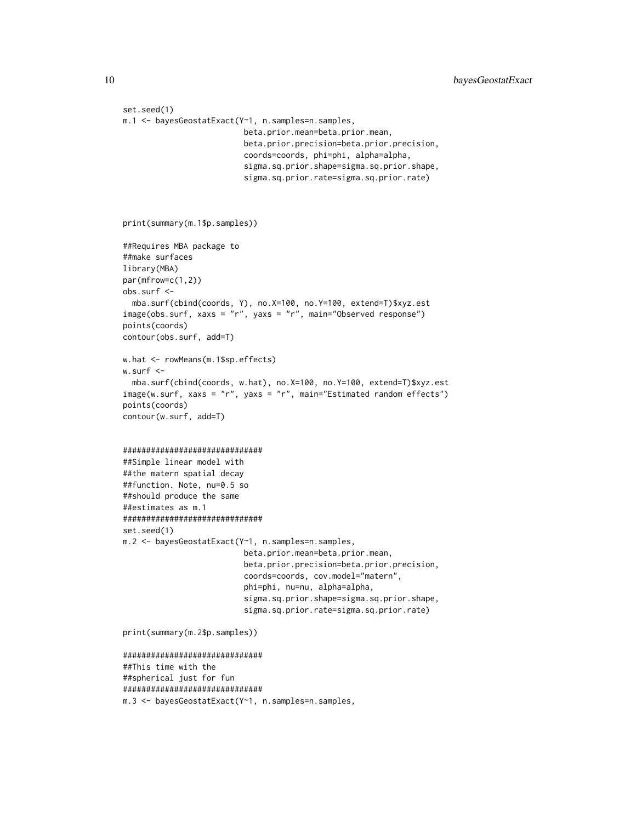```
set.seed(1)
m.1 <- bayesGeostatExact(Y~1, n.samples=n.samples,
                          beta.prior.mean=beta.prior.mean,
                          beta.prior.precision=beta.prior.precision,
                          coords=coords, phi=phi, alpha=alpha,
                          sigma.sq.prior.shape=sigma.sq.prior.shape,
                          sigma.sq.prior.rate=sigma.sq.prior.rate)
print(summary(m.1$p.samples))
##Requires MBA package to
##make surfaces
library(MBA)
par(mfrow=c(1,2))
obs.surf <-
  mba.surf(cbind(coords, Y), no.X=100, no.Y=100, extend=T)$xyz.est
image(obs.surf, xaxs = "r", yaxs = "r", main="Observed response")
points(coords)
contour(obs.surf, add=T)
w.hat <- rowMeans(m.1$sp.effects)
w.surf <-
  mba.surf(cbind(coords, w.hat), no.X=100, no.Y=100, extend=T)$xyz.est
image(w.surf, xaxs = "r", yaxs = "r", main="Estimated random effects")
points(coords)
contour(w.surf, add=T)
##############################
##Simple linear model with
##the matern spatial decay
##function. Note, nu=0.5 so
##should produce the same
##estimates as m.1
##############################
set.seed(1)
m.2 <- bayesGeostatExact(Y~1, n.samples=n.samples,
                          beta.prior.mean=beta.prior.mean,
                          beta.prior.precision=beta.prior.precision,
                          coords=coords, cov.model="matern",
                          phi=phi, nu=nu, alpha=alpha,
                          sigma.sq.prior.shape=sigma.sq.prior.shape,
                          sigma.sq.prior.rate=sigma.sq.prior.rate)
print(summary(m.2$p.samples))
##############################
##This time with the
##spherical just for fun
##############################
m.3 <- bayesGeostatExact(Y~1, n.samples=n.samples,
```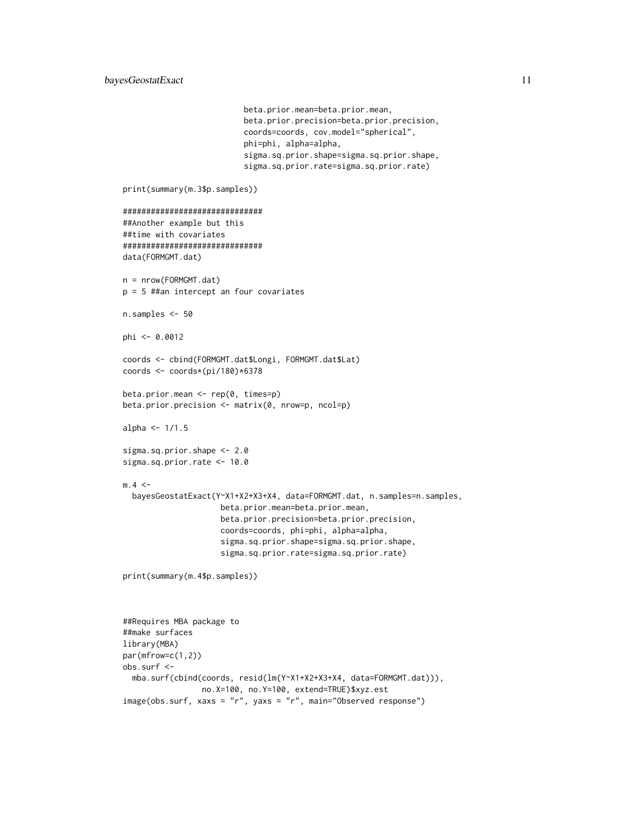```
beta.prior.mean=beta.prior.mean,
                          beta.prior.precision=beta.prior.precision,
                          coords=coords, cov.model="spherical",
                          phi=phi, alpha=alpha,
                          sigma.sq.prior.shape=sigma.sq.prior.shape,
                          sigma.sq.prior.rate=sigma.sq.prior.rate)
print(summary(m.3$p.samples))
##############################
##Another example but this
##time with covariates
##############################
data(FORMGMT.dat)
n = nrow(FORMGMT.dat)
p = 5 ##an intercept an four covariates
n.samples <- 50
phi <- 0.0012
coords <- cbind(FORMGMT.dat$Longi, FORMGMT.dat$Lat)
coords <- coords*(pi/180)*6378
beta.prior.mean <- rep(0, times=p)
beta.prior.precision <- matrix(0, nrow=p, ncol=p)
alpha \leq -1/1.5sigma.sq.prior.shape <- 2.0
sigma.sq.prior.rate <- 10.0
m.4 < -bayesGeostatExact(Y~X1+X2+X3+X4, data=FORMGMT.dat, n.samples=n.samples,
                     beta.prior.mean=beta.prior.mean,
                     beta.prior.precision=beta.prior.precision,
                     coords=coords, phi=phi, alpha=alpha,
                     sigma.sq.prior.shape=sigma.sq.prior.shape,
                     sigma.sq.prior.rate=sigma.sq.prior.rate)
print(summary(m.4$p.samples))
##Requires MBA package to
##make surfaces
library(MBA)
par(mfrow=c(1,2))
obs.surf <-
  mba.surf(cbind(coords, resid(lm(Y~X1+X2+X3+X4, data=FORMGMT.dat))),
                 no.X=100, no.Y=100, extend=TRUE)$xyz.est
```
image(obs.surf, xaxs = "r", yaxs = "r", main="Observed response")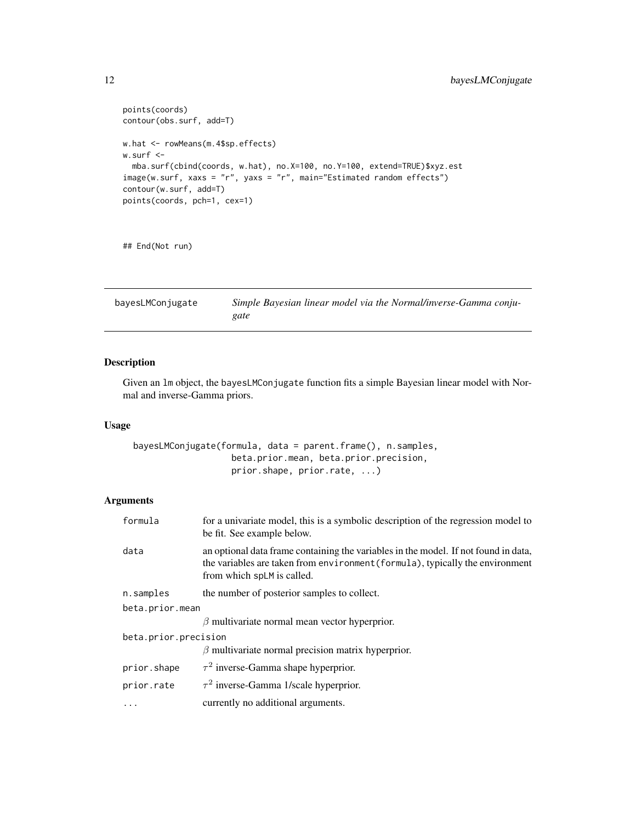```
points(coords)
contour(obs.surf, add=T)
w.hat <- rowMeans(m.4$sp.effects)
w.surf <-
 mba.surf(cbind(coords, w.hat), no.X=100, no.Y=100, extend=TRUE)$xyz.est
image(w.surf, xaxs = "r", yaxs = "r", main="Estimated random effects")
contour(w.surf, add=T)
points(coords, pch=1, cex=1)
```
## End(Not run)

bayesLMConjugate *Simple Bayesian linear model via the Normal/inverse-Gamma conjugate*

# Description

Given an lm object, the bayesLMConjugate function fits a simple Bayesian linear model with Normal and inverse-Gamma priors.

# Usage

bayesLMConjugate(formula, data = parent.frame(), n.samples, beta.prior.mean, beta.prior.precision, prior.shape, prior.rate, ...)

# Arguments

| formula              | for a univariate model, this is a symbolic description of the regression model to<br>be fit. See example below.                                                                                    |
|----------------------|----------------------------------------------------------------------------------------------------------------------------------------------------------------------------------------------------|
| data                 | an optional data frame containing the variables in the model. If not found in data,<br>the variables are taken from environment (formula), typically the environment<br>from which splM is called. |
| n.samples            | the number of posterior samples to collect.                                                                                                                                                        |
| beta.prior.mean      |                                                                                                                                                                                                    |
|                      | $\beta$ multivariate normal mean vector hyperprior.                                                                                                                                                |
| beta.prior.precision |                                                                                                                                                                                                    |
|                      | $\beta$ multivariate normal precision matrix hyperprior.                                                                                                                                           |
| prior.shape          | $\tau^2$ inverse-Gamma shape hyperprior.                                                                                                                                                           |
| prior.rate           | $\tau^2$ inverse-Gamma 1/scale hyperprior.                                                                                                                                                         |
| $\ddots$             | currently no additional arguments.                                                                                                                                                                 |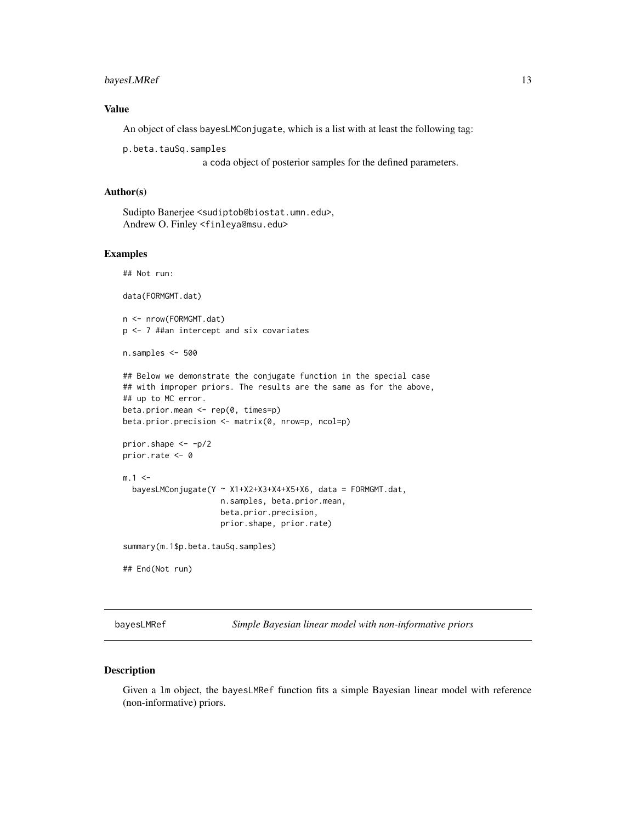# <span id="page-12-0"></span>bayesLMRef 13

# Value

An object of class bayesLMConjugate, which is a list with at least the following tag:

p.beta.tauSq.samples

a coda object of posterior samples for the defined parameters.

#### Author(s)

Sudipto Banerjee <sudiptob@biostat.umn.edu>, Andrew O. Finley <finleya@msu.edu>

#### Examples

## Not run:

data(FORMGMT.dat)

n <- nrow(FORMGMT.dat) p <- 7 ##an intercept and six covariates

```
n.samples <- 500
```

```
## Below we demonstrate the conjugate function in the special case
## with improper priors. The results are the same as for the above,
## up to MC error.
beta.prior.mean <- rep(0, times=p)
```

```
beta.prior.precision <- matrix(0, nrow=p, ncol=p)
```

```
prior.shape <- -p/2
prior.rate <- 0
```

```
m.1 < -bayesLMConjugate(Y ~ X1+X2+X3+X4+X5+X6, data = FORMGMT.dat,
                     n.samples, beta.prior.mean,
                     beta.prior.precision,
                     prior.shape, prior.rate)
```
summary(m.1\$p.beta.tauSq.samples)

## End(Not run)

bayesLMRef *Simple Bayesian linear model with non-informative priors*

# Description

Given a lm object, the bayesLMRef function fits a simple Bayesian linear model with reference (non-informative) priors.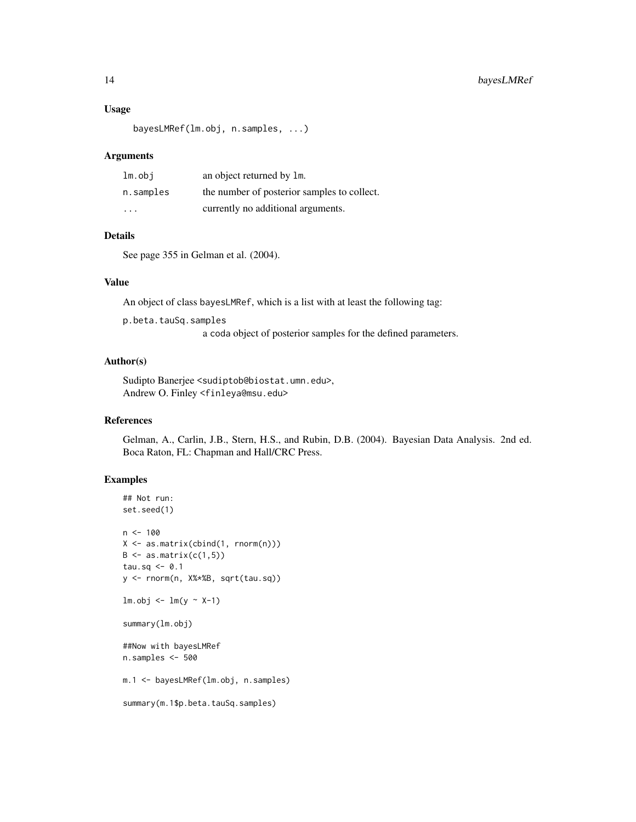#### Usage

```
bayesLMRef(lm.obj, n.samples, ...)
```
#### Arguments

| $lm.$ obi | an object returned by 1m.                   |
|-----------|---------------------------------------------|
| n.samples | the number of posterior samples to collect. |
| $\cdot$   | currently no additional arguments.          |

# Details

See page 355 in Gelman et al. (2004).

#### Value

An object of class bayesLMRef, which is a list with at least the following tag:

p.beta.tauSq.samples

a coda object of posterior samples for the defined parameters.

#### Author(s)

Sudipto Banerjee <sudiptob@biostat.umn.edu>, Andrew O. Finley <finleya@msu.edu>

# References

Gelman, A., Carlin, J.B., Stern, H.S., and Rubin, D.B. (2004). Bayesian Data Analysis. 2nd ed. Boca Raton, FL: Chapman and Hall/CRC Press.

```
## Not run:
set.seed(1)
n < -100X <- as.matrix(cbind(1, rnorm(n)))
B \leftarrow as.matrix(c(1,5))tau.sq \leq -0.1y <- rnorm(n, X%*%B, sqrt(tau.sq))
lm.obj \leftarrow lm(y \sim X-1)summary(lm.obj)
##Now with bayesLMRef
n.samples <- 500
m.1 <- bayesLMRef(lm.obj, n.samples)
summary(m.1$p.beta.tauSq.samples)
```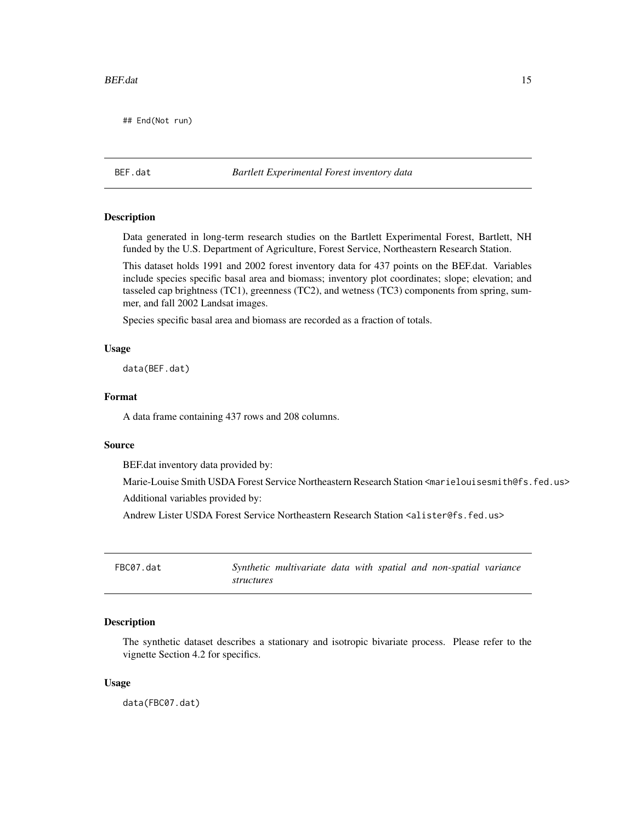<span id="page-14-0"></span>## End(Not run)

# BEF.dat *Bartlett Experimental Forest inventory data*

# **Description**

Data generated in long-term research studies on the Bartlett Experimental Forest, Bartlett, NH funded by the U.S. Department of Agriculture, Forest Service, Northeastern Research Station.

This dataset holds 1991 and 2002 forest inventory data for 437 points on the BEF.dat. Variables include species specific basal area and biomass; inventory plot coordinates; slope; elevation; and tasseled cap brightness (TC1), greenness (TC2), and wetness (TC3) components from spring, summer, and fall 2002 Landsat images.

Species specific basal area and biomass are recorded as a fraction of totals.

### Usage

data(BEF.dat)

#### Format

A data frame containing 437 rows and 208 columns.

#### Source

BEF.dat inventory data provided by:

Marie-Louise Smith USDA Forest Service Northeastern Research Station <marielouisesmith@fs.fed.us> Additional variables provided by:

Andrew Lister USDA Forest Service Northeastern Research Station <alister@fs.fed.us>

| FBC07.dat |            | Synthetic multivariate data with spatial and non-spatial variance |  |  |  |
|-----------|------------|-------------------------------------------------------------------|--|--|--|
|           | structures |                                                                   |  |  |  |

# Description

The synthetic dataset describes a stationary and isotropic bivariate process. Please refer to the vignette Section 4.2 for specifics.

#### Usage

data(FBC07.dat)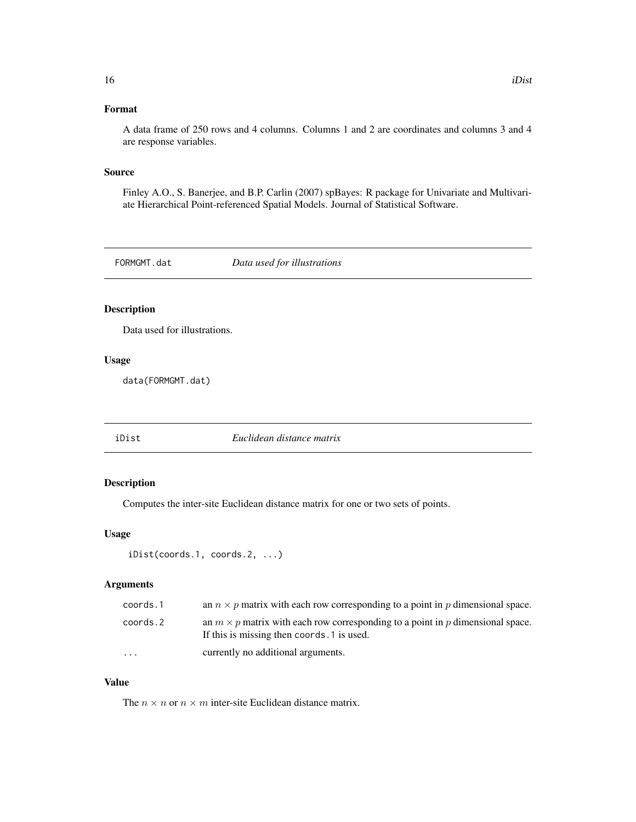# <span id="page-15-0"></span>Format

A data frame of 250 rows and 4 columns. Columns 1 and 2 are coordinates and columns 3 and 4 are response variables.

#### Source

Finley A.O., S. Banerjee, and B.P. Carlin (2007) spBayes: R package for Univariate and Multivariate Hierarchical Point-referenced Spatial Models. Journal of Statistical Software.

FORMGMT.dat *Data used for illustrations*

# Description

Data used for illustrations.

# Usage

data(FORMGMT.dat)

iDist *Euclidean distance matrix*

# Description

Computes the inter-site Euclidean distance matrix for one or two sets of points.

# Usage

```
iDist(coords.1, coords.2, ...)
```
# Arguments

| coords.1  | an $n \times p$ matrix with each row corresponding to a point in p dimensional space.                                               |
|-----------|-------------------------------------------------------------------------------------------------------------------------------------|
| coords.2  | an $m \times p$ matrix with each row corresponding to a point in p dimensional space.<br>If this is missing then coords. 1 is used. |
| $\ddotsc$ | currently no additional arguments.                                                                                                  |

# Value

The  $n \times n$  or  $n \times m$  inter-site Euclidean distance matrix.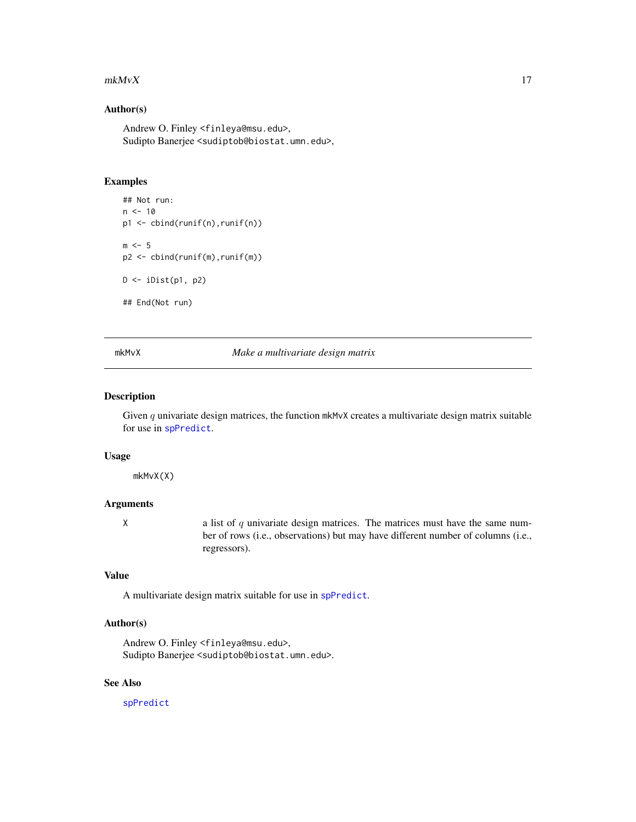#### <span id="page-16-0"></span> $m k M v X$  17

#### Author(s)

Andrew O. Finley <finleya@msu.edu>, Sudipto Banerjee <sudiptob@biostat.umn.edu>,

#### Examples

```
## Not run:
n < -10p1 <- cbind(runif(n),runif(n))
m < -5p2 <- cbind(runif(m),runif(m))
D \leftarrow \text{ilist}(p1, p2)## End(Not run)
```
#### mkMvX *Make a multivariate design matrix*

# Description

Given q univariate design matrices, the function mkMvX creates a multivariate design matrix suitable for use in [spPredict](#page-61-1).

# Usage

mkMvX(X)

# Arguments

 $X$  a list of q univariate design matrices. The matrices must have the same number of rows (i.e., observations) but may have different number of columns (i.e., regressors).

# Value

A multivariate design matrix suitable for use in [spPredict](#page-61-1).

# Author(s)

Andrew O. Finley <finleya@msu.edu>, Sudipto Banerjee <sudiptob@biostat.umn.edu>.

# See Also

[spPredict](#page-61-1)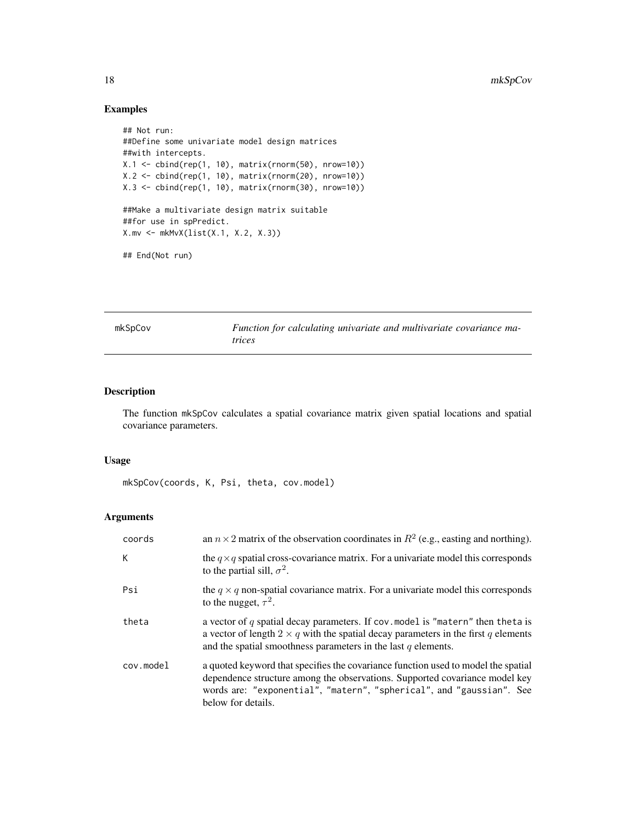# Examples

```
## Not run:
##Define some univariate model design matrices
##with intercepts.
X.1 <- cbind(rep(1, 10), matrix(rnorm(50), nrow=10))
X.2 <- cbind(rep(1, 10), matrix(rnorm(20), nrow=10))
X.3 <- cbind(rep(1, 10), matrix(rnorm(30), nrow=10))
##Make a multivariate design matrix suitable
##for use in spPredict.
X.mv <- mkMvX(list(X.1, X.2, X.3))
## End(Not run)
```
mkSpCov *Function for calculating univariate and multivariate covariance matrices*

# Description

The function mkSpCov calculates a spatial covariance matrix given spatial locations and spatial covariance parameters.

#### Usage

mkSpCov(coords, K, Psi, theta, cov.model)

#### Arguments

| coords    | an $n \times 2$ matrix of the observation coordinates in $R^2$ (e.g., easting and northing).                                                                                                                                                                   |
|-----------|----------------------------------------------------------------------------------------------------------------------------------------------------------------------------------------------------------------------------------------------------------------|
| K         | the $q \times q$ spatial cross-covariance matrix. For a univariate model this corresponds<br>to the partial sill, $\sigma^2$ .                                                                                                                                 |
| Psi       | the $q \times q$ non-spatial covariance matrix. For a univariate model this corresponds<br>to the nugget, $\tau^2$ .                                                                                                                                           |
| theta     | a vector of $q$ spatial decay parameters. If cov. model is "matern" then theta is<br>a vector of length $2 \times q$ with the spatial decay parameters in the first q elements<br>and the spatial smoothness parameters in the last $q$ elements.              |
| cov.model | a quoted keyword that specifies the covariance function used to model the spatial<br>dependence structure among the observations. Supported covariance model key<br>words are: "exponential", "matern", "spherical", and "gaussian". See<br>below for details. |

<span id="page-17-0"></span>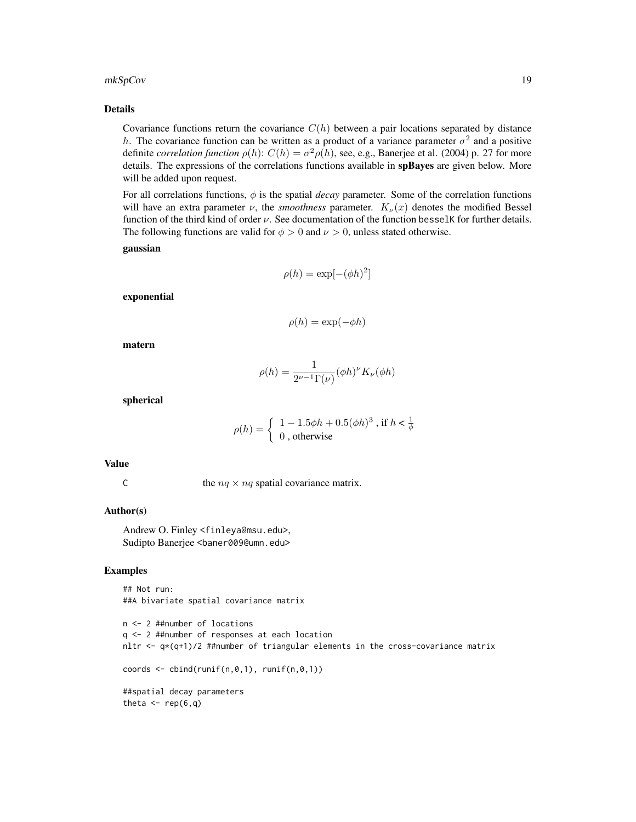# Details

Covariance functions return the covariance  $C(h)$  between a pair locations separated by distance h. The covariance function can be written as a product of a variance parameter  $\sigma^2$  and a positive definite *correlation function*  $\rho(h)$ :  $C(h) = \sigma^2 \rho(h)$ , see, e.g., Banerjee et al. (2004) p. 27 for more details. The expressions of the correlations functions available in spBayes are given below. More will be added upon request.

For all correlations functions, φ is the spatial *decay* parameter. Some of the correlation functions will have an extra parameter  $\nu$ , the *smoothness* parameter.  $K_{\nu}(x)$  denotes the modified Bessel function of the third kind of order  $\nu$ . See documentation of the function besselK for further details. The following functions are valid for  $\phi > 0$  and  $\nu > 0$ , unless stated otherwise.

gaussian

$$
\rho(h) = \exp[-(\phi h)^2]
$$

exponential

$$
\rho(h) = \exp(-\phi h)
$$

matern

$$
\rho(h) = \frac{1}{2^{\nu - 1} \Gamma(\nu)} (\phi h)^{\nu} K_{\nu}(\phi h)
$$

spherical

$$
\rho(h) = \begin{cases} 1 - 1.5\phi h + 0.5(\phi h)^3, & \text{if } h < \frac{1}{\phi} \\ 0, & \text{otherwise} \end{cases}
$$

# Value

C the  $nq \times nq$  spatial covariance matrix.

# Author(s)

Andrew O. Finley <finleya@msu.edu>, Sudipto Banerjee <baner009@umn.edu>

```
## Not run:
##A bivariate spatial covariance matrix
```

```
n <- 2 ##number of locations
q <- 2 ##number of responses at each location
nltr \leq -q*(q+1)/2 ##number of triangular elements in the cross-covariance matrix
coords \leq cbind(runif(n,0,1), runif(n,0,1))
##spatial decay parameters
theta \leq rep(6,q)
```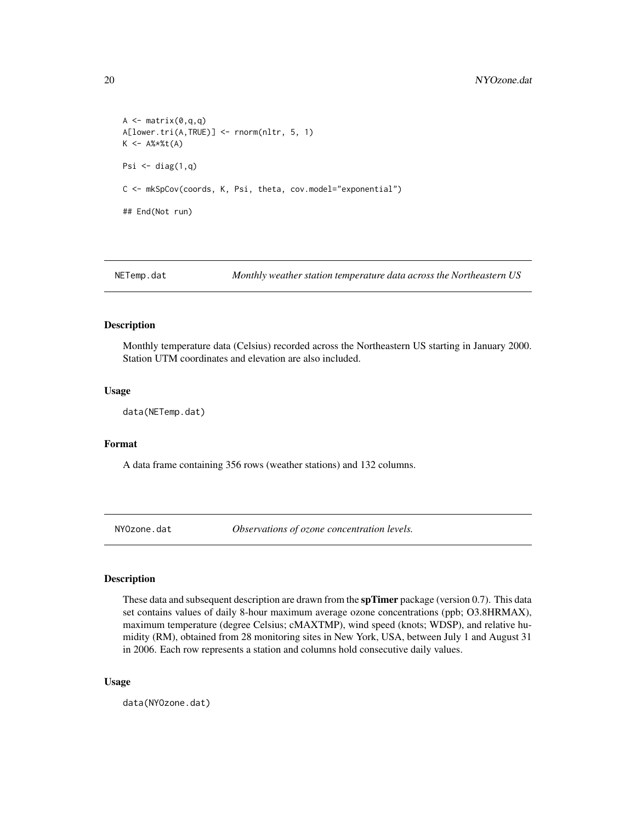```
A \leftarrow matrix(0, q, q)A[lower.tri(A,TRUE)] <- rnorm(nltr, 5, 1)
K < - A% * %t(A)Psi \leftarrow diag(1,q)C <- mkSpCov(coords, K, Psi, theta, cov.model="exponential")
## End(Not run)
```
NETemp.dat *Monthly weather station temperature data across the Northeastern US*

# Description

Monthly temperature data (Celsius) recorded across the Northeastern US starting in January 2000. Station UTM coordinates and elevation are also included.

#### Usage

data(NETemp.dat)

# Format

A data frame containing 356 rows (weather stations) and 132 columns.

NYOzone.dat *Observations of ozone concentration levels.*

# Description

These data and subsequent description are drawn from the  $\text{spTimer}$  package (version 0.7). This data set contains values of daily 8-hour maximum average ozone concentrations (ppb; O3.8HRMAX), maximum temperature (degree Celsius; cMAXTMP), wind speed (knots; WDSP), and relative humidity (RM), obtained from 28 monitoring sites in New York, USA, between July 1 and August 31 in 2006. Each row represents a station and columns hold consecutive daily values.

#### Usage

data(NYOzone.dat)

<span id="page-19-0"></span>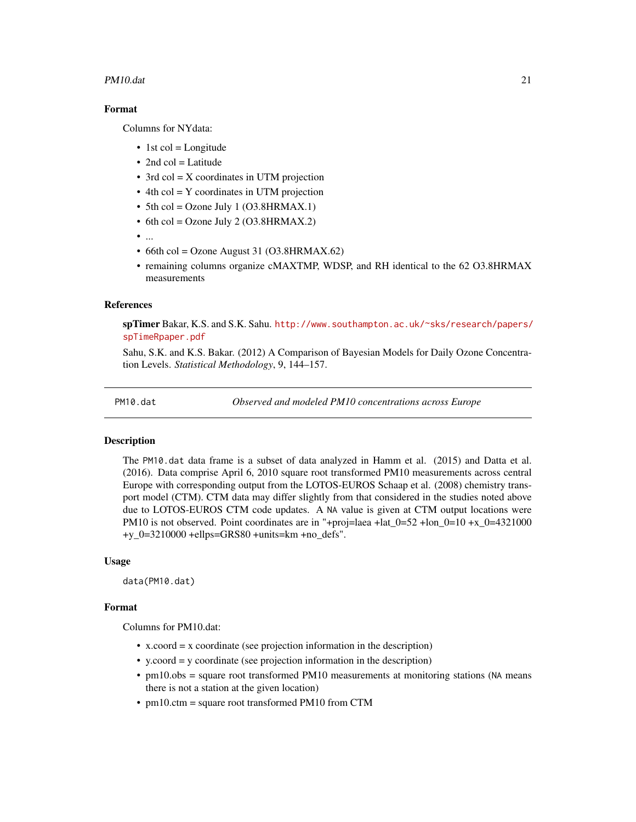#### <span id="page-20-0"></span>PM10.dat 21

# Format

Columns for NYdata:

- $\bullet$  1st col = Longitude
- $\bullet$  2nd col = Latitude
- 3rd col = X coordinates in UTM projection
- 4th col = Y coordinates in UTM projection
- 5th col = Ozone July 1  $(O3.8HRMAX.1)$
- 6th col = Ozone July 2 (O3.8HRMAX.2)
- ...
- $\bullet$  66th col = Ozone August 31 (O3.8HRMAX.62)
- remaining columns organize cMAXTMP, WDSP, and RH identical to the 62 O3.8HRMAX measurements

#### References

spTimer Bakar, K.S. and S.K. Sahu. [http://www.southampton.ac.uk/~sks/research/papers/](http://www.southampton.ac.uk/~sks/research/papers/spTimeRpaper.pdf) [spTimeRpaper.pdf](http://www.southampton.ac.uk/~sks/research/papers/spTimeRpaper.pdf)

Sahu, S.K. and K.S. Bakar. (2012) A Comparison of Bayesian Models for Daily Ozone Concentration Levels. *Statistical Methodology*, 9, 144–157.

PM10.dat *Observed and modeled PM10 concentrations across Europe*

#### Description

The PM10.dat data frame is a subset of data analyzed in Hamm et al. (2015) and Datta et al. (2016). Data comprise April 6, 2010 square root transformed PM10 measurements across central Europe with corresponding output from the LOTOS-EUROS Schaap et al. (2008) chemistry transport model (CTM). CTM data may differ slightly from that considered in the studies noted above due to LOTOS-EUROS CTM code updates. A NA value is given at CTM output locations were PM10 is not observed. Point coordinates are in "+proj=laea +lat\_0=52 +lon\_0=10 +x\_0=4321000 +y\_0=3210000 +ellps=GRS80 +units=km +no\_defs".

#### Usage

data(PM10.dat)

#### Format

Columns for PM10.dat:

- x.coord = x coordinate (see projection information in the description)
- y.coord = y coordinate (see projection information in the description)
- pm10.obs = square root transformed PM10 measurements at monitoring stations (NA means there is not a station at the given location)
- pm10.ctm = square root transformed PM10 from CTM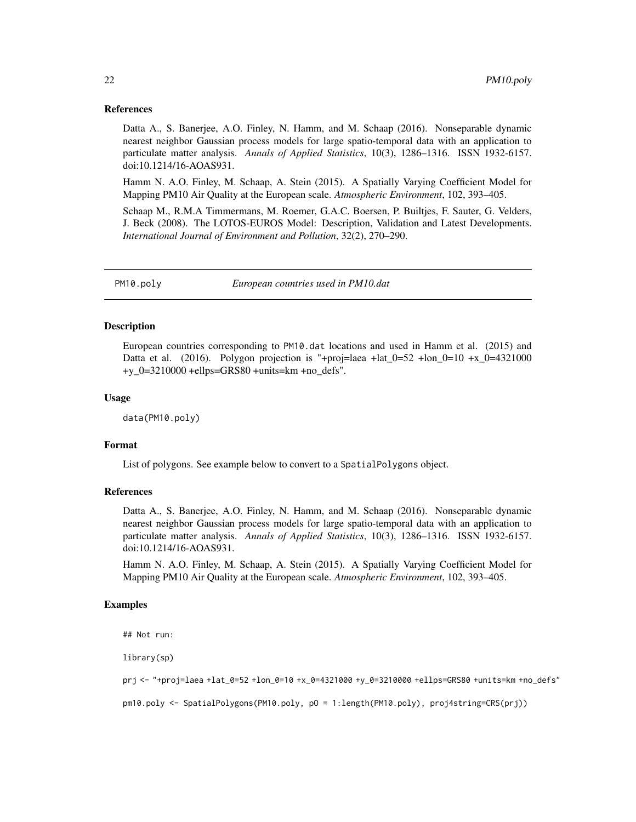#### <span id="page-21-0"></span>References

Datta A., S. Banerjee, A.O. Finley, N. Hamm, and M. Schaap (2016). Nonseparable dynamic nearest neighbor Gaussian process models for large spatio-temporal data with an application to particulate matter analysis. *Annals of Applied Statistics*, 10(3), 1286–1316. ISSN 1932-6157. doi:10.1214/16-AOAS931.

Hamm N. A.O. Finley, M. Schaap, A. Stein (2015). A Spatially Varying Coefficient Model for Mapping PM10 Air Quality at the European scale. *Atmospheric Environment*, 102, 393–405.

Schaap M., R.M.A Timmermans, M. Roemer, G.A.C. Boersen, P. Builtjes, F. Sauter, G. Velders, J. Beck (2008). The LOTOS-EUROS Model: Description, Validation and Latest Developments. *International Journal of Environment and Pollution*, 32(2), 270–290.

PM10.poly *European countries used in PM10.dat*

# Description

European countries corresponding to PM10.dat locations and used in Hamm et al. (2015) and Datta et al. (2016). Polygon projection is "+proj=laea +lat\_0=52 +lon\_0=10 +x\_0=4321000 +y\_0=3210000 +ellps=GRS80 +units=km +no\_defs".

#### Usage

data(PM10.poly)

# Format

List of polygons. See example below to convert to a SpatialPolygons object.

# References

Datta A., S. Banerjee, A.O. Finley, N. Hamm, and M. Schaap (2016). Nonseparable dynamic nearest neighbor Gaussian process models for large spatio-temporal data with an application to particulate matter analysis. *Annals of Applied Statistics*, 10(3), 1286–1316. ISSN 1932-6157. doi:10.1214/16-AOAS931.

Hamm N. A.O. Finley, M. Schaap, A. Stein (2015). A Spatially Varying Coefficient Model for Mapping PM10 Air Quality at the European scale. *Atmospheric Environment*, 102, 393–405.

# Examples

```
## Not run:
```
library(sp)

prj <- "+proj=laea +lat\_0=52 +lon\_0=10 +x\_0=4321000 +y\_0=3210000 +ellps=GRS80 +units=km +no\_defs"

pm10.poly <- SpatialPolygons(PM10.poly, pO = 1:length(PM10.poly), proj4string=CRS(prj))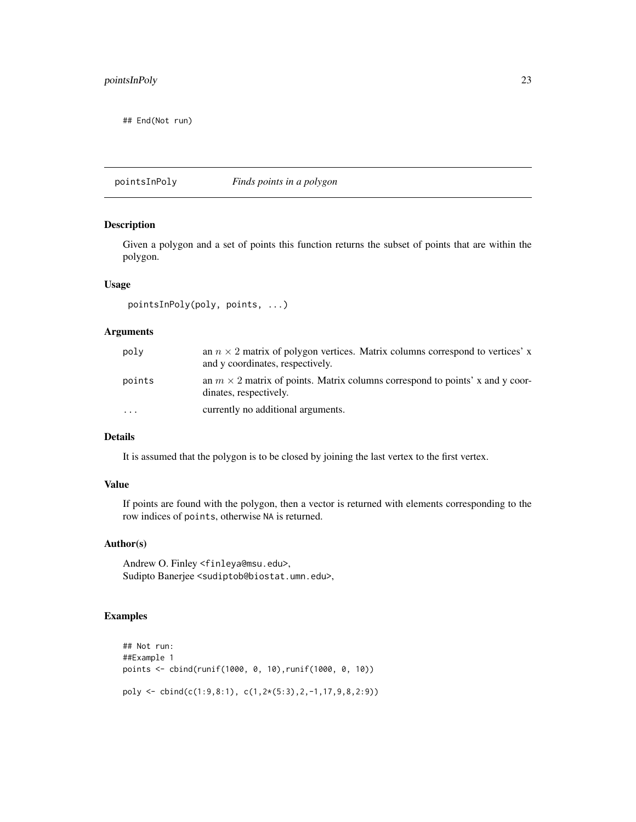# <span id="page-22-0"></span>pointsInPoly 23

## End(Not run)

pointsInPoly *Finds points in a polygon*

#### Description

Given a polygon and a set of points this function returns the subset of points that are within the polygon.

# Usage

```
pointsInPoly(poly, points, ...)
```
# Arguments

| poly     | an $n \times 2$ matrix of polygon vertices. Matrix columns correspond to vertices' x<br>and y coordinates, respectively. |
|----------|--------------------------------------------------------------------------------------------------------------------------|
| points   | an $m \times 2$ matrix of points. Matrix columns correspond to points' x and y coor-<br>dinates, respectively.           |
| $\cdots$ | currently no additional arguments.                                                                                       |

# Details

It is assumed that the polygon is to be closed by joining the last vertex to the first vertex.

# Value

If points are found with the polygon, then a vector is returned with elements corresponding to the row indices of points, otherwise NA is returned.

# Author(s)

Andrew O. Finley <finleya@msu.edu>, Sudipto Banerjee <sudiptob@biostat.umn.edu>,

```
## Not run:
##Example 1
points <- cbind(runif(1000, 0, 10),runif(1000, 0, 10))
poly \le cbind(c(1:9,8:1), c(1,2*(5:3),2,-1,17,9,8,2:9))
```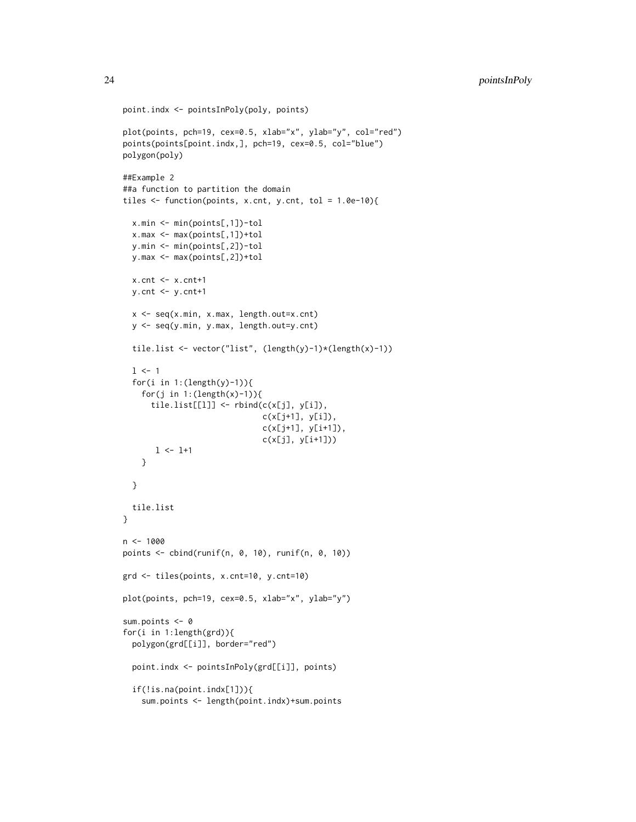```
point.indx <- pointsInPoly(poly, points)
plot(points, pch=19, cex=0.5, xlab="x", ylab="y", col="red")
points(points[point.indx,], pch=19, cex=0.5, col="blue")
polygon(poly)
##Example 2
##a function to partition the domain
tiles \leq function(points, x.cnt, y.cnt, tol = 1.0e-10){
  x.min <- min(points[,1])-tol
  x.max <- max(points[,1])+tol
  y.min <- min(points[,2])-tol
  y.max <- max(points[,2])+tol
  x.cnt <- x.cnt+1
 y.cnt <- y.cnt+1
  x <- seq(x.min, x.max, length.out=x.cnt)
  y <- seq(y.min, y.max, length.out=y.cnt)
  tile.list <- vector("list", (length(y)-1)*(length(x)-1))
  1 < -1for(i in 1:(length(y)-1)){
    for(j in 1:(length(x)-1)){
      tile.list[[l]] <- rbind(c(x[j], y[i]),
                              c(x[j+1], y[i]),
                              c(x[j+1], y[i+1]),
                              c(x[j], y[i+1]))
      1 <- 1+1}
  }
  tile.list
}
n <- 1000
points \le cbind(runif(n, 0, 10), runif(n, 0, 10))
grd <- tiles(points, x.cnt=10, y.cnt=10)
plot(points, pch=19, cex=0.5, xlab="x", ylab="y")
sum.points <- 0
for(i in 1:length(grd)){
  polygon(grd[[i]], border="red")
  point.indx <- pointsInPoly(grd[[i]], points)
  if(!is.na(point.indx[1])){
    sum.points <- length(point.indx)+sum.points
```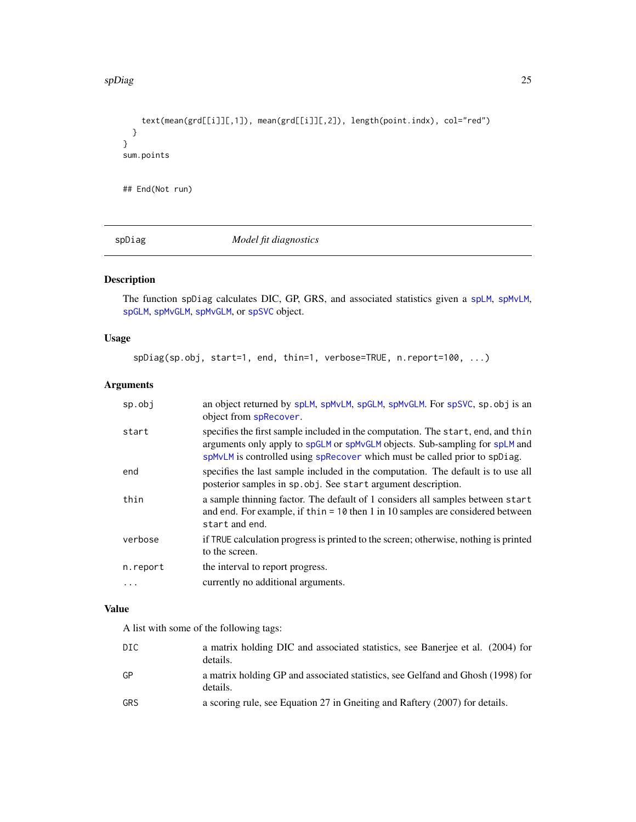#### <span id="page-24-0"></span>spDiag 25

```
text(mean(grd[[i]][,1]), mean(grd[[i]][,2]), length(point.indx), col="red")
  }
}
sum.points
## End(Not run)
```
spDiag *Model fit diagnostics*

# Description

The function spDiag calculates DIC, GP, GRS, and associated statistics given a [spLM](#page-37-1), [spMvLM](#page-56-1), [spGLM](#page-31-1), [spMvGLM](#page-51-1), [spMvGLM](#page-51-1), or [spSVC](#page-67-1) object.

# Usage

spDiag(sp.obj, start=1, end, thin=1, verbose=TRUE, n.report=100, ...)

# Arguments

| sp.obj   | an object returned by splM, spMvLM, spGLM, spMvGLM. For spSVC, sp. obj is an<br>object from spRecover.                                                                                                                                        |
|----------|-----------------------------------------------------------------------------------------------------------------------------------------------------------------------------------------------------------------------------------------------|
| start    | specifies the first sample included in the computation. The start, end, and thin<br>arguments only apply to spGLM or spMvGLM objects. Sub-sampling for spLM and<br>spMvLM is controlled using spRecover which must be called prior to spDiag. |
| end      | specifies the last sample included in the computation. The default is to use all<br>posterior samples in sp. obj. See start argument description.                                                                                             |
| thin     | a sample thinning factor. The default of 1 considers all samples between start<br>and end. For example, if thin = $10$ then 1 in 10 samples are considered between<br>start and end.                                                          |
| verbose  | if TRUE calculation progress is printed to the screen; otherwise, nothing is printed<br>to the screen.                                                                                                                                        |
| n.report | the interval to report progress.                                                                                                                                                                                                              |
| .        | currently no additional arguments.                                                                                                                                                                                                            |

# Value

A list with some of the following tags:

| DIC.       | a matrix holding DIC and associated statistics, see Banerjee et al. (2004) for<br>details.  |
|------------|---------------------------------------------------------------------------------------------|
| GP         | a matrix holding GP and associated statistics, see Gelfand and Ghosh (1998) for<br>details. |
| <b>GRS</b> | a scoring rule, see Equation 27 in Gneiting and Raftery (2007) for details.                 |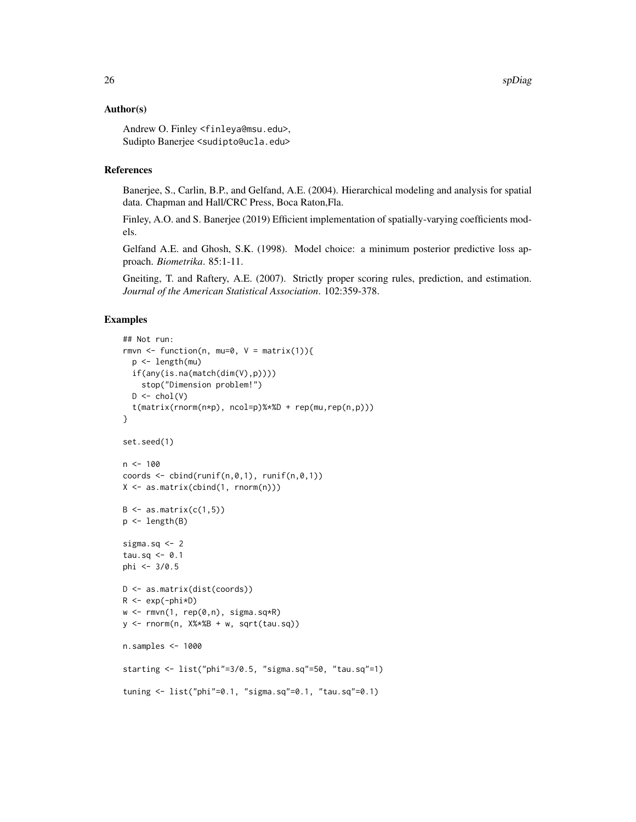#### Author(s)

Andrew O. Finley <finleya@msu.edu>, Sudipto Banerjee <sudipto@ucla.edu>

# References

Banerjee, S., Carlin, B.P., and Gelfand, A.E. (2004). Hierarchical modeling and analysis for spatial data. Chapman and Hall/CRC Press, Boca Raton,Fla.

Finley, A.O. and S. Banerjee (2019) Efficient implementation of spatially-varying coefficients models.

Gelfand A.E. and Ghosh, S.K. (1998). Model choice: a minimum posterior predictive loss approach. *Biometrika*. 85:1-11.

Gneiting, T. and Raftery, A.E. (2007). Strictly proper scoring rules, prediction, and estimation. *Journal of the American Statistical Association*. 102:359-378.

```
## Not run:
rmvn \leq function(n, mu=0, V = matrix(1)){
  p <- length(mu)
 if(any(is.na(match(dim(V),p))))
    stop("Dimension problem!")
  D \leftarrow \text{chol}(V)t(matrix(rnorm(n*p), ncol=p)%*%D + rep(mu,rep(n,p)))
}
set.seed(1)
n < -100coords \leq cbind(runif(n,0,1), runif(n,0,1))
X <- as.matrix(cbind(1, rnorm(n)))
B \leftarrow as.matrix(c(1,5))p <- length(B)
sigma.sq <- 2
tau.sq <- 0.1
phi <- 3/0.5
D <- as.matrix(dist(coords))
R <- exp(-phi*D)
w \leq -rmvn(1, rep(0,n), sigma.sq*R)
y <- rnorm(n, X%*%B + w, sqrt(tau.sq))
n.samples <- 1000
starting <- list("phi"=3/0.5, "sigma.sq"=50, "tau.sq"=1)
tuning <- list("phi"=0.1, "sigma.sq"=0.1, "tau.sq"=0.1)
```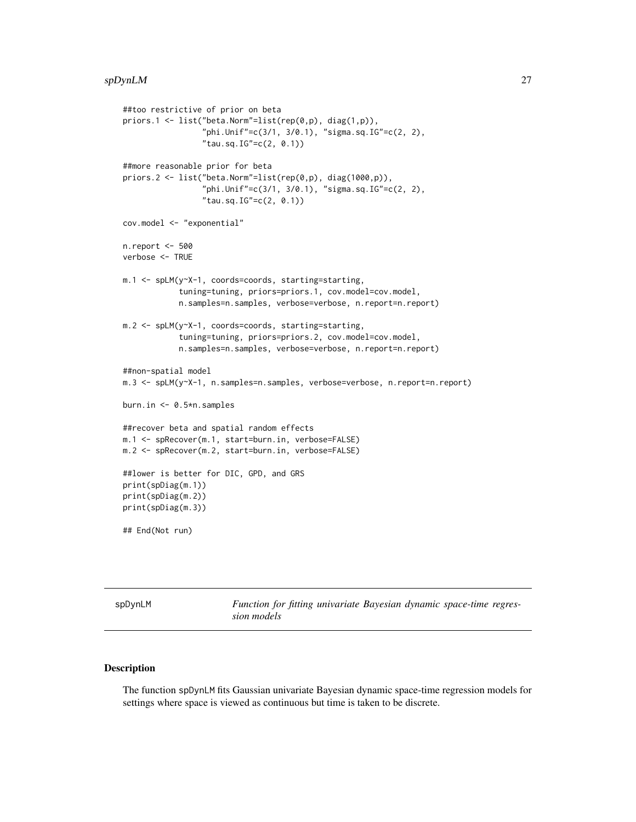#### <span id="page-26-0"></span>spDynLM 27

```
##too restrictive of prior on beta
priors.1 <- list("beta.Norm"=list(rep(0,p), diag(1,p)),
                 "phi.Unif"=c(3/1, 3/0.1), "sigma.sq.IG"=c(2, 2),
                 "tau.sq.IG" = c(2, 0.1))##more reasonable prior for beta
priors.2 <- list("beta.Norm"=list(rep(0,p), diag(1000,p)),
                 "phi.Unif"=c(3/1, 3/0.1), "sigma.sq.IG"=c(2, 2),
                 "tau.sq.IG" = c(2, 0.1))cov.model <- "exponential"
n.report <- 500
verbose <- TRUE
m.1 <- spLM(y~X-1, coords=coords, starting=starting,
            tuning=tuning, priors=priors.1, cov.model=cov.model,
            n.samples=n.samples, verbose=verbose, n.report=n.report)
m.2 <- spLM(y~X-1, coords=coords, starting=starting,
            tuning=tuning, priors=priors.2, cov.model=cov.model,
            n.samples=n.samples, verbose=verbose, n.report=n.report)
##non-spatial model
m.3 <- spLM(y~X-1, n.samples=n.samples, verbose=verbose, n.report=n.report)
burn.in <- 0.5*n.samples
##recover beta and spatial random effects
m.1 <- spRecover(m.1, start=burn.in, verbose=FALSE)
m.2 <- spRecover(m.2, start=burn.in, verbose=FALSE)
##lower is better for DIC, GPD, and GRS
print(spDiag(m.1))
print(spDiag(m.2))
print(spDiag(m.3))
## End(Not run)
```
spDynLM *Function for fitting univariate Bayesian dynamic space-time regression models*

#### Description

The function spDynLM fits Gaussian univariate Bayesian dynamic space-time regression models for settings where space is viewed as continuous but time is taken to be discrete.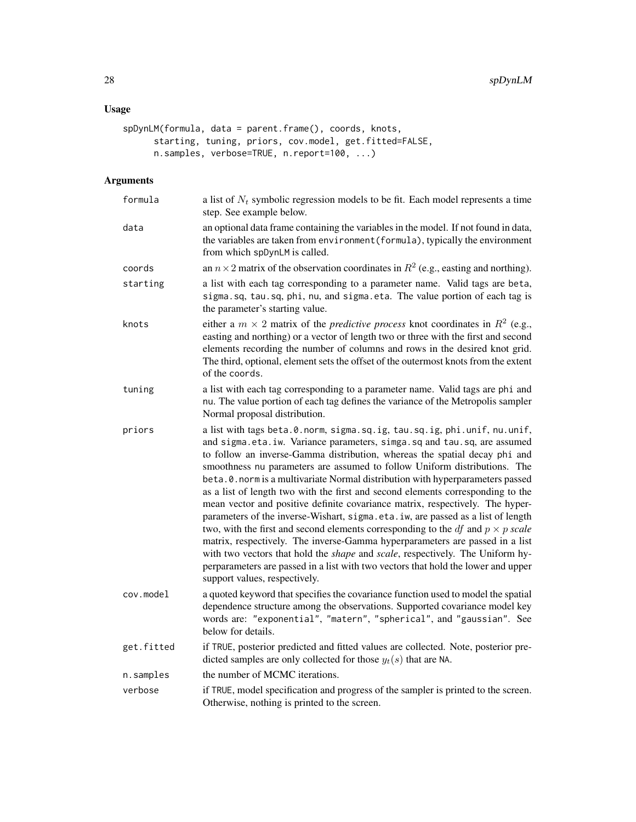# Usage

```
spDynLM(formula, data = parent.frame(), coords, knots,
      starting, tuning, priors, cov.model, get.fitted=FALSE,
     n.samples, verbose=TRUE, n.report=100, ...)
```
# Arguments

| formula    | a list of $N_t$ symbolic regression models to be fit. Each model represents a time<br>step. See example below.                                                                                                                                                                                                                                                                                                                                                                                                                                                                                                                                                                                                                                                                                                                                                                                                                                                                                                                                                  |
|------------|-----------------------------------------------------------------------------------------------------------------------------------------------------------------------------------------------------------------------------------------------------------------------------------------------------------------------------------------------------------------------------------------------------------------------------------------------------------------------------------------------------------------------------------------------------------------------------------------------------------------------------------------------------------------------------------------------------------------------------------------------------------------------------------------------------------------------------------------------------------------------------------------------------------------------------------------------------------------------------------------------------------------------------------------------------------------|
| data       | an optional data frame containing the variables in the model. If not found in data,<br>the variables are taken from environment (formula), typically the environment<br>from which spDynLM is called.                                                                                                                                                                                                                                                                                                                                                                                                                                                                                                                                                                                                                                                                                                                                                                                                                                                           |
| coords     | an $n \times 2$ matrix of the observation coordinates in $R^2$ (e.g., easting and northing).                                                                                                                                                                                                                                                                                                                                                                                                                                                                                                                                                                                                                                                                                                                                                                                                                                                                                                                                                                    |
| starting   | a list with each tag corresponding to a parameter name. Valid tags are beta,<br>sigma.sq, tau.sq, phi, nu, and sigma.eta. The value portion of each tag is<br>the parameter's starting value.                                                                                                                                                                                                                                                                                                                                                                                                                                                                                                                                                                                                                                                                                                                                                                                                                                                                   |
| knots      | either a $m \times 2$ matrix of the <i>predictive process</i> knot coordinates in $R^2$ (e.g.,<br>easting and northing) or a vector of length two or three with the first and second<br>elements recording the number of columns and rows in the desired knot grid.<br>The third, optional, element sets the offset of the outermost knots from the extent<br>of the coords.                                                                                                                                                                                                                                                                                                                                                                                                                                                                                                                                                                                                                                                                                    |
| tuning     | a list with each tag corresponding to a parameter name. Valid tags are phi and<br>nu. The value portion of each tag defines the variance of the Metropolis sampler<br>Normal proposal distribution.                                                                                                                                                                                                                                                                                                                                                                                                                                                                                                                                                                                                                                                                                                                                                                                                                                                             |
| priors     | a list with tags beta.0.norm, sigma.sq.ig, tau.sq.ig, phi.unif, nu.unif,<br>and sigma.eta.iw. Variance parameters, simga.sq and tau.sq, are assumed<br>to follow an inverse-Gamma distribution, whereas the spatial decay phi and<br>smoothness nu parameters are assumed to follow Uniform distributions. The<br>beta. 0. norm is a multivariate Normal distribution with hyperparameters passed<br>as a list of length two with the first and second elements corresponding to the<br>mean vector and positive definite covariance matrix, respectively. The hyper-<br>parameters of the inverse-Wishart, sigma.eta.iw, are passed as a list of length<br>two, with the first and second elements corresponding to the <i>df</i> and $p \times p$ scale<br>matrix, respectively. The inverse-Gamma hyperparameters are passed in a list<br>with two vectors that hold the <i>shape</i> and <i>scale</i> , respectively. The Uniform hy-<br>perparameters are passed in a list with two vectors that hold the lower and upper<br>support values, respectively. |
| cov.model  | a quoted keyword that specifies the covariance function used to model the spatial<br>dependence structure among the observations. Supported covariance model key<br>words are: "exponential", "matern", "spherical", and "gaussian". See<br>below for details.                                                                                                                                                                                                                                                                                                                                                                                                                                                                                                                                                                                                                                                                                                                                                                                                  |
| get.fitted | if TRUE, posterior predicted and fitted values are collected. Note, posterior pre-<br>dicted samples are only collected for those $y_t(s)$ that are NA.                                                                                                                                                                                                                                                                                                                                                                                                                                                                                                                                                                                                                                                                                                                                                                                                                                                                                                         |
| n.samples  | the number of MCMC iterations.                                                                                                                                                                                                                                                                                                                                                                                                                                                                                                                                                                                                                                                                                                                                                                                                                                                                                                                                                                                                                                  |
| verbose    | if TRUE, model specification and progress of the sampler is printed to the screen.<br>Otherwise, nothing is printed to the screen.                                                                                                                                                                                                                                                                                                                                                                                                                                                                                                                                                                                                                                                                                                                                                                                                                                                                                                                              |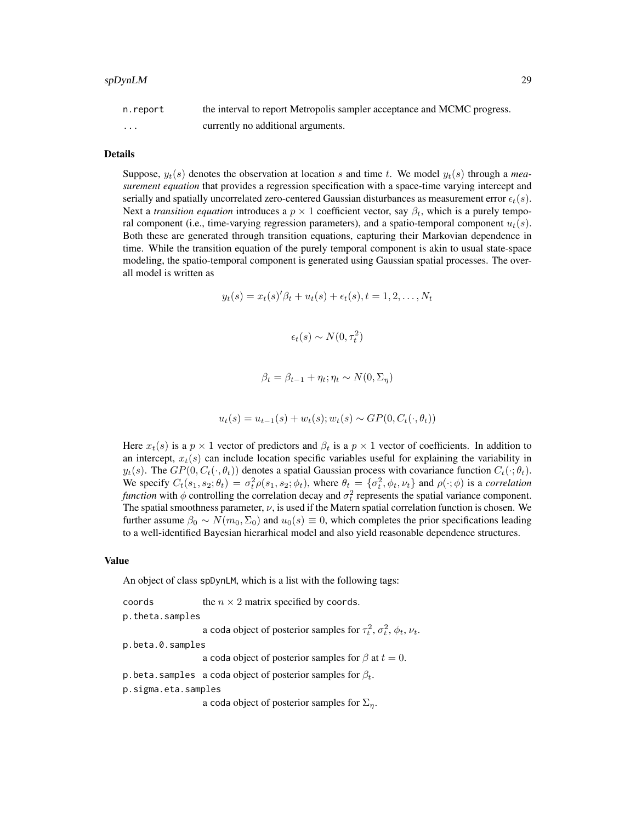#### spDynLM 29

| n.report | the interval to report Metropolis sampler acceptance and MCMC progress. |
|----------|-------------------------------------------------------------------------|
| .        | currently no additional arguments.                                      |

# Details

Suppose,  $y_t(s)$  denotes the observation at location s and time t. We model  $y_t(s)$  through a *measurement equation* that provides a regression specification with a space-time varying intercept and serially and spatially uncorrelated zero-centered Gaussian disturbances as measurement error  $\epsilon_t(s)$ . Next a *transition equation* introduces a  $p \times 1$  coefficient vector, say  $\beta_t$ , which is a purely temporal component (i.e., time-varying regression parameters), and a spatio-temporal component  $u_t(s)$ . Both these are generated through transition equations, capturing their Markovian dependence in time. While the transition equation of the purely temporal component is akin to usual state-space modeling, the spatio-temporal component is generated using Gaussian spatial processes. The overall model is written as

$$
y_t(s) = x_t(s)'\beta_t + u_t(s) + \epsilon_t(s), t = 1, 2, ..., N_t
$$

$$
\epsilon_t(s) \sim N(0, \tau_t^2)
$$

$$
\beta_t = \beta_{t-1} + \eta_t; \eta_t \sim N(0, \Sigma_\eta)
$$

$$
u_t(s) = u_{t-1}(s) + w_t(s); w_t(s) \sim GP(0, C_t(\cdot, \theta_t))
$$

Here  $x_t(s)$  is a  $p \times 1$  vector of predictors and  $\beta_t$  is a  $p \times 1$  vector of coefficients. In addition to an intercept,  $x_t(s)$  can include location specific variables useful for explaining the variability in  $y_t(s)$ . The  $GP(0, C_t(\cdot, \theta_t))$  denotes a spatial Gaussian process with covariance function  $C_t(\cdot; \theta_t)$ . We specify  $C_t(s_1, s_2; \theta_t) = \sigma_t^2 \rho(s_1, s_2; \phi_t)$ , where  $\theta_t = {\sigma_t^2, \phi_t, \nu_t}$  and  $\rho(\cdot; \phi)$  is a *correlation function* with  $\phi$  controlling the correlation decay and  $\sigma_t^2$  represents the spatial variance component. The spatial smoothness parameter,  $\nu$ , is used if the Matern spatial correlation function is chosen. We further assume  $\beta_0 \sim N(m_0, \Sigma_0)$  and  $u_0(s) \equiv 0$ , which completes the prior specifications leading to a well-identified Bayesian hierarhical model and also yield reasonable dependence structures.

#### Value

An object of class spDynLM, which is a list with the following tags:

```
coords the n \times 2 matrix specified by coords.
p.theta.samples
```
a coda object of posterior samples for  $\tau_t^2$ ,  $\sigma_t^2$ ,  $\phi_t$ ,  $\nu_t$ .

p.beta.0.samples

a coda object of posterior samples for  $\beta$  at  $t = 0$ .

p.beta.samples a coda object of posterior samples for  $\beta_t$ .

p.sigma.eta.samples

a coda object of posterior samples for  $\Sigma_n$ .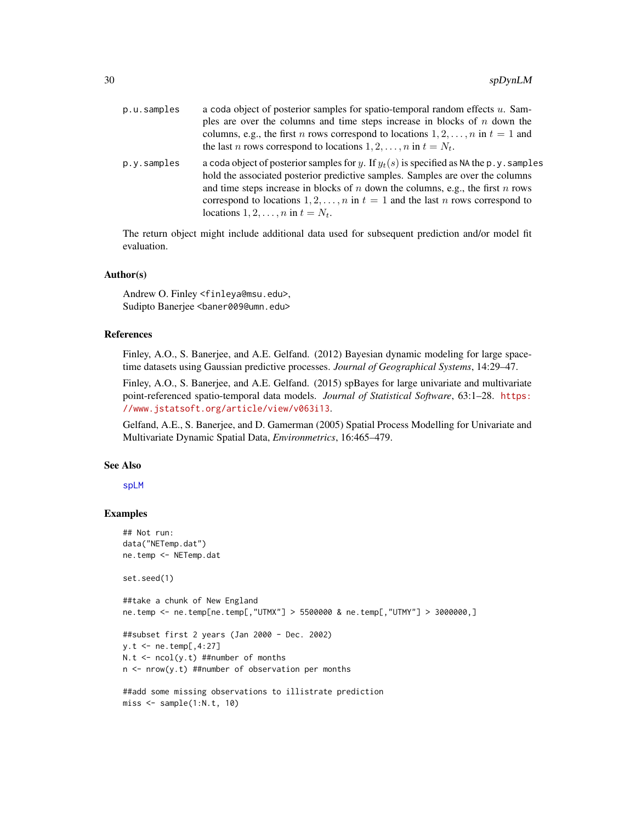| p.u.samples | a coda object of posterior samples for spatio-temporal random effects $u$ . Sam-<br>ples are over the columns and time steps increase in blocks of $n$ down the<br>columns, e.g., the first <i>n</i> rows correspond to locations $1, 2, , n$ in $t = 1$ and<br>the last <i>n</i> rows correspond to locations $1, 2, , n$ in $t = N_t$ .                                                            |
|-------------|------------------------------------------------------------------------------------------------------------------------------------------------------------------------------------------------------------------------------------------------------------------------------------------------------------------------------------------------------------------------------------------------------|
| p.y.samples | a coda object of posterior samples for y. If $y_t(s)$ is specified as NA the p.y. samples<br>hold the associated posterior predictive samples. Samples are over the columns<br>and time steps increase in blocks of $n$ down the columns, e.g., the first $n$ rows<br>correspond to locations $1, 2, , n$ in $t = 1$ and the last n rows correspond to<br>locations $1, 2, \ldots, n$ in $t = N_t$ . |

The return object might include additional data used for subsequent prediction and/or model fit evaluation.

# Author(s)

Andrew O. Finley <finleya@msu.edu>, Sudipto Banerjee <baner009@umn.edu>

#### References

Finley, A.O., S. Banerjee, and A.E. Gelfand. (2012) Bayesian dynamic modeling for large spacetime datasets using Gaussian predictive processes. *Journal of Geographical Systems*, 14:29–47.

Finley, A.O., S. Banerjee, and A.E. Gelfand. (2015) spBayes for large univariate and multivariate point-referenced spatio-temporal data models. *Journal of Statistical Software*, 63:1–28. [https:](https://www.jstatsoft.org/article/view/v063i13) [//www.jstatsoft.org/article/view/v063i13](https://www.jstatsoft.org/article/view/v063i13).

Gelfand, A.E., S. Banerjee, and D. Gamerman (2005) Spatial Process Modelling for Univariate and Multivariate Dynamic Spatial Data, *Environmetrics*, 16:465–479.

#### See Also

[spLM](#page-37-1)

 $miss \leftarrow sample(1:N.t, 10)$ 

```
## Not run:
data("NETemp.dat")
ne.temp <- NETemp.dat
set.seed(1)
##take a chunk of New England
ne.temp <- ne.temp[ne.temp[,"UTMX"] > 5500000 & ne.temp[,"UTMY"] > 3000000,]
##subset first 2 years (Jan 2000 - Dec. 2002)
y.t <- ne.temp[,4:27]
N.t < -\text{ncol}(y.t) ##number of months
n \le - nrow(y.t) ##number of observation per months
##add some missing observations to illistrate prediction
```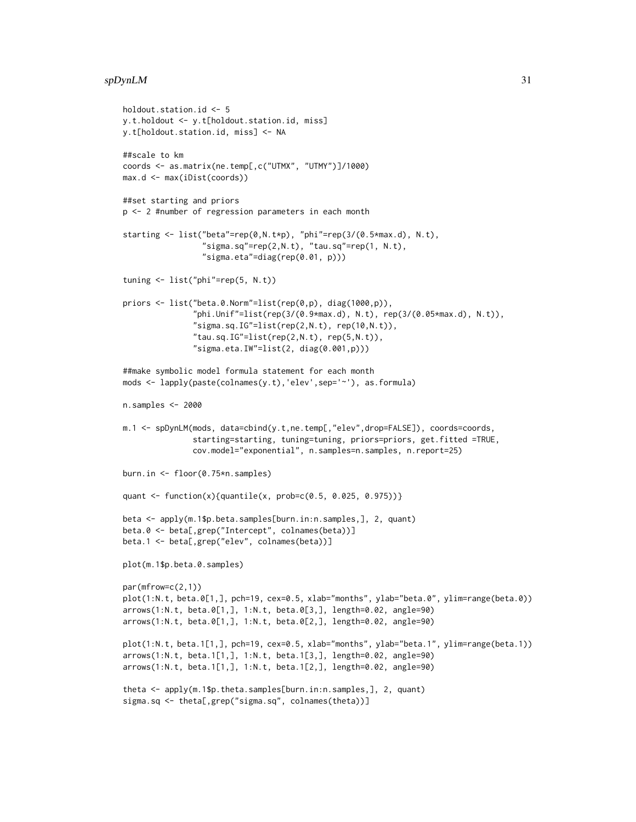#### $s$ pDynLM  $31$

```
holdout.station.id <- 5
y.t.holdout <- y.t[holdout.station.id, miss]
y.t[holdout.station.id, miss] <- NA
##scale to km
coords <- as.matrix(ne.temp[,c("UTMX", "UTMY")]/1000)
max.d <- max(iDist(coords))
##set starting and priors
p <- 2 #number of regression parameters in each month
starting <- list("beta"=rep(0,N.t*p), "phi"=rep(3/(0.5*max.d), N.t),
                 "sigma.sq"=rep(2,N.t), "tau.sq"=rep(1, N.t),"sigma.eta"=diag(rep(0.01, p)))
tuning <- list("phi"=rep(5, N.t))
priors <- list("beta.0.Norm"=list(rep(0,p), diag(1000,p)),
               "phi.Unif"=list(rep(3/(0.9*max.d), N.t), rep(3/(0.05*max.d), N.t)),
               "sigma.sq.IG" = list(rep(2,N.t), rep(10,N.t)),"tau.sq.IG" = list(rep(2,N.t), rep(5,N.t)),"sigma.eta.IW"=list(2, diag(0.001,p)))
##make symbolic model formula statement for each month
mods <- lapply(paste(colnames(y.t),'elev',sep='~'), as.formula)
n.samples <- 2000
m.1 <- spDynLM(mods, data=cbind(y.t,ne.temp[,"elev",drop=FALSE]), coords=coords,
               starting=starting, tuning=tuning, priors=priors, get.fitted =TRUE,
               cov.model="exponential", n.samples=n.samples, n.report=25)
burn.in <- floor(0.75*n.samples)
quant <- function(x){quantile(x, prob=c(0.5, 0.025, 0.975))}
beta <- apply(m.1$p.beta.samples[burn.in:n.samples,], 2, quant)
beta.0 <- beta[,grep("Intercept", colnames(beta))]
beta.1 <- beta[,grep("elev", colnames(beta))]
plot(m.1$p.beta.0.samples)
par(mfrow=c(2,1))
plot(1:N.t, beta.0[1,], pch=19, cex=0.5, xlab="months", ylab="beta.0", ylim=range(beta.0))
arrows(1:N.t, beta.0[1,], 1:N.t, beta.0[3,], length=0.02, angle=90)
arrows(1:N.t, beta.0[1,], 1:N.t, beta.0[2,], length=0.02, angle=90)
plot(1:N.t, beta.1[1,], pch=19, cex=0.5, xlab="months", ylab="beta.1", ylim=range(beta.1))
arrows(1:N.t, beta.1[1,], 1:N.t, beta.1[3,], length=0.02, angle=90)
arrows(1:N.t, beta.1[1,], 1:N.t, beta.1[2,], length=0.02, angle=90)
theta <- apply(m.1$p.theta.samples[burn.in:n.samples,], 2, quant)
sigma.sq <- theta[,grep("sigma.sq", colnames(theta))]
```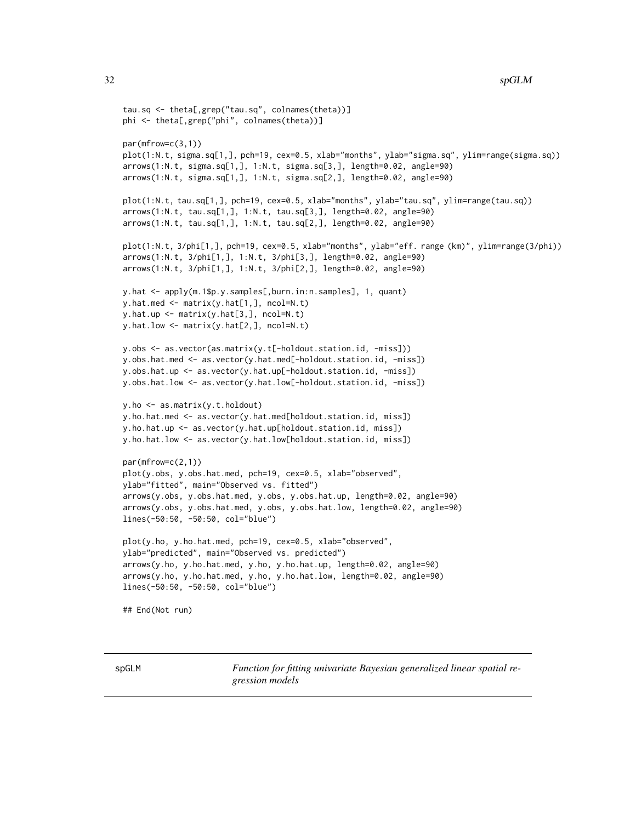```
tau.sq <- theta[,grep("tau.sq", colnames(theta))]
phi <- theta[,grep("phi", colnames(theta))]
par(mfrow=c(3,1))
plot(1:N.t, sigma.sq[1,], pch=19, cex=0.5, xlab="months", ylab="sigma.sq", ylim=range(sigma.sq))
arrows(1:N.t, sigma.sq[1,], 1:N.t, sigma.sq[3,], length=0.02, angle=90)
arrows(1:N.t, sigma.sq[1,], 1:N.t, sigma.sq[2,], length=0.02, angle=90)
plot(1:N.t, tau.sq[1,], pch=19, cex=0.5, xlab="months", ylab="tau.sq", ylim=range(tau.sq))
arrows(1:N.t, tau.sq[1,], 1:N.t, tau.sq[3,], length=0.02, angle=90)
arrows(1:N.t, tau.sq[1,], 1:N.t, tau.sq[2,], length=0.02, angle=90)
plot(1:N.t, 3/phi[1,], pch=19, cex=0.5, xlab="months", ylab="eff. range (km)", ylim=range(3/phi))
arrows(1:N.t, 3/phi[1,], 1:N.t, 3/phi[3,], length=0.02, angle=90)
arrows(1:N.t, 3/phi[1,], 1:N.t, 3/phi[2,], length=0.02, angle=90)
y.hat <- apply(m.1$p.y.samples[,burn.in:n.samples], 1, quant)
y.hat. med \leq matrix(y.hat[1,], ncol=N.t)
y.hat.up <- matrix(y.hat[3,], ncol=N.t)
y.hat.low <- matrix(y.hat[2,], ncol=N.t)
y.obs <- as.vector(as.matrix(y.t[-holdout.station.id, -miss]))
y.obs.hat.med <- as.vector(y.hat.med[-holdout.station.id, -miss])
y.obs.hat.up <- as.vector(y.hat.up[-holdout.station.id, -miss])
y.obs.hat.low <- as.vector(y.hat.low[-holdout.station.id, -miss])
y.ho <- as.matrix(y.t.holdout)
y.ho.hat.med <- as.vector(y.hat.med[holdout.station.id, miss])
y.ho.hat.up <- as.vector(y.hat.up[holdout.station.id, miss])
y.ho.hat.low <- as.vector(y.hat.low[holdout.station.id, miss])
par(mfrow=c(2,1))
plot(y.obs, y.obs.hat.med, pch=19, cex=0.5, xlab="observed",
ylab="fitted", main="Observed vs. fitted")
arrows(y.obs, y.obs.hat.med, y.obs, y.obs.hat.up, length=0.02, angle=90)
arrows(y.obs, y.obs.hat.med, y.obs, y.obs.hat.low, length=0.02, angle=90)
lines(-50:50, -50:50, col="blue")
plot(y.ho, y.ho.hat.med, pch=19, cex=0.5, xlab="observed",
ylab="predicted", main="Observed vs. predicted")
arrows(y.ho, y.ho.hat.med, y.ho, y.ho.hat.up, length=0.02, angle=90)
arrows(y.ho, y.ho.hat.med, y.ho, y.ho.hat.low, length=0.02, angle=90)
lines(-50:50, -50:50, col="blue")
## End(Not run)
```
<span id="page-31-1"></span>spGLM *Function for fitting univariate Bayesian generalized linear spatial regression models*

<span id="page-31-0"></span>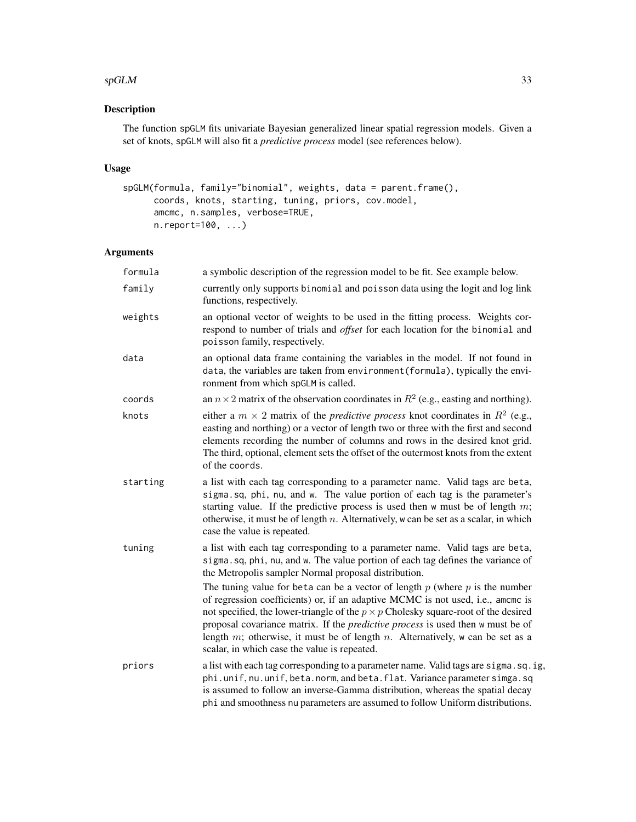#### $s$ pGLM 33

# Description

The function spGLM fits univariate Bayesian generalized linear spatial regression models. Given a set of knots, spGLM will also fit a *predictive process* model (see references below).

# Usage

```
spGLM(formula, family="binomial", weights, data = parent.frame(),
     coords, knots, starting, tuning, priors, cov.model,
     amcmc, n.samples, verbose=TRUE,
     n.report=100, ...)
```
# Arguments

| formula  | a symbolic description of the regression model to be fit. See example below.                                                                                                                                                                                                                                                                                                                                                                                                                      |
|----------|---------------------------------------------------------------------------------------------------------------------------------------------------------------------------------------------------------------------------------------------------------------------------------------------------------------------------------------------------------------------------------------------------------------------------------------------------------------------------------------------------|
| family   | currently only supports binomial and poisson data using the logit and log link<br>functions, respectively.                                                                                                                                                                                                                                                                                                                                                                                        |
| weights  | an optional vector of weights to be used in the fitting process. Weights cor-<br>respond to number of trials and offset for each location for the binomial and<br>poisson family, respectively.                                                                                                                                                                                                                                                                                                   |
| data     | an optional data frame containing the variables in the model. If not found in<br>data, the variables are taken from environment (formula), typically the envi-<br>ronment from which spGLM is called.                                                                                                                                                                                                                                                                                             |
| coords   | an $n \times 2$ matrix of the observation coordinates in $R^2$ (e.g., easting and northing).                                                                                                                                                                                                                                                                                                                                                                                                      |
| knots    | either a $m \times 2$ matrix of the <i>predictive process</i> knot coordinates in $R^2$ (e.g.,<br>easting and northing) or a vector of length two or three with the first and second<br>elements recording the number of columns and rows in the desired knot grid.<br>The third, optional, element sets the offset of the outermost knots from the extent<br>of the coords.                                                                                                                      |
| starting | a list with each tag corresponding to a parameter name. Valid tags are beta,<br>sigma.sq, phi, nu, and w. The value portion of each tag is the parameter's<br>starting value. If the predictive process is used then $w$ must be of length $m$ ;<br>otherwise, it must be of length $n$ . Alternatively, w can be set as a scalar, in which<br>case the value is repeated.                                                                                                                        |
| tuning   | a list with each tag corresponding to a parameter name. Valid tags are beta,<br>sigma.sq, phi, nu, and w. The value portion of each tag defines the variance of<br>the Metropolis sampler Normal proposal distribution.                                                                                                                                                                                                                                                                           |
|          | The tuning value for beta can be a vector of length $p$ (where $p$ is the number<br>of regression coefficients) or, if an adaptive MCMC is not used, i.e., amcmc is<br>not specified, the lower-triangle of the $p \times p$ Cholesky square-root of the desired<br>proposal covariance matrix. If the <i>predictive process</i> is used then w must be of<br>length $m$ ; otherwise, it must be of length $n$ . Alternatively, w can be set as a<br>scalar, in which case the value is repeated. |
| priors   | a list with each tag corresponding to a parameter name. Valid tags are sigma.sq.ig,<br>phi.unif, nu.unif, beta.norm, and beta.flat. Variance parameter simga.sq<br>is assumed to follow an inverse-Gamma distribution, whereas the spatial decay<br>phi and smoothness nu parameters are assumed to follow Uniform distributions.                                                                                                                                                                 |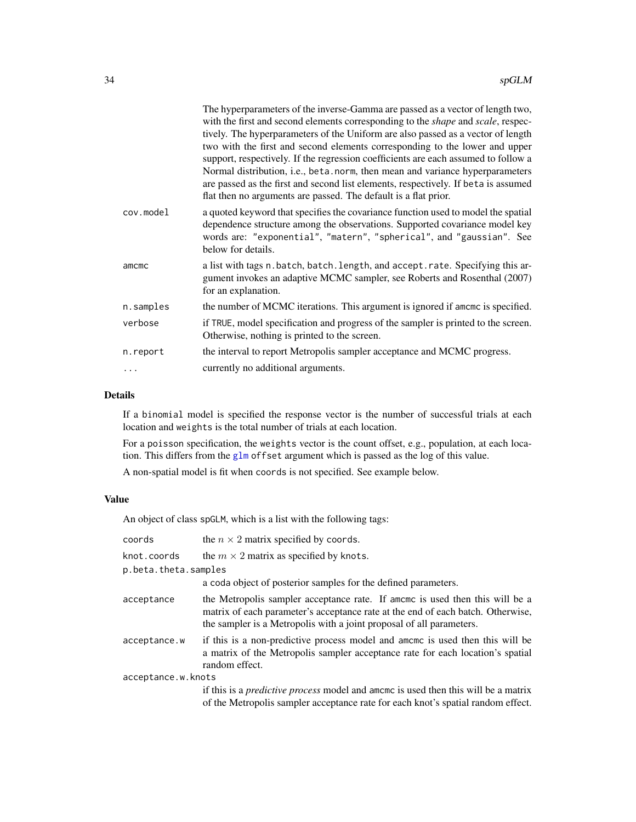|           | The hyperparameters of the inverse-Gamma are passed as a vector of length two,<br>with the first and second elements corresponding to the <i>shape</i> and <i>scale</i> , respec-                                                                                                                                                                                                                                                                                                               |
|-----------|-------------------------------------------------------------------------------------------------------------------------------------------------------------------------------------------------------------------------------------------------------------------------------------------------------------------------------------------------------------------------------------------------------------------------------------------------------------------------------------------------|
|           | tively. The hyperparameters of the Uniform are also passed as a vector of length<br>two with the first and second elements corresponding to the lower and upper<br>support, respectively. If the regression coefficients are each assumed to follow a<br>Normal distribution, i.e., beta. norm, then mean and variance hyperparameters<br>are passed as the first and second list elements, respectively. If beta is assumed<br>flat then no arguments are passed. The default is a flat prior. |
| cov.model | a quoted keyword that specifies the covariance function used to model the spatial<br>dependence structure among the observations. Supported covariance model key<br>words are: "exponential", "matern", "spherical", and "gaussian". See<br>below for details.                                                                                                                                                                                                                                  |
| amcmc     | a list with tags n. batch, batch. length, and accept. rate. Specifying this ar-<br>gument invokes an adaptive MCMC sampler, see Roberts and Rosenthal (2007)<br>for an explanation.                                                                                                                                                                                                                                                                                                             |
| n.samples | the number of MCMC iterations. This argument is ignored if amome is specified.                                                                                                                                                                                                                                                                                                                                                                                                                  |
| verbose   | if TRUE, model specification and progress of the sampler is printed to the screen.<br>Otherwise, nothing is printed to the screen.                                                                                                                                                                                                                                                                                                                                                              |
| n.report  | the interval to report Metropolis sampler acceptance and MCMC progress.                                                                                                                                                                                                                                                                                                                                                                                                                         |
|           | currently no additional arguments.                                                                                                                                                                                                                                                                                                                                                                                                                                                              |
|           |                                                                                                                                                                                                                                                                                                                                                                                                                                                                                                 |

# Details

If a binomial model is specified the response vector is the number of successful trials at each location and weights is the total number of trials at each location.

For a poisson specification, the weights vector is the count offset, e.g., population, at each location. This differs from the [glm](#page-0-0) offset argument which is passed as the log of this value.

A non-spatial model is fit when coords is not specified. See example below.

# Value

An object of class spGLM, which is a list with the following tags:

| coords               | the $n \times 2$ matrix specified by coords.                                                                                                                                                                                            |  |
|----------------------|-----------------------------------------------------------------------------------------------------------------------------------------------------------------------------------------------------------------------------------------|--|
| knot.coords          | the $m \times 2$ matrix as specified by knots.                                                                                                                                                                                          |  |
| p.beta.theta.samples |                                                                                                                                                                                                                                         |  |
|                      | a coda object of posterior samples for the defined parameters.                                                                                                                                                                          |  |
| acceptance           | the Metropolis sampler acceptance rate. If amemc is used then this will be a<br>matrix of each parameter's acceptance rate at the end of each batch. Otherwise,<br>the sampler is a Metropolis with a joint proposal of all parameters. |  |
| acceptance.w         | if this is a non-predictive process model and amome is used then this will be<br>a matrix of the Metropolis sampler acceptance rate for each location's spatial<br>random effect.                                                       |  |
| acceptance.w.knots   |                                                                                                                                                                                                                                         |  |
|                      | if this is a <i>predictive process</i> model and amomo is used then this will be a matrix<br>of the Metropolis sampler acceptance rate for each knot's spatial random effect.                                                           |  |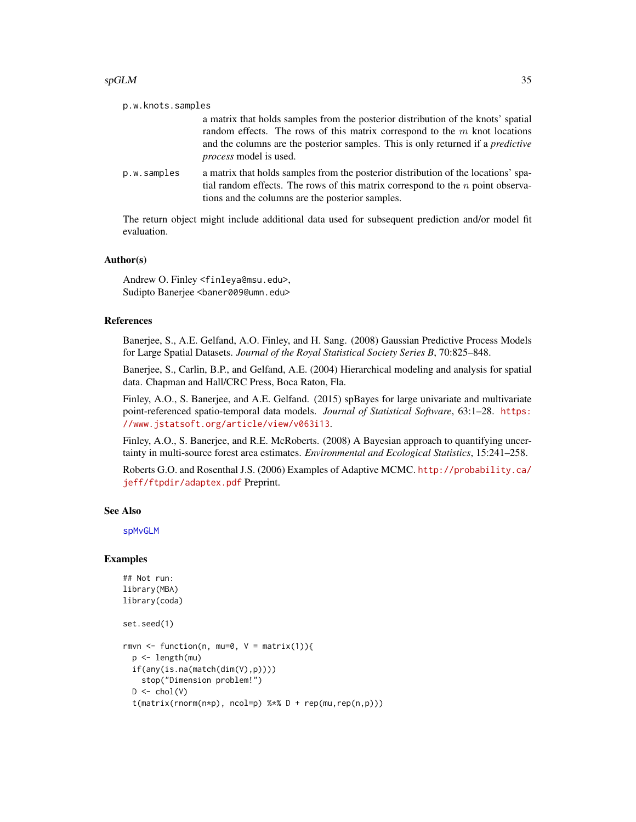#### $s$ pGLM  $35$

| p.w.knots.samples |                                                                                                                                                                                                                                                                                               |
|-------------------|-----------------------------------------------------------------------------------------------------------------------------------------------------------------------------------------------------------------------------------------------------------------------------------------------|
|                   | a matrix that holds samples from the posterior distribution of the knots' spatial<br>random effects. The rows of this matrix correspond to the $m$ knot locations<br>and the columns are the posterior samples. This is only returned if a <i>predictive</i><br><i>process</i> model is used. |
| p.w.samples       | a matrix that holds samples from the posterior distribution of the locations' spa-<br>tial random effects. The rows of this matrix correspond to the $n$ point observa-<br>tions and the columns are the posterior samples.                                                                   |
|                   |                                                                                                                                                                                                                                                                                               |

The return object might include additional data used for subsequent prediction and/or model fit evaluation.

#### Author(s)

Andrew O. Finley <finleya@msu.edu>, Sudipto Banerjee <baner009@umn.edu>

#### References

Banerjee, S., A.E. Gelfand, A.O. Finley, and H. Sang. (2008) Gaussian Predictive Process Models for Large Spatial Datasets. *Journal of the Royal Statistical Society Series B*, 70:825–848.

Banerjee, S., Carlin, B.P., and Gelfand, A.E. (2004) Hierarchical modeling and analysis for spatial data. Chapman and Hall/CRC Press, Boca Raton, Fla.

Finley, A.O., S. Banerjee, and A.E. Gelfand. (2015) spBayes for large univariate and multivariate point-referenced spatio-temporal data models. *Journal of Statistical Software*, 63:1–28. [https:](https://www.jstatsoft.org/article/view/v063i13) [//www.jstatsoft.org/article/view/v063i13](https://www.jstatsoft.org/article/view/v063i13).

Finley, A.O., S. Banerjee, and R.E. McRoberts. (2008) A Bayesian approach to quantifying uncertainty in multi-source forest area estimates. *Environmental and Ecological Statistics*, 15:241–258.

Roberts G.O. and Rosenthal J.S. (2006) Examples of Adaptive MCMC. [http://probability.ca/](http://probability.ca/jeff/ftpdir/adaptex.pdf) [jeff/ftpdir/adaptex.pdf](http://probability.ca/jeff/ftpdir/adaptex.pdf) Preprint.

# See Also

[spMvGLM](#page-51-1)

```
## Not run:
library(MBA)
library(coda)
set.seed(1)
rmvn <- function(n, mu=0, V = matrix(1)){
 p <- length(mu)
 if(any(is.na(match(dim(V),p))))
   stop("Dimension problem!")
 D \leftarrow \text{chol}(V)t(matrix(rnorm(n*p), ncol=p) %*% D + rep(mu,rep(n,p)))
```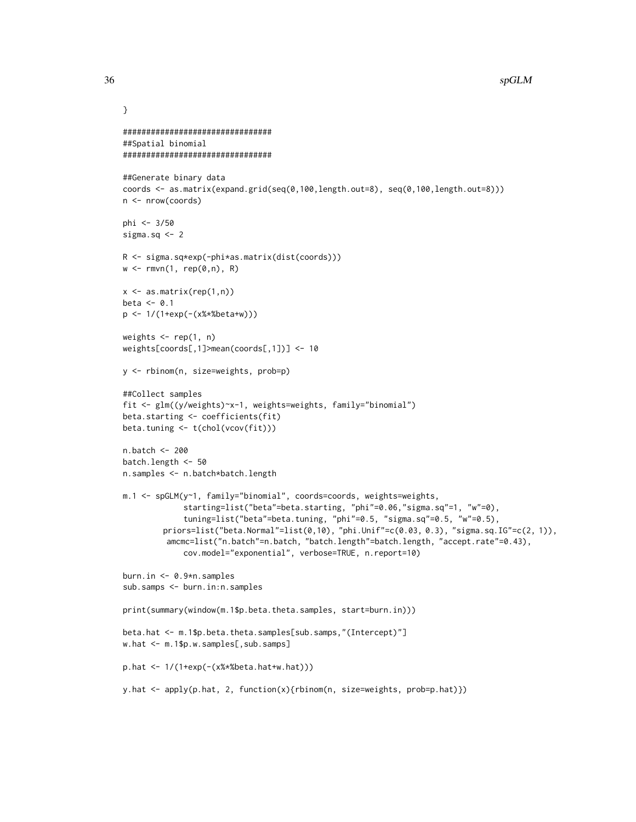```
################################
##Spatial binomial
################################
##Generate binary data
coords <- as.matrix(expand.grid(seq(0,100,length.out=8), seq(0,100,length.out=8)))
n <- nrow(coords)
phi <- 3/50
sigma.sq <-2R <- sigma.sq*exp(-phi*as.matrix(dist(coords)))
w \leq rmvn(1, rep(0,n), R)x <- as.matrix(rep(1,n))
beta \leq 0.1p <- 1/(1+exp(-(x%*%beta+w)))
weights \leq rep(1, n)
weights[coords[,1]>mean(coords[,1])] <- 10
y <- rbinom(n, size=weights, prob=p)
##Collect samples
fit <- glm((y/weights)~x-1, weights=weights, family="binomial")
beta.starting <- coefficients(fit)
beta.tuning <- t(chol(vcov(fit)))
n.batch <- 200
batch.length <- 50
n.samples <- n.batch*batch.length
m.1 <- spGLM(y~1, family="binomial", coords=coords, weights=weights,
             starting=list("beta"=beta.starting, "phi"=0.06,"sigma.sq"=1, "w"=0),
             tuning=list("beta"=beta.tuning, "phi"=0.5, "sigma.sq"=0.5, "w"=0.5),
        priors=list("beta.Normal"=list(0,10), "phi.Unif"=c(0.03, 0.3), "sigma.sq.IG"=c(2, 1)),
         amcmc=list("n.batch"=n.batch, "batch.length"=batch.length, "accept.rate"=0.43),
             cov.model="exponential", verbose=TRUE, n.report=10)
burn.in <- 0.9*n.samples
sub.samps <- burn.in:n.samples
print(summary(window(m.1$p.beta.theta.samples, start=burn.in)))
beta.hat <- m.1$p.beta.theta.samples[sub.samps,"(Intercept)"]
w.hat <- m.1$p.w.samples[,sub.samps]
p.hat <- 1/(1+exp(-(x%*%beta.hat+w.hat)))
y.hat <- apply(p.hat, 2, function(x){rbinom(n, size=weights, prob=p.hat)})
```
}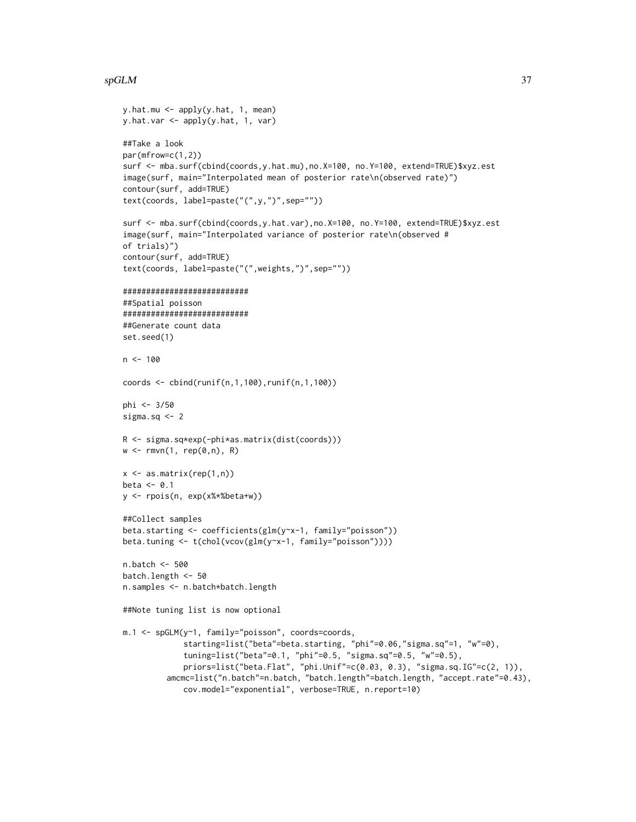### $s$ pGLM  $37$

```
y.hat.mu \leq -apply(y.hat, 1, mean)y.hat.var <- apply(y.hat, 1, var)
##Take a look
par(mfrow=c(1,2))
surf <- mba.surf(cbind(coords,y.hat.mu),no.X=100, no.Y=100, extend=TRUE)$xyz.est
image(surf, main="Interpolated mean of posterior rate\n(observed rate)")
contour(surf, add=TRUE)
text(coords, label=paste("(",y,")",sep=""))
surf <- mba.surf(cbind(coords,y.hat.var),no.X=100, no.Y=100, extend=TRUE)$xyz.est
image(surf, main="Interpolated variance of posterior rate\n(observed #
of trials)")
contour(surf, add=TRUE)
text(coords, label=paste("(",weights,")",sep=""))
###########################
##Spatial poisson
###########################
##Generate count data
set.seed(1)
n < -100coords <- cbind(runif(n,1,100),runif(n,1,100))
phi <- 3/50
sigma.sq <-2R <- sigma.sq*exp(-phi*as.matrix(dist(coords)))
w \leq rmvn(1, rep(0,n), R)x \leq -as.matrix(rep(1,n))beta \leq -0.1y <- rpois(n, exp(x%*%beta+w))
##Collect samples
beta.starting <- coefficients(glm(y~x-1, family="poisson"))
beta.tuning <- t(chol(vcov(glm(y~x-1, family="poisson"))))
n.batch <- 500
batch.length <- 50
n.samples <- n.batch*batch.length
##Note tuning list is now optional
m.1 <- spGLM(y~1, family="poisson", coords=coords,
             starting=list("beta"=beta.starting, "phi"=0.06,"sigma.sq"=1, "w"=0),
             tuning=list("beta"=0.1, "phi"=0.5, "sigma.sq"=0.5, "w"=0.5),
             priors=list("beta.Flat", "phi.Unif"=c(0.03, 0.3), "sigma.sq.IG"=c(2, 1)),
         amcmc=list("n.batch"=n.batch, "batch.length"=batch.length, "accept.rate"=0.43),
             cov.model="exponential", verbose=TRUE, n.report=10)
```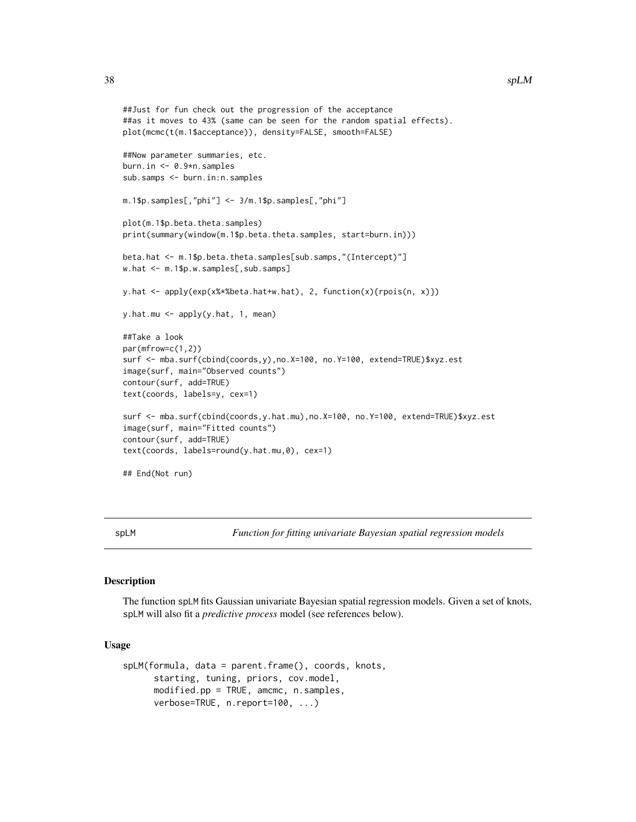```
##Just for fun check out the progression of the acceptance
##as it moves to 43% (same can be seen for the random spatial effects).
plot(mcmc(t(m.1$acceptance)), density=FALSE, smooth=FALSE)
##Now parameter summaries, etc.
burn.in <- 0.9*n.samples
sub.samps <- burn.in:n.samples
m.1$p.samples[,"phi"] <- 3/m.1$p.samples[,"phi"]
plot(m.1$p.beta.theta.samples)
print(summary(window(m.1$p.beta.theta.samples, start=burn.in)))
beta.hat <- m.1$p.beta.theta.samples[sub.samps,"(Intercept)"]
w.hat <- m.1$p.w.samples[,sub.samps]
y.hat <- apply(exp(x%*%beta.hat+w.hat), 2, function(x){rpois(n, x)})
y.hat.mu <- apply(y.hat, 1, mean)
##Take a look
par(mfrow=c(1,2))
surf <- mba.surf(cbind(coords,y),no.X=100, no.Y=100, extend=TRUE)$xyz.est
image(surf, main="Observed counts")
contour(surf, add=TRUE)
text(coords, labels=y, cex=1)
surf <- mba.surf(cbind(coords,y.hat.mu),no.X=100, no.Y=100, extend=TRUE)$xyz.est
image(surf, main="Fitted counts")
contour(surf, add=TRUE)
text(coords, labels=round(y.hat.mu,0), cex=1)
## End(Not run)
```
<span id="page-37-0"></span>spLM *Function for fitting univariate Bayesian spatial regression models*

# Description

The function spLM fits Gaussian univariate Bayesian spatial regression models. Given a set of knots, spLM will also fit a *predictive process* model (see references below).

# Usage

```
spLM(formula, data = parent.frame(), coords, knots,
     starting, tuning, priors, cov.model,
     modified.pp = TRUE, amcmc, n.samples,
     verbose=TRUE, n.report=100, ...)
```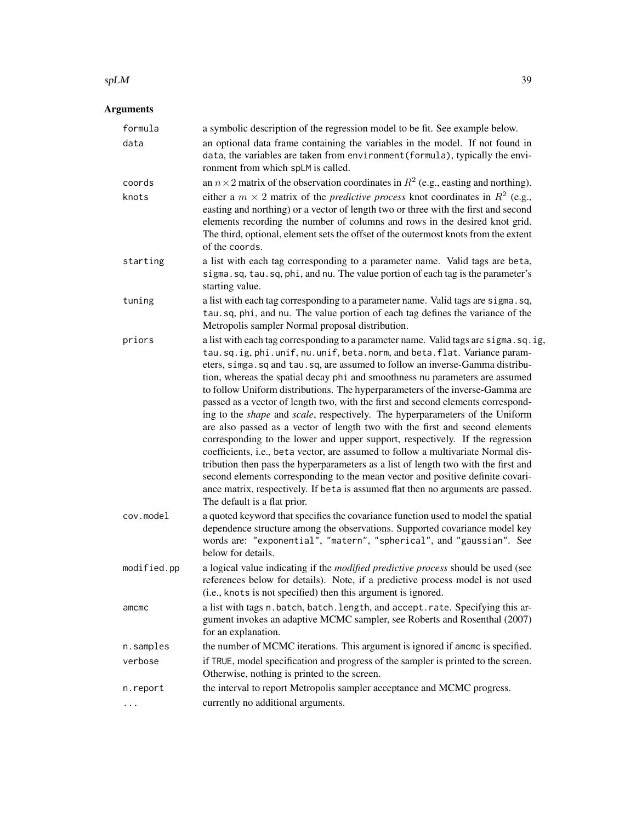#### $splM$  39

| formula     | a symbolic description of the regression model to be fit. See example below.                                                                                                                                                                                                                                                                                                                                                                                                                                                                                                                                                                                                                                                                                                                                                                                                                                                                                                                                                                                                                                                                           |
|-------------|--------------------------------------------------------------------------------------------------------------------------------------------------------------------------------------------------------------------------------------------------------------------------------------------------------------------------------------------------------------------------------------------------------------------------------------------------------------------------------------------------------------------------------------------------------------------------------------------------------------------------------------------------------------------------------------------------------------------------------------------------------------------------------------------------------------------------------------------------------------------------------------------------------------------------------------------------------------------------------------------------------------------------------------------------------------------------------------------------------------------------------------------------------|
| data        | an optional data frame containing the variables in the model. If not found in<br>data, the variables are taken from environment (formula), typically the envi-<br>ronment from which spLM is called.                                                                                                                                                                                                                                                                                                                                                                                                                                                                                                                                                                                                                                                                                                                                                                                                                                                                                                                                                   |
| coords      | an $n \times 2$ matrix of the observation coordinates in $R^2$ (e.g., easting and northing).                                                                                                                                                                                                                                                                                                                                                                                                                                                                                                                                                                                                                                                                                                                                                                                                                                                                                                                                                                                                                                                           |
| knots       | either a $m \times 2$ matrix of the <i>predictive process</i> knot coordinates in $R^2$ (e.g.,<br>easting and northing) or a vector of length two or three with the first and second<br>elements recording the number of columns and rows in the desired knot grid.<br>The third, optional, element sets the offset of the outermost knots from the extent<br>of the coords.                                                                                                                                                                                                                                                                                                                                                                                                                                                                                                                                                                                                                                                                                                                                                                           |
| starting    | a list with each tag corresponding to a parameter name. Valid tags are beta,<br>sigma.sq, tau.sq, phi, and nu. The value portion of each tag is the parameter's<br>starting value.                                                                                                                                                                                                                                                                                                                                                                                                                                                                                                                                                                                                                                                                                                                                                                                                                                                                                                                                                                     |
| tuning      | a list with each tag corresponding to a parameter name. Valid tags are sigma.sq,<br>tau.sq, phi, and nu. The value portion of each tag defines the variance of the<br>Metropolis sampler Normal proposal distribution.                                                                                                                                                                                                                                                                                                                                                                                                                                                                                                                                                                                                                                                                                                                                                                                                                                                                                                                                 |
| priors      | a list with each tag corresponding to a parameter name. Valid tags are sigma.sq.ig,<br>tau.sq.ig, phi.unif, nu.unif, beta.norm, and beta.flat. Variance param-<br>eters, simga. sq and tau. sq, are assumed to follow an inverse-Gamma distribu-<br>tion, whereas the spatial decay phi and smoothness nu parameters are assumed<br>to follow Uniform distributions. The hyperparameters of the inverse-Gamma are<br>passed as a vector of length two, with the first and second elements correspond-<br>ing to the <i>shape</i> and <i>scale</i> , respectively. The hyperparameters of the Uniform<br>are also passed as a vector of length two with the first and second elements<br>corresponding to the lower and upper support, respectively. If the regression<br>coefficients, i.e., beta vector, are assumed to follow a multivariate Normal dis-<br>tribution then pass the hyperparameters as a list of length two with the first and<br>second elements corresponding to the mean vector and positive definite covari-<br>ance matrix, respectively. If beta is assumed flat then no arguments are passed.<br>The default is a flat prior. |
| cov.model   | a quoted keyword that specifies the covariance function used to model the spatial<br>dependence structure among the observations. Supported covariance model key<br>words are: "exponential", "matern", "spherical", and "gaussian". See<br>below for details.                                                                                                                                                                                                                                                                                                                                                                                                                                                                                                                                                                                                                                                                                                                                                                                                                                                                                         |
| modified.pp | a logical value indicating if the <i>modified predictive process</i> should be used (see<br>references below for details). Note, if a predictive process model is not used<br>(i.e., knots is not specified) then this argument is ignored.                                                                                                                                                                                                                                                                                                                                                                                                                                                                                                                                                                                                                                                                                                                                                                                                                                                                                                            |
| amcmc       | a list with tags n. batch, batch. length, and accept. rate. Specifying this ar-<br>gument invokes an adaptive MCMC sampler, see Roberts and Rosenthal (2007)<br>for an explanation.                                                                                                                                                                                                                                                                                                                                                                                                                                                                                                                                                                                                                                                                                                                                                                                                                                                                                                                                                                    |
| n.samples   | the number of MCMC iterations. This argument is ignored if amcmc is specified.                                                                                                                                                                                                                                                                                                                                                                                                                                                                                                                                                                                                                                                                                                                                                                                                                                                                                                                                                                                                                                                                         |
| verbose     | if TRUE, model specification and progress of the sampler is printed to the screen.<br>Otherwise, nothing is printed to the screen.                                                                                                                                                                                                                                                                                                                                                                                                                                                                                                                                                                                                                                                                                                                                                                                                                                                                                                                                                                                                                     |
| n.report    | the interval to report Metropolis sampler acceptance and MCMC progress.                                                                                                                                                                                                                                                                                                                                                                                                                                                                                                                                                                                                                                                                                                                                                                                                                                                                                                                                                                                                                                                                                |
|             | currently no additional arguments.                                                                                                                                                                                                                                                                                                                                                                                                                                                                                                                                                                                                                                                                                                                                                                                                                                                                                                                                                                                                                                                                                                                     |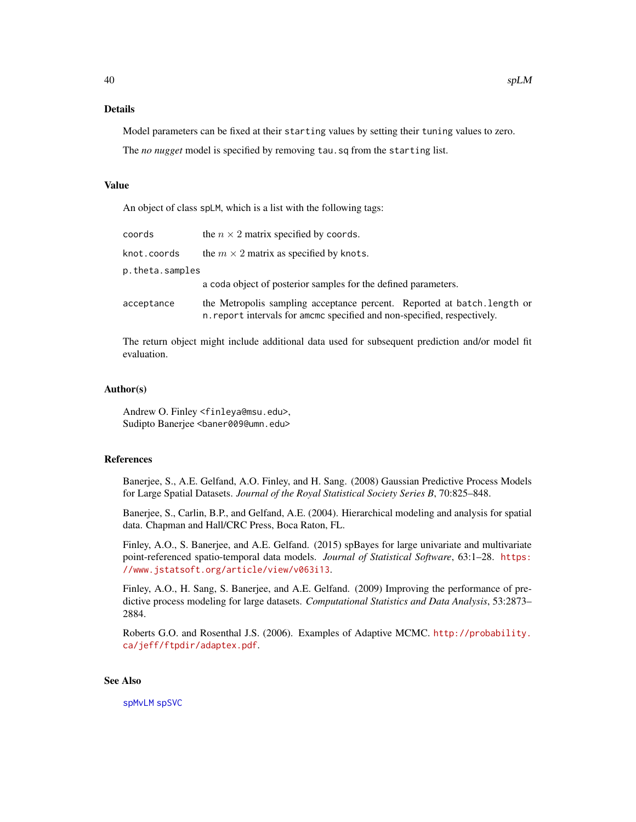# Details

Model parameters can be fixed at their starting values by setting their tuning values to zero.

The *no nugget* model is specified by removing tau.sq from the starting list.

#### Value

An object of class spLM, which is a list with the following tags:

| coords          | the $n \times 2$ matrix specified by coords.                                                                                                         |  |
|-----------------|------------------------------------------------------------------------------------------------------------------------------------------------------|--|
| knot.coords     | the $m \times 2$ matrix as specified by knots.                                                                                                       |  |
| p.theta.samples |                                                                                                                                                      |  |
|                 | a coda object of posterior samples for the defined parameters.                                                                                       |  |
| acceptance      | the Metropolis sampling acceptance percent. Reported at batch. Length or<br>n. report intervals for amomo specified and non-specified, respectively. |  |

The return object might include additional data used for subsequent prediction and/or model fit evaluation.

# Author(s)

Andrew O. Finley <finleya@msu.edu>, Sudipto Banerjee <baner009@umn.edu>

### References

Banerjee, S., A.E. Gelfand, A.O. Finley, and H. Sang. (2008) Gaussian Predictive Process Models for Large Spatial Datasets. *Journal of the Royal Statistical Society Series B*, 70:825–848.

Banerjee, S., Carlin, B.P., and Gelfand, A.E. (2004). Hierarchical modeling and analysis for spatial data. Chapman and Hall/CRC Press, Boca Raton, FL.

Finley, A.O., S. Banerjee, and A.E. Gelfand. (2015) spBayes for large univariate and multivariate point-referenced spatio-temporal data models. *Journal of Statistical Software*, 63:1–28. [https:](https://www.jstatsoft.org/article/view/v063i13) [//www.jstatsoft.org/article/view/v063i13](https://www.jstatsoft.org/article/view/v063i13).

Finley, A.O., H. Sang, S. Banerjee, and A.E. Gelfand. (2009) Improving the performance of predictive process modeling for large datasets. *Computational Statistics and Data Analysis*, 53:2873– 2884.

Roberts G.O. and Rosenthal J.S. (2006). Examples of Adaptive MCMC. [http://probability.](http://probability.ca/jeff/ftpdir/adaptex.pdf) [ca/jeff/ftpdir/adaptex.pdf](http://probability.ca/jeff/ftpdir/adaptex.pdf).

# See Also

[spMvLM](#page-56-0) [spSVC](#page-67-0)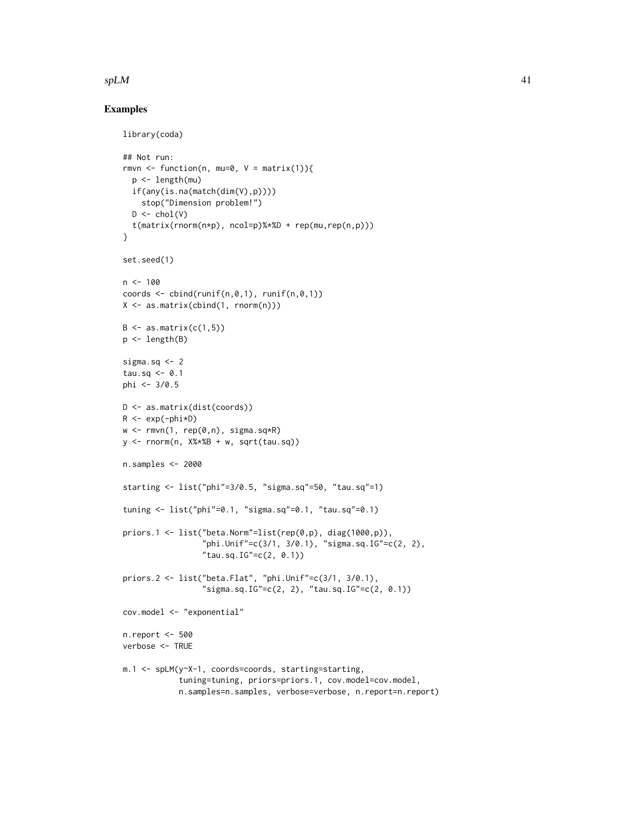# $splM$  41

```
library(coda)
## Not run:
rmvn <- function(n, mu=0, V = matrix(1)){
  p <- length(mu)
  if(any(is.na(match(dim(V),p))))
    stop("Dimension problem!")
  D \leftarrow \text{chol}(V)t(matrix(rnorm(n*p), ncol=p)%*%D + rep(mu,rep(n,p)))
}
set.seed(1)
n < -100coords \leq cbind(runif(n,0,1), runif(n,0,1))
X <- as.matrix(cbind(1, rnorm(n)))
B \leftarrow as.matrix(c(1,5))p \leftarrow length(B)sigma.sq <-2tau.sq \leq -0.1phi <- 3/0.5
D <- as.matrix(dist(coords))
R \leq -\exp(-\text{phi} \cdot \text{p})w \leq -r m v n(1, rep(\emptyset, n), signa.sq*R)y <- rnorm(n, X%*%B + w, sqrt(tau.sq))
n.samples <- 2000
starting <- list("phi"=3/0.5, "sigma.sq"=50, "tau.sq"=1)
tuning <- list("phi"=0.1, "sigma.sq"=0.1, "tau.sq"=0.1)
priors.1 <- list("beta.Norm"=list(rep(0,p), diag(1000,p)),
                  "phi.Unif"=c(3/1, 3/0.1), "sigma.sq.IG"=c(2, 2),
                  "tau.sq.IG" = c(2, 0.1))priors.2 <- list("beta.Flat", "phi.Unif"=c(3/1, 3/0.1),
                  "sigma.sq.IG"=c(2, 2), "tau.sq.IG"=c(2, 0.1))
cov.model <- "exponential"
n.report <- 500
verbose <- TRUE
m.1 <- spLM(y~X-1, coords=coords, starting=starting,
             tuning=tuning, priors=priors.1, cov.model=cov.model,
             n.samples=n.samples, verbose=verbose, n.report=n.report)
```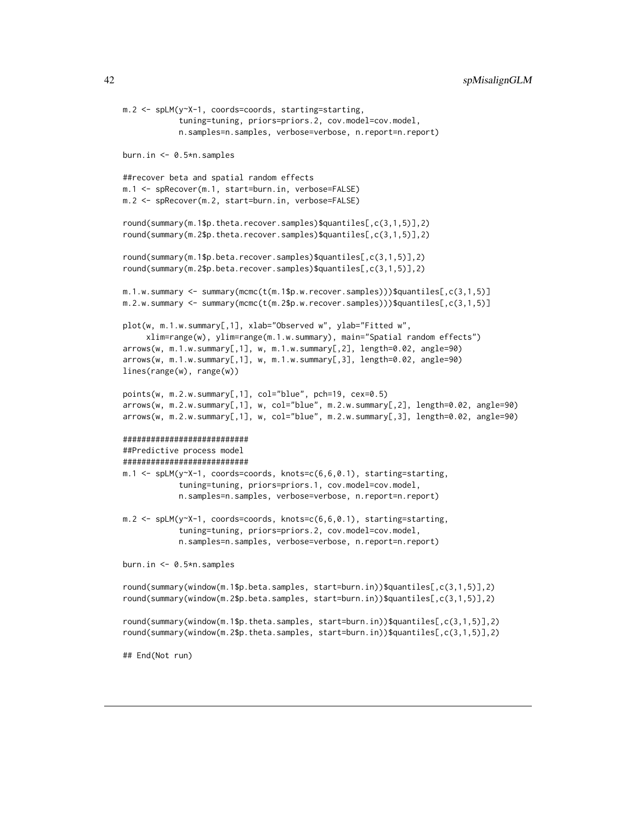```
m.2 <- spLM(y~X-1, coords=coords, starting=starting,
            tuning=tuning, priors=priors.2, cov.model=cov.model,
            n.samples=n.samples, verbose=verbose, n.report=n.report)
burn.in <- 0.5*n.samples
##recover beta and spatial random effects
m.1 <- spRecover(m.1, start=burn.in, verbose=FALSE)
m.2 <- spRecover(m.2, start=burn.in, verbose=FALSE)
round(summary(m.1$p.theta.recover.samples)$quantiles[,c(3,1,5)],2)
round(summary(m.2$p.theta.recover.samples)$quantiles[,c(3,1,5)],2)
round(summary(m.1$p.beta.recover.samples)$quantiles[,c(3,1,5)],2)
round(summary(m.2$p.beta.recover.samples)$quantiles[,c(3,1,5)],2)
m.1.w.summary <- summary(mcmc(t(m.1$p.w.recover.samples)))$quantiles[,c(3,1,5)]
m.2.w.summary \leq summary(mcmc(t(m.2$p.w.recover.samples)))$quantiles[,c(3,1,5)]
plot(w, m.1.w.summary[,1], xlab="Observed w", ylab="Fitted w",
     xlim=range(w), ylim=range(m.1.w.summary), main="Spatial random effects")
arrows(w, m.1.w.summary[,1], w, m.1.w.summary[,2], length=0.02, angle=90)
arrows(w, m.1.w.summary[,1], w, m.1.w.summary[,3], length=0.02, angle=90)
lines(range(w), range(w))
points(w, m.2.w.summary[,1], col="blue", pch=19, cex=0.5)
arrows(w, m.2.w.summary[,1], w, col="blue", m.2.w.summary[,2], length=0.02, angle=90)
arrows(w, m.2.w.summary[,1], w, col="blue", m.2.w.summary[,3], length=0.02, angle=90)
###########################
##Predictive process model
###########################
m.1 <- spLM(y~X-1, coords=coords, knots=c(6,6,0.1), starting=starting,
            tuning=tuning, priors=priors.1, cov.model=cov.model,
            n.samples=n.samples, verbose=verbose, n.report=n.report)
m.2 <- spLM(y~X-1, coords=coords, knots=c(6,6,0.1), starting=starting,
            tuning=tuning, priors=priors.2, cov.model=cov.model,
            n.samples=n.samples, verbose=verbose, n.report=n.report)
burn.in <- 0.5*n.samples
round(summary(window(m.1$p.beta.samples, start=burn.in))$quantiles[,c(3,1,5)],2)
round(summary(window(m.2$p.beta.samples, start=burn.in))$quantiles[,c(3,1,5)],2)
round(summary(window(m.1$p.theta.samples, start=burn.in))$quantiles[,c(3,1,5)],2)
round(summary(window(m.2$p.theta.samples, start=burn.in))$quantiles[,c(3,1,5)],2)
## End(Not run)
```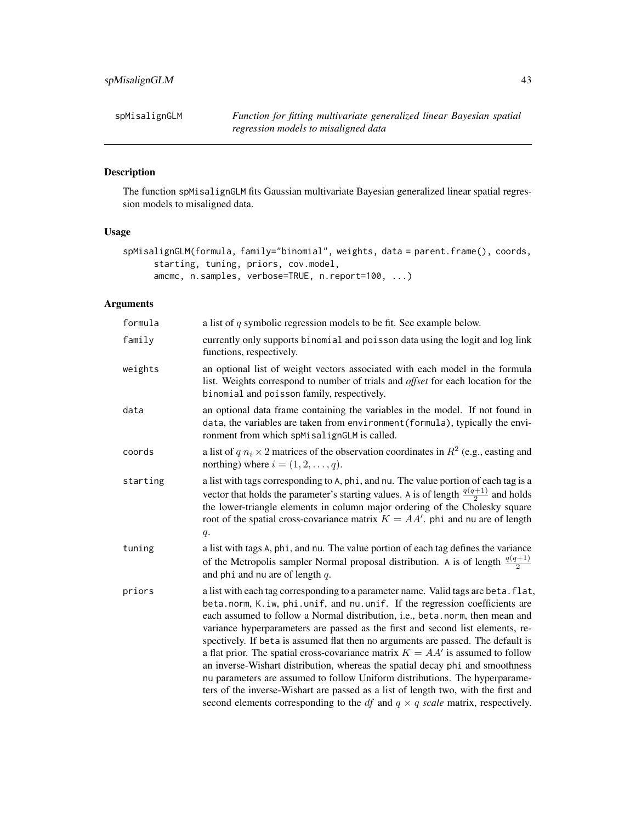spMisalignGLM *Function for fitting multivariate generalized linear Bayesian spatial regression models to misaligned data*

# Description

The function spMisalignGLM fits Gaussian multivariate Bayesian generalized linear spatial regression models to misaligned data.

# Usage

```
spMisalignGLM(formula, family="binomial", weights, data = parent.frame(), coords,
      starting, tuning, priors, cov.model,
      amcmc, n.samples, verbose=TRUE, n.report=100, ...)
```

| formula  | a list of $q$ symbolic regression models to be fit. See example below.                                                                                                                                                                                                                                                                                                                                                                                                                                                                                                                                                                                                                                                                                                                                                                                          |
|----------|-----------------------------------------------------------------------------------------------------------------------------------------------------------------------------------------------------------------------------------------------------------------------------------------------------------------------------------------------------------------------------------------------------------------------------------------------------------------------------------------------------------------------------------------------------------------------------------------------------------------------------------------------------------------------------------------------------------------------------------------------------------------------------------------------------------------------------------------------------------------|
| family   | currently only supports binomial and poisson data using the logit and log link<br>functions, respectively.                                                                                                                                                                                                                                                                                                                                                                                                                                                                                                                                                                                                                                                                                                                                                      |
| weights  | an optional list of weight vectors associated with each model in the formula<br>list. Weights correspond to number of trials and <i>offset</i> for each location for the<br>binomial and poisson family, respectively.                                                                                                                                                                                                                                                                                                                                                                                                                                                                                                                                                                                                                                          |
| data     | an optional data frame containing the variables in the model. If not found in<br>data, the variables are taken from environment (formula), typically the envi-<br>ronment from which spMisalignGLM is called.                                                                                                                                                                                                                                                                                                                                                                                                                                                                                                                                                                                                                                                   |
| coords   | a list of $q n_i \times 2$ matrices of the observation coordinates in $R^2$ (e.g., easting and<br>northing) where $i = (1, 2, \ldots, q)$ .                                                                                                                                                                                                                                                                                                                                                                                                                                                                                                                                                                                                                                                                                                                     |
| starting | a list with tags corresponding to A, phi, and nu. The value portion of each tag is a<br>vector that holds the parameter's starting values. A is of length $\frac{q(q+1)}{2}$ and holds<br>the lower-triangle elements in column major ordering of the Cholesky square<br>root of the spatial cross-covariance matrix $K = AA'$ . phi and nu are of length<br>$q$ .                                                                                                                                                                                                                                                                                                                                                                                                                                                                                              |
| tuning   | a list with tags A, phi, and nu. The value portion of each tag defines the variance<br>of the Metropolis sampler Normal proposal distribution. A is of length $\frac{q(q+1)}{2}$<br>and phi and nu are of length $q$ .                                                                                                                                                                                                                                                                                                                                                                                                                                                                                                                                                                                                                                          |
| priors   | a list with each tag corresponding to a parameter name. Valid tags are beta. flat,<br>beta.norm, K.iw, phi.unif, and nu.unif. If the regression coefficients are<br>each assumed to follow a Normal distribution, i.e., beta.norm, then mean and<br>variance hyperparameters are passed as the first and second list elements, re-<br>spectively. If beta is assumed flat then no arguments are passed. The default is<br>a flat prior. The spatial cross-covariance matrix $K = AA'$ is assumed to follow<br>an inverse-Wishart distribution, whereas the spatial decay phi and smoothness<br>nu parameters are assumed to follow Uniform distributions. The hyperparame-<br>ters of the inverse-Wishart are passed as a list of length two, with the first and<br>second elements corresponding to the <i>df</i> and $q \times q$ scale matrix, respectively. |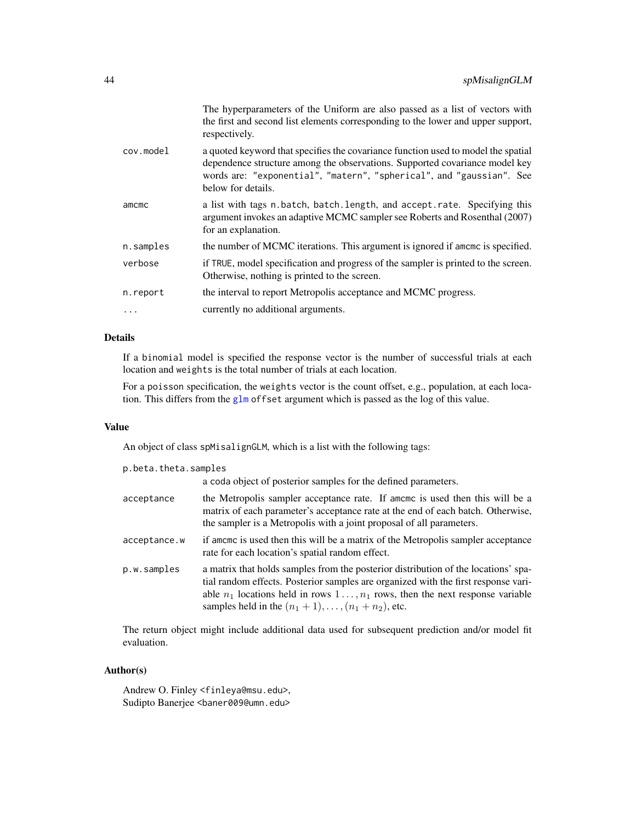|           | The hyperparameters of the Uniform are also passed as a list of vectors with<br>the first and second list elements corresponding to the lower and upper support,<br>respectively.                                                                              |
|-----------|----------------------------------------------------------------------------------------------------------------------------------------------------------------------------------------------------------------------------------------------------------------|
| cov.model | a quoted keyword that specifies the covariance function used to model the spatial<br>dependence structure among the observations. Supported covariance model key<br>words are: "exponential", "matern", "spherical", and "gaussian". See<br>below for details. |
| amcmc     | a list with tags n.batch, batch.length, and accept.rate. Specifying this<br>argument invokes an adaptive MCMC sampler see Roberts and Rosenthal (2007)<br>for an explanation.                                                                                  |
| n.samples | the number of MCMC iterations. This argument is ignored if amome is specified.                                                                                                                                                                                 |
| verbose   | if TRUE, model specification and progress of the sampler is printed to the screen.<br>Otherwise, nothing is printed to the screen.                                                                                                                             |
| n.report  | the interval to report Metropolis acceptance and MCMC progress.                                                                                                                                                                                                |
| .         | currently no additional arguments.                                                                                                                                                                                                                             |
|           |                                                                                                                                                                                                                                                                |

# Details

If a binomial model is specified the response vector is the number of successful trials at each location and weights is the total number of trials at each location.

For a poisson specification, the weights vector is the count offset, e.g., population, at each location. This differs from the [glm](#page-0-0) offset argument which is passed as the log of this value.

# Value

An object of class spMisalignGLM, which is a list with the following tags:

| p.beta.theta.samples |                                                                                                                                                                                                                                                                                                                                   |  |
|----------------------|-----------------------------------------------------------------------------------------------------------------------------------------------------------------------------------------------------------------------------------------------------------------------------------------------------------------------------------|--|
|                      | a coda object of posterior samples for the defined parameters.                                                                                                                                                                                                                                                                    |  |
| acceptance           | the Metropolis sampler acceptance rate. If amome is used then this will be a<br>matrix of each parameter's acceptance rate at the end of each batch. Otherwise,<br>the sampler is a Metropolis with a joint proposal of all parameters.                                                                                           |  |
| acceptance.w         | if amome is used then this will be a matrix of the Metropolis sampler acceptance<br>rate for each location's spatial random effect.                                                                                                                                                                                               |  |
| p.w.samples          | a matrix that holds samples from the posterior distribution of the locations' spa-<br>tial random effects. Posterior samples are organized with the first response vari-<br>able $n_1$ locations held in rows $1 \dots, n_1$ rows, then the next response variable<br>samples held in the $(n_1 + 1), \ldots, (n_1 + n_2)$ , etc. |  |

The return object might include additional data used for subsequent prediction and/or model fit evaluation.

# Author(s)

Andrew O. Finley <finleya@msu.edu>, Sudipto Banerjee <baner009@umn.edu>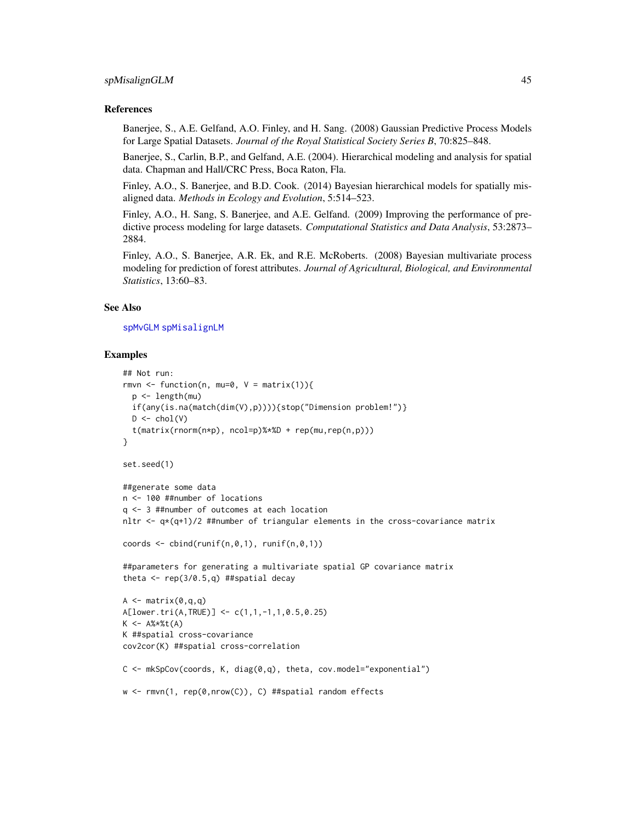### spMisalignGLM 45

### References

Banerjee, S., A.E. Gelfand, A.O. Finley, and H. Sang. (2008) Gaussian Predictive Process Models for Large Spatial Datasets. *Journal of the Royal Statistical Society Series B*, 70:825–848.

Banerjee, S., Carlin, B.P., and Gelfand, A.E. (2004). Hierarchical modeling and analysis for spatial data. Chapman and Hall/CRC Press, Boca Raton, Fla.

Finley, A.O., S. Banerjee, and B.D. Cook. (2014) Bayesian hierarchical models for spatially misaligned data. *Methods in Ecology and Evolution*, 5:514–523.

Finley, A.O., H. Sang, S. Banerjee, and A.E. Gelfand. (2009) Improving the performance of predictive process modeling for large datasets. *Computational Statistics and Data Analysis*, 53:2873– 2884.

Finley, A.O., S. Banerjee, A.R. Ek, and R.E. McRoberts. (2008) Bayesian multivariate process modeling for prediction of forest attributes. *Journal of Agricultural, Biological, and Environmental Statistics*, 13:60–83.

## See Also

#### [spMvGLM](#page-51-0) [spMisalignLM](#page-46-0)

```
## Not run:
rmvn <- function(n, mu=0, V = matrix(1)){
  p <- length(mu)
  if(any(is.na(match(dim(V),p)))){stop("Dimension problem!")}
  D \leftarrow \text{chol}(V)t(matrix(rnorm(n*p), ncol=p)%*%D + rep(mu,rep(n,p)))}
set.seed(1)
##generate some data
n <- 100 ##number of locations
q <- 3 ##number of outcomes at each location
nltr \leq q*(q+1)/2 ##number of triangular elements in the cross-covariance matrix
coords \le cbind(runif(n,0,1), runif(n,0,1))
##parameters for generating a multivariate spatial GP covariance matrix
theta \leq rep(3/0.5,q) ##spatial decay
A \leq matrix(0,q,q)
A[lower.tri(A,TRUE)] <- c(1,1,-1,1,0.5,0.25)
K <- A%*%t(A)
K ##spatial cross-covariance
cov2cor(K) ##spatial cross-correlation
C \leq -mkSpCov(coords, K, diag(0,q), theta, cov.model="exponential")w <- rmvn(1, rep(0,nrow(C)), C) ##spatial random effects
```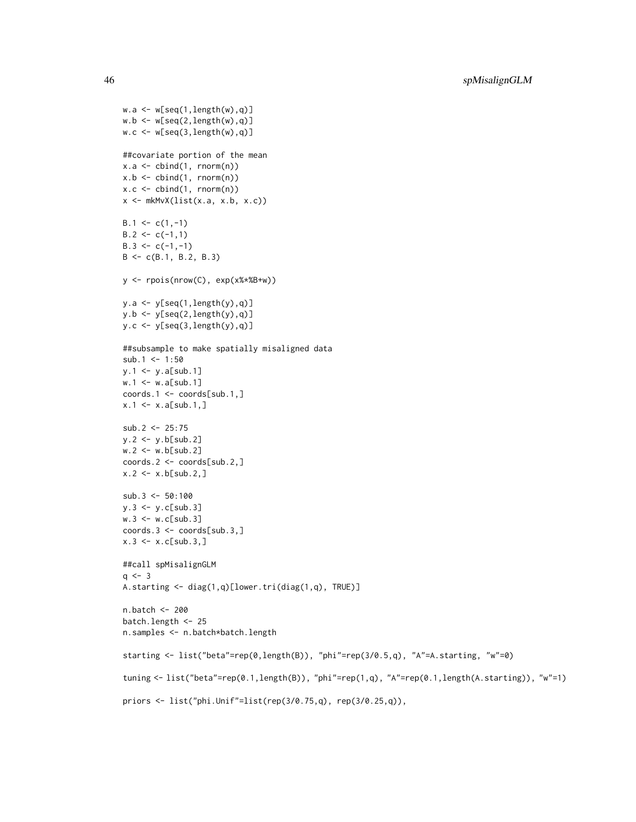```
w.a \leftarrow w[seq(1, length(w), q)]w.b \leftarrow w[seq(2, length(w), q)]w.c \le w[\text{seq}(3, \text{length}(w), q)]##covariate portion of the mean
x.a \leftarrow \text{cbind}(1, \text{rnorm}(n))x.b \leq b cbind(1, rnorm(n))
x.c \le cbind(1, rnorm(n))
x \leftarrow mkMvx(list(x.a, x.b, x.c))B.1 \leftarrow c(1,-1)B.2 \leq c(-1,1)B.3 \leq c(-1,-1)B \leq -c(B.1, B.2, B.3)y <- rpois(nrow(C), exp(x%*%B+w))
y.a \leftarrow y[seq(1, length(y), q)]y.b \leftarrow y[seq(2, length(y), q)]y.c \leftarrow y[seq(3, length(y), q)]##subsample to make spatially misaligned data
sub.1 < -1:50y.1 \leftarrow y.a[sub.1]w.1 \le w.a[sub.1]coords.1 <- coords[sub.1,]
x.1 \le x.a[sub.1,]sub.2 < -25:75y.2 <- y.b[sub.2]
w.2 < -w.b[sub.2]coords.2 <- coords[sub.2,]
x.2 < -x.b[sub.2, ]sub.3 < -50:100y.3 <- y.c[sub.3]
w.3 \leftarrow w.c[sub.3]coords.3 <- coords[sub.3,]
x.3 \le x. c[sub.3, ]##call spMisalignGLM
q \le -3A.starting <- diag(1,q)[lower.tri(diag(1,q), TRUE)]
n.batch <- 200
batch.length <- 25
n.samples <- n.batch*batch.length
starting <- list("beta"=rep(0,length(B)), "phi"=rep(3/0.5,q), "A"=A.starting, "w"=0)
tuning <- list("beta"=rep(0.1,length(B)), "phi"=rep(1,q), "A"=rep(0.1,length(A.starting)), "w"=1)
priors <- list("phi.Unif"=list(rep(3/0.75,q), rep(3/0.25,q)),
```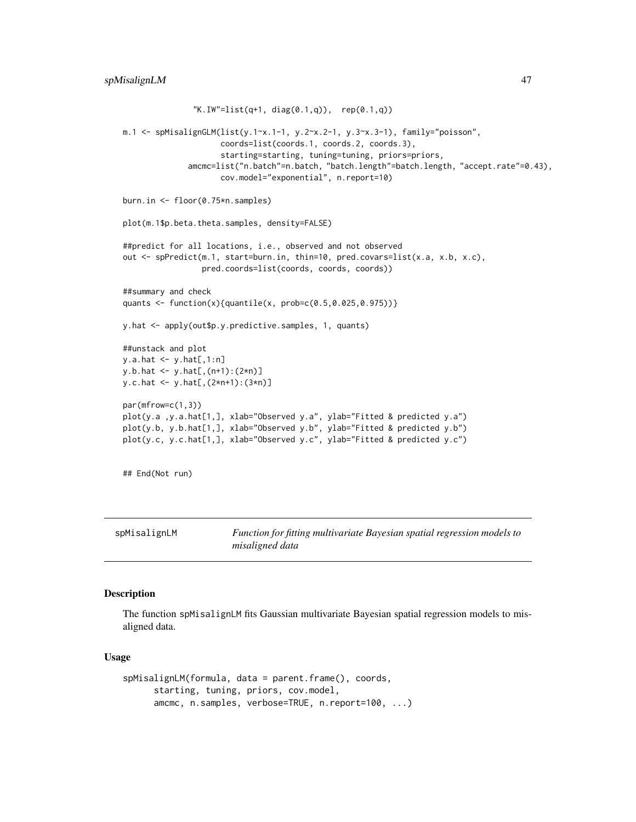```
"K.IW" = list(q+1, diag(0.1,q)), rep(0.1,q))m.1 <- spMisalignGLM(list(y.1~x.1-1, y.2~x.2-1, y.3~x.3-1), family="poisson",
                     coords=list(coords.1, coords.2, coords.3),
                     starting=starting, tuning=tuning, priors=priors,
              amcmc=list("n.batch"=n.batch, "batch.length"=batch.length, "accept.rate"=0.43),
                     cov.model="exponential", n.report=10)
burn.in <- floor(0.75*n.samples)
plot(m.1$p.beta.theta.samples, density=FALSE)
##predict for all locations, i.e., observed and not observed
out <- spPredict(m.1, start=burn.in, thin=10, pred.covars=list(x.a, x.b, x.c),
                 pred.coords=list(coords, coords, coords))
##summary and check
quants <- function(x){quantile(x, prob=c(0.5,0.025,0.975))}
y.hat <- apply(out$p.y.predictive.samples, 1, quants)
##unstack and plot
y.a.hat <- y.hat[,1:n]
y.b.hat <- y.hat[,(n+1):(2*n)]
y.c.hat <- y.hat[,(2*n+1):(3*n)]
par(mfrow=c(1,3))
plot(y.a ,y.a.hat[1,], xlab="Observed y.a", ylab="Fitted & predicted y.a")
plot(y.b, y.b.hat[1,], xlab="Observed y.b", ylab="Fitted & predicted y.b")
plot(y.c, y.c.hat[1,], xlab="Observed y.c", ylab="Fitted & predicted y.c")
```

```
## End(Not run)
```
<span id="page-46-0"></span>

spMisalignLM *Function for fitting multivariate Bayesian spatial regression models to misaligned data*

# Description

The function spMisalignLM fits Gaussian multivariate Bayesian spatial regression models to misaligned data.

#### Usage

```
spMisalignLM(formula, data = parent.frame(), coords,
     starting, tuning, priors, cov.model,
     amcmc, n.samples, verbose=TRUE, n.report=100, ...)
```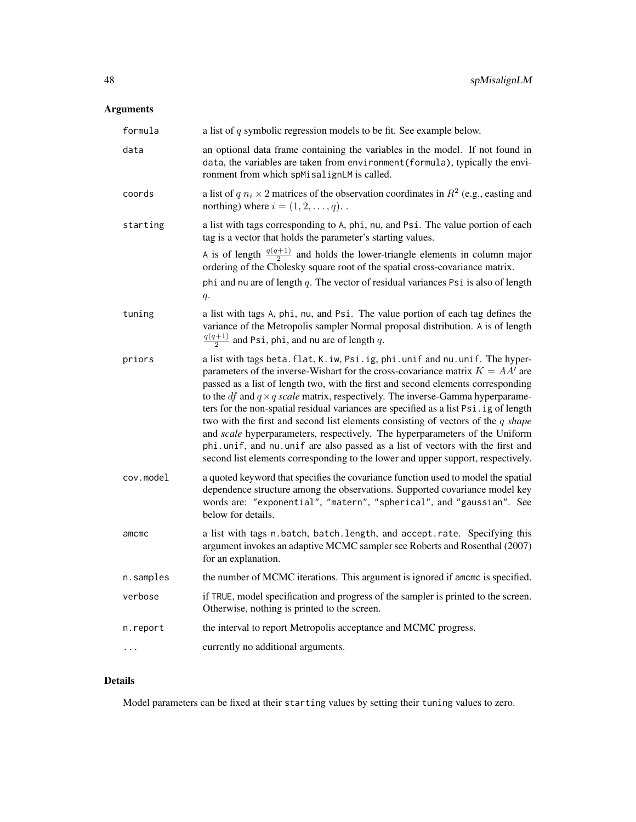# Arguments

| formula   | a list of $q$ symbolic regression models to be fit. See example below.                                                                                                                                                                                                                                                                                                                                                                                                                                                                                                                                                                                                                                                                                                                   |
|-----------|------------------------------------------------------------------------------------------------------------------------------------------------------------------------------------------------------------------------------------------------------------------------------------------------------------------------------------------------------------------------------------------------------------------------------------------------------------------------------------------------------------------------------------------------------------------------------------------------------------------------------------------------------------------------------------------------------------------------------------------------------------------------------------------|
| data      | an optional data frame containing the variables in the model. If not found in<br>data, the variables are taken from environment (formula), typically the envi-<br>ronment from which spMisalignLM is called.                                                                                                                                                                                                                                                                                                                                                                                                                                                                                                                                                                             |
| coords    | a list of $q n_i \times 2$ matrices of the observation coordinates in $R^2$ (e.g., easting and<br>northing) where $i = (1, 2, \dots, q)$ .                                                                                                                                                                                                                                                                                                                                                                                                                                                                                                                                                                                                                                               |
| starting  | a list with tags corresponding to A, phi, nu, and Psi. The value portion of each<br>tag is a vector that holds the parameter's starting values.                                                                                                                                                                                                                                                                                                                                                                                                                                                                                                                                                                                                                                          |
|           | A is of length $\frac{q(q+1)}{2}$ and holds the lower-triangle elements in column major<br>ordering of the Cholesky square root of the spatial cross-covariance matrix.                                                                                                                                                                                                                                                                                                                                                                                                                                                                                                                                                                                                                  |
|           | phi and nu are of length $q$ . The vector of residual variances Psi is also of length<br>$q$ .                                                                                                                                                                                                                                                                                                                                                                                                                                                                                                                                                                                                                                                                                           |
| tuning    | a list with tags A, phi, nu, and Psi. The value portion of each tag defines the<br>variance of the Metropolis sampler Normal proposal distribution. A is of length<br>$\frac{q(q+1)}{2}$ and Psi, phi, and nu are of length q.                                                                                                                                                                                                                                                                                                                                                                                                                                                                                                                                                           |
| priors    | a list with tags beta. flat, K. iw, Psi. ig, phi. unif and nu. unif. The hyper-<br>parameters of the inverse-Wishart for the cross-covariance matrix $K = AA'$ are<br>passed as a list of length two, with the first and second elements corresponding<br>to the <i>df</i> and $q \times q$ scale matrix, respectively. The inverse-Gamma hyperparame-<br>ters for the non-spatial residual variances are specified as a list Psi.ig of length<br>two with the first and second list elements consisting of vectors of the $q$ shape<br>and scale hyperparameters, respectively. The hyperparameters of the Uniform<br>phi.unif, and nu.unif are also passed as a list of vectors with the first and<br>second list elements corresponding to the lower and upper support, respectively. |
| cov.model | a quoted keyword that specifies the covariance function used to model the spatial<br>dependence structure among the observations. Supported covariance model key<br>words are: "exponential", "matern", "spherical", and "gaussian". See<br>below for details.                                                                                                                                                                                                                                                                                                                                                                                                                                                                                                                           |
| amcmc     | a list with tags n. batch, batch. length, and accept. rate. Specifying this<br>argument invokes an adaptive MCMC sampler see Roberts and Rosenthal (2007)<br>for an explanation.                                                                                                                                                                                                                                                                                                                                                                                                                                                                                                                                                                                                         |
| n.samples | the number of MCMC iterations. This argument is ignored if amcmc is specified.                                                                                                                                                                                                                                                                                                                                                                                                                                                                                                                                                                                                                                                                                                           |
| verbose   | if TRUE, model specification and progress of the sampler is printed to the screen.<br>Otherwise, nothing is printed to the screen.                                                                                                                                                                                                                                                                                                                                                                                                                                                                                                                                                                                                                                                       |
| n.report  | the interval to report Metropolis acceptance and MCMC progress.                                                                                                                                                                                                                                                                                                                                                                                                                                                                                                                                                                                                                                                                                                                          |
| .         | currently no additional arguments.                                                                                                                                                                                                                                                                                                                                                                                                                                                                                                                                                                                                                                                                                                                                                       |

# Details

Model parameters can be fixed at their starting values by setting their tuning values to zero.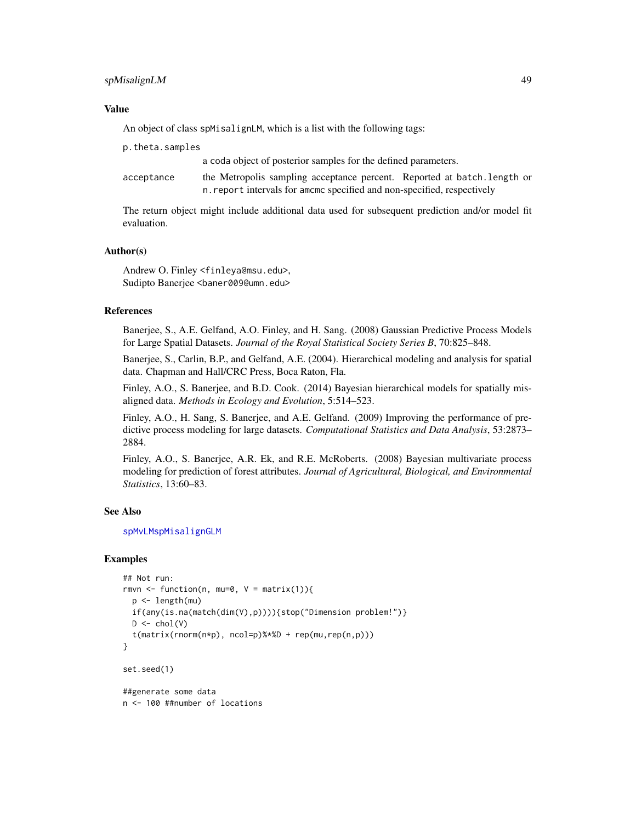# spMisalignLM 49

# Value

An object of class spMisalignLM, which is a list with the following tags:

p.theta.samples

a coda object of posterior samples for the defined parameters.

| acceptance | the Metropolis sampling acceptance percent. Reported at batch. Length or |
|------------|--------------------------------------------------------------------------|
|            | n. report intervals for amomo specified and non-specified, respectively  |

The return object might include additional data used for subsequent prediction and/or model fit evaluation.

# Author(s)

Andrew O. Finley <finleya@msu.edu>, Sudipto Banerjee <baner009@umn.edu>

# **References**

Banerjee, S., A.E. Gelfand, A.O. Finley, and H. Sang. (2008) Gaussian Predictive Process Models for Large Spatial Datasets. *Journal of the Royal Statistical Society Series B*, 70:825–848.

Banerjee, S., Carlin, B.P., and Gelfand, A.E. (2004). Hierarchical modeling and analysis for spatial data. Chapman and Hall/CRC Press, Boca Raton, Fla.

Finley, A.O., S. Banerjee, and B.D. Cook. (2014) Bayesian hierarchical models for spatially misaligned data. *Methods in Ecology and Evolution*, 5:514–523.

Finley, A.O., H. Sang, S. Banerjee, and A.E. Gelfand. (2009) Improving the performance of predictive process modeling for large datasets. *Computational Statistics and Data Analysis*, 53:2873– 2884.

Finley, A.O., S. Banerjee, A.R. Ek, and R.E. McRoberts. (2008) Bayesian multivariate process modeling for prediction of forest attributes. *Journal of Agricultural, Biological, and Environmental Statistics*, 13:60–83.

# See Also

[spMvLM](#page-56-0)[spMisalignGLM](#page-41-0)

```
## Not run:
rmvn <- function(n, mu=0, V = matrix(1)){
 p <- length(mu)
 if(any(is.na(match(dim(V),p)))){stop("Dimension problem!")}
 D \leftarrow \text{chol}(V)t(matrix(rnorm(n*p), ncol=p)%*%D + rep(mu,rep(n,p)))
}
set.seed(1)
##generate some data
n <- 100 ##number of locations
```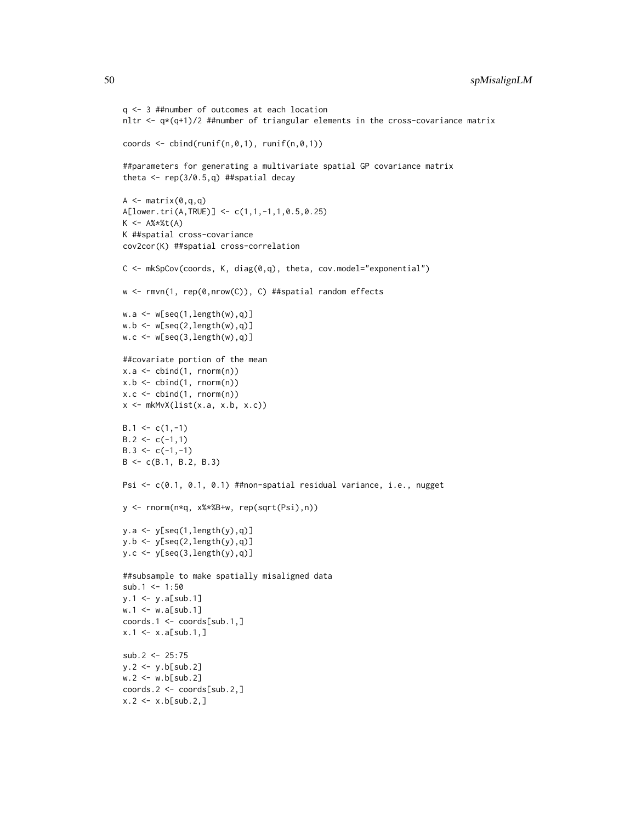```
q <- 3 ##number of outcomes at each location
nltr \leq -q*(q+1)/2 ##number of triangular elements in the cross-covariance matrix
coords \le cbind(runif(n,0,1), runif(n,0,1))
##parameters for generating a multivariate spatial GP covariance matrix
theta \leq rep(3/0.5,q) ##spatial decay
A \leftarrow matrix(0, q, q)A[lower.tri(A,TRUE)] <- c(1,1,-1,1,0.5,0.25)
K < - A\% * \% t(A)K ##spatial cross-covariance
cov2cor(K) ##spatial cross-correlation
C \leq -mkSpCov(coords, K, diag(0,q), theta, cov.model="exponential")w <- rmvn(1, rep(0,nrow(C)), C) ##spatial random effects
w.a \leftarrow w[seq(1, length(w), q)]w.b \leftarrow w[seq(2, length(w), q)]w.c \le w[\text{seq}(3, \text{length}(w), q)]##covariate portion of the mean
x.a \leftarrow \text{cbind}(1, \text{rnorm}(n))x.b \leftarrow \text{cbind}(1, \text{rnorm}(n))x.c \le cbind(1, rnorm(n))
x \leftarrow mkMvX(list(x.a, x.b, x.c))B.1 \leftarrow c(1,-1)B.2 \leq c(-1,1)B.3 \leq c(-1,-1)B <- c(B.1, B.2, B.3)
Psi <- c(0.1, 0.1, 0.1) ##non-spatial residual variance, i.e., nugget
y <- rnorm(n*q, x%*%B+w, rep(sqrt(Psi),n))
y.a \leftarrow y[seq(1, length(y), q)]y.b \leftarrow y[seq(2, length(y), q)]y.c \le y[\text{seq}(3, \text{length}(y), q)]##subsample to make spatially misaligned data
sub.1 < -1:50y.1 <- y.a[sub.1]
w.1 <- w.a[sub.1]coords.1 <- coords[sub.1,]
x.1 \le x.a[sub.1,]sub.2 < -25:75y.2 <- y.b[sub.2]
w.2 < -w.b[sub.2]coords.2 <- coords[sub.2,]
x.2 < -x.b[sub.2, ]
```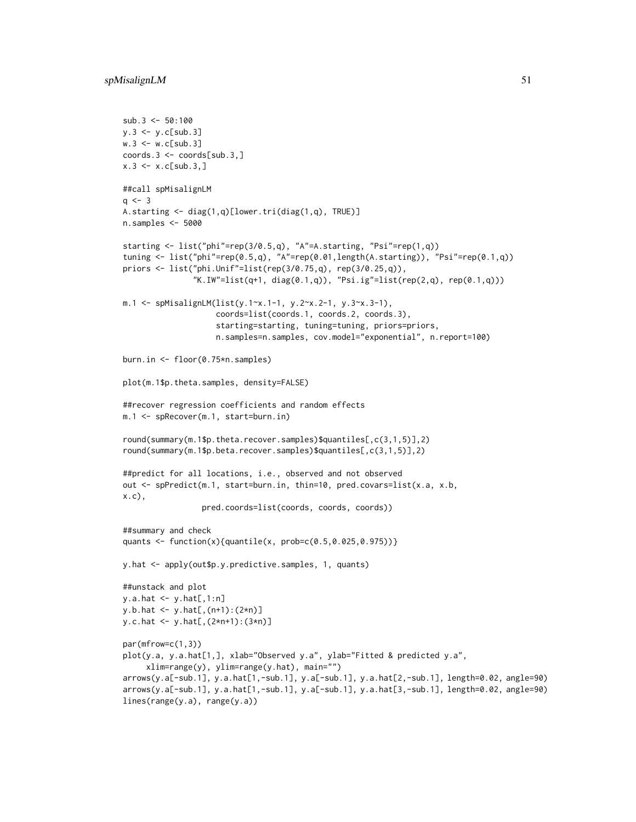```
sub.3 < -50:100y.3 \leftarrow y.c[sub.3]w.3 < -w.c[sub.3]coords.3 <- coords[sub.3,]
x.3 \le x.c[sub.3,]##call spMisalignLM
q \le -3A.starting <- diag(1,q)[lower.tri(diag(1,q), TRUE)]
n.samples <- 5000
starting <- list("phi"=rep(3/0.5,q), "A"=A.starting, "Psi"=rep(1,q))
tuning <- list("phi"=rep(0.5,q), "A"=rep(0.01,length(A.starting)), "Psi"=rep(0.1,q))
priors <- list("phi.Unif"=list(rep(3/0.75,q), rep(3/0.25,q)),
               "K.IW"=list(q+1, diag(0.1,q)), "Psi.ig"=list(rep(2,q), rep(0.1,q)))
m.1 <- spMisalignLM(list(y.1~x.1-1, y.2~x.2-1, y.3~x.3-1),
                    coords=list(coords.1, coords.2, coords.3),
                    starting=starting, tuning=tuning, priors=priors,
                    n.samples=n.samples, cov.model="exponential", n.report=100)
burn.in <- floor(0.75*n.samples)
plot(m.1$p.theta.samples, density=FALSE)
##recover regression coefficients and random effects
m.1 <- spRecover(m.1, start=burn.in)
round(summary(m.1$p.theta.recover.samples)$quantiles[,c(3,1,5)],2)
round(summary(m.1$p.beta.recover.samples)$quantiles[,c(3,1,5)],2)
##predict for all locations, i.e., observed and not observed
out <- spPredict(m.1, start=burn.in, thin=10, pred.covars=list(x.a, x.b,
x.c),
                 pred.coords=list(coords, coords, coords))
##summary and check
quants <- function(x){quantile(x, prob=c(0.5,0.025,0.975))}
y.hat <- apply(out$p.y.predictive.samples, 1, quants)
##unstack and plot
y.a.hat < -y.hat[,1:n]y.b.hat <- y.hat[,(n+1):(2*n)]
y.c.hat <- y.hat[,(2*n+1):(3*n)]
par(mfrow=c(1,3))
plot(y.a, y.a.hat[1,], xlab="Observed y.a", ylab="Fitted & predicted y.a",
     xlim=range(y), ylim=range(y.hat), main="")
arrows(y.a[-sub.1], y.a.hat[1,-sub.1], y.a[-sub.1], y.a.hat[2,-sub.1], length=0.02, angle=90)
arrows(y.a[-sub.1], y.a.hat[1,-sub.1], y.a[-sub.1], y.a.hat[3,-sub.1], length=0.02, angle=90)
lines(range(y.a), range(y.a))
```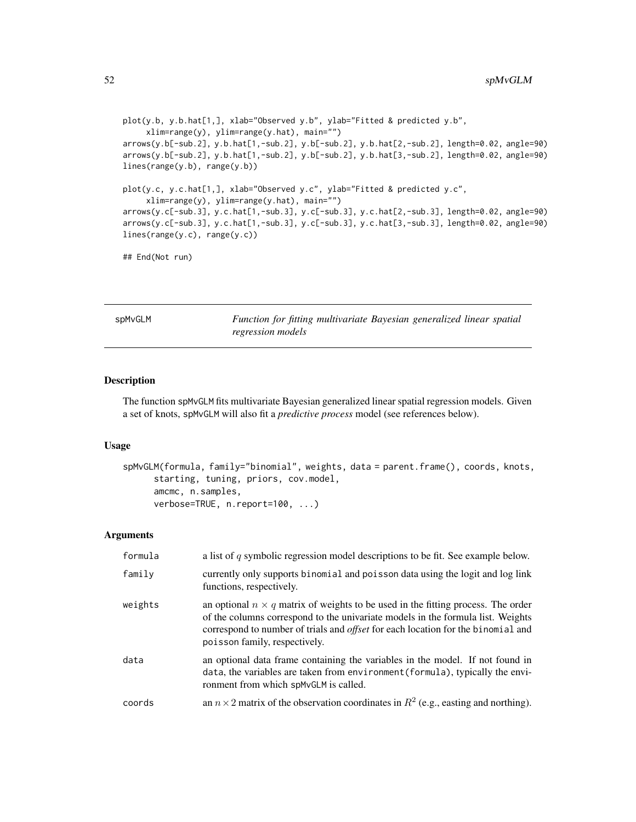```
plot(y.b, y.b.hat[1,], xlab="Observed y.b", ylab="Fitted & predicted y.b",
     xlim=range(y), ylim=range(y.hat), main="")
arrows(y.b[-sub.2], y.b.hat[1,-sub.2], y.b[-sub.2], y.b.hat[2,-sub.2], length=0.02, angle=90)
arrows(y.b[-sub.2], y.b.hat[1,-sub.2], y.b[-sub.2], y.b.hat[3,-sub.2], length=0.02, angle=90)
lines(range(y.b), range(y.b))
plot(y.c, y.c.hat[1,], xlab="Observed y.c", ylab="Fitted & predicted y.c",
     xlim=range(y), ylim=range(y.hat), main="")
arrows(y.c[-sub.3], y.c.hat[1,-sub.3], y.c[-sub.3], y.c.hat[2,-sub.3], length=0.02, angle=90)
arrows(y.c[-sub.3], y.c.hat[1,-sub.3], y.c[-sub.3], y.c.hat[3,-sub.3], length=0.02, angle=90)
lines(range(y.c), range(y.c))
```
## End(Not run)

<span id="page-51-0"></span>spMvGLM *Function for fitting multivariate Bayesian generalized linear spatial regression models*

#### Description

The function spMvGLM fits multivariate Bayesian generalized linear spatial regression models. Given a set of knots, spMvGLM will also fit a *predictive process* model (see references below).

#### Usage

```
spMvGLM(formula, family="binomial", weights, data = parent.frame(), coords, knots,
      starting, tuning, priors, cov.model,
      amcmc, n.samples,
      verbose=TRUE, n.report=100, ...)
```

| formula | a list of $q$ symbolic regression model descriptions to be fit. See example below.                                                                                                                                                                                                                     |
|---------|--------------------------------------------------------------------------------------------------------------------------------------------------------------------------------------------------------------------------------------------------------------------------------------------------------|
| family  | currently only supports binomial and poisson data using the logit and log link<br>functions, respectively.                                                                                                                                                                                             |
| weights | an optional $n \times q$ matrix of weights to be used in the fitting process. The order<br>of the columns correspond to the univariate models in the formula list. Weights<br>correspond to number of trials and <i>offset</i> for each location for the binomial and<br>poisson family, respectively. |
| data    | an optional data frame containing the variables in the model. If not found in<br>data, the variables are taken from environment (formula), typically the envi-<br>ronment from which spMvGLM is called.                                                                                                |
| coords  | an $n \times 2$ matrix of the observation coordinates in $R^2$ (e.g., easting and northing).                                                                                                                                                                                                           |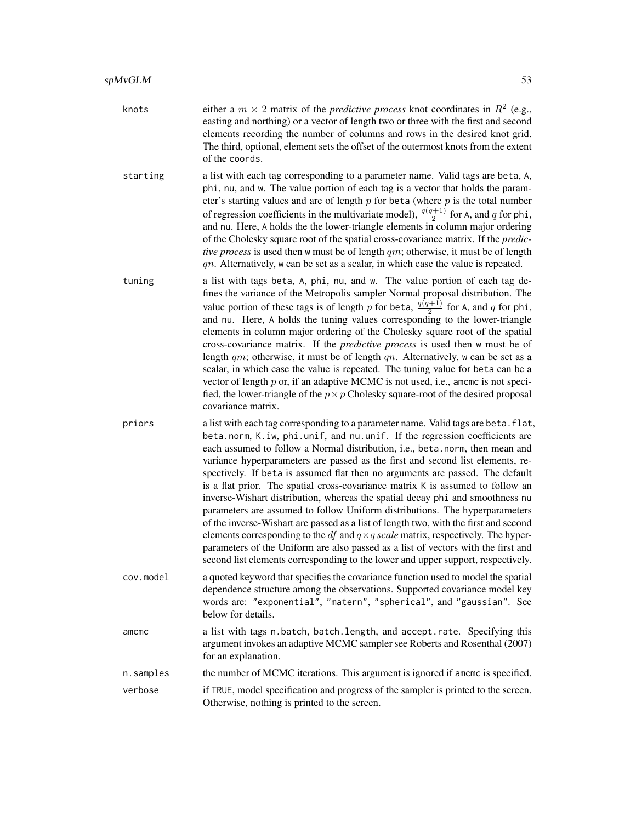- knots either a  $m \times 2$  matrix of the *predictive process* knot coordinates in  $R^2$  (e.g., easting and northing) or a vector of length two or three with the first and second elements recording the number of columns and rows in the desired knot grid. The third, optional, element sets the offset of the outermost knots from the extent of the coords.
- starting a list with each tag corresponding to a parameter name. Valid tags are beta, A, phi, nu, and w. The value portion of each tag is a vector that holds the parameter's starting values and are of length  $p$  for beta (where  $p$  is the total number of regression coefficients in the multivariate model),  $\frac{q(q+1)}{2}$  for A, and q for phi, and nu. Here, A holds the the lower-triangle elements in column major ordering of the Cholesky square root of the spatial cross-covariance matrix. If the *predictive process* is used then w must be of length qm; otherwise, it must be of length  $qn.$  Alternatively, w can be set as a scalar, in which case the value is repeated.
- tuning a list with tags beta, A, phi, nu, and w. The value portion of each tag defines the variance of the Metropolis sampler Normal proposal distribution. The value portion of these tags is of length p for beta,  $\frac{q(q+1)}{2}$  $\frac{q+1}{2}$  for A, and q for phi, and nu. Here, A holds the tuning values corresponding to the lower-triangle elements in column major ordering of the Cholesky square root of the spatial cross-covariance matrix. If the *predictive process* is used then w must be of length  $qm$ ; otherwise, it must be of length  $qn$ . Alternatively, w can be set as a scalar, in which case the value is repeated. The tuning value for beta can be a vector of length  $p$  or, if an adaptive MCMC is not used, i.e., amcmc is not specified, the lower-triangle of the  $p \times p$  Cholesky square-root of the desired proposal covariance matrix.
- priors a list with each tag corresponding to a parameter name. Valid tags are beta.flat, beta.norm, K.iw, phi.unif, and nu.unif. If the regression coefficients are each assumed to follow a Normal distribution, i.e., beta.norm, then mean and variance hyperparameters are passed as the first and second list elements, respectively. If beta is assumed flat then no arguments are passed. The default is a flat prior. The spatial cross-covariance matrix K is assumed to follow an inverse-Wishart distribution, whereas the spatial decay phi and smoothness nu parameters are assumed to follow Uniform distributions. The hyperparameters of the inverse-Wishart are passed as a list of length two, with the first and second elements corresponding to the  $df$  and  $q \times q$  *scale* matrix, respectively. The hyperparameters of the Uniform are also passed as a list of vectors with the first and second list elements corresponding to the lower and upper support, respectively.
- cov.model a quoted keyword that specifies the covariance function used to model the spatial dependence structure among the observations. Supported covariance model key words are: "exponential", "matern", "spherical", and "gaussian". See below for details.
- amcmc a list with tags n.batch, batch.length, and accept.rate. Specifying this argument invokes an adaptive MCMC sampler see Roberts and Rosenthal (2007) for an explanation.
- n. samples the number of MCMC iterations. This argument is ignored if amcmc is specified.
- verbose if TRUE, model specification and progress of the sampler is printed to the screen. Otherwise, nothing is printed to the screen.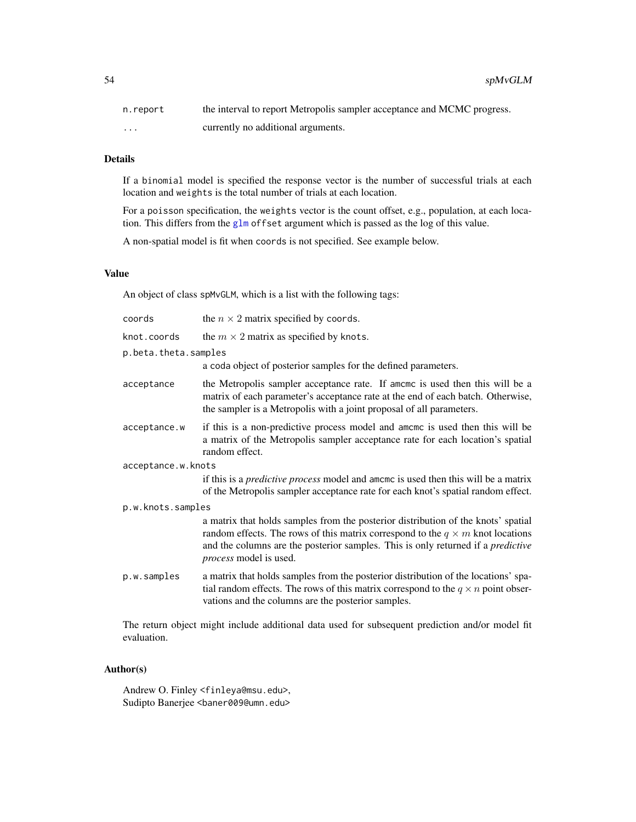| n.report | the interval to report Metropolis sampler acceptance and MCMC progress. |
|----------|-------------------------------------------------------------------------|
| $\cdots$ | currently no additional arguments.                                      |

# Details

If a binomial model is specified the response vector is the number of successful trials at each location and weights is the total number of trials at each location.

For a poisson specification, the weights vector is the count offset, e.g., population, at each location. This differs from the [glm](#page-0-0) offset argument which is passed as the log of this value.

A non-spatial model is fit when coords is not specified. See example below.

# Value

An object of class spMvGLM, which is a list with the following tags:

| coords               | the $n \times 2$ matrix specified by coords.                                                                                                                                                                                                                                                    |  |
|----------------------|-------------------------------------------------------------------------------------------------------------------------------------------------------------------------------------------------------------------------------------------------------------------------------------------------|--|
| knot.coords          | the $m \times 2$ matrix as specified by knots.                                                                                                                                                                                                                                                  |  |
| p.beta.theta.samples |                                                                                                                                                                                                                                                                                                 |  |
|                      | a coda object of posterior samples for the defined parameters.                                                                                                                                                                                                                                  |  |
| acceptance           | the Metropolis sampler acceptance rate. If amome is used then this will be a<br>matrix of each parameter's acceptance rate at the end of each batch. Otherwise,<br>the sampler is a Metropolis with a joint proposal of all parameters.                                                         |  |
| acceptance.w         | if this is a non-predictive process model and amcme is used then this will be<br>a matrix of the Metropolis sampler acceptance rate for each location's spatial<br>random effect.                                                                                                               |  |
| acceptance.w.knots   |                                                                                                                                                                                                                                                                                                 |  |
|                      | if this is a <i>predictive process</i> model and amomo is used then this will be a matrix<br>of the Metropolis sampler acceptance rate for each knot's spatial random effect.                                                                                                                   |  |
| p.w.knots.samples    |                                                                                                                                                                                                                                                                                                 |  |
|                      | a matrix that holds samples from the posterior distribution of the knots' spatial<br>random effects. The rows of this matrix correspond to the $q \times m$ knot locations<br>and the columns are the posterior samples. This is only returned if a <i>predictive</i><br>process model is used. |  |
| p.w.samples          | a matrix that holds samples from the posterior distribution of the locations' spa-<br>tial random effects. The rows of this matrix correspond to the $q \times n$ point obser-<br>vations and the columns are the posterior samples.                                                            |  |

The return object might include additional data used for subsequent prediction and/or model fit evaluation.

# Author(s)

Andrew O. Finley <finleya@msu.edu>, Sudipto Banerjee <baner009@umn.edu>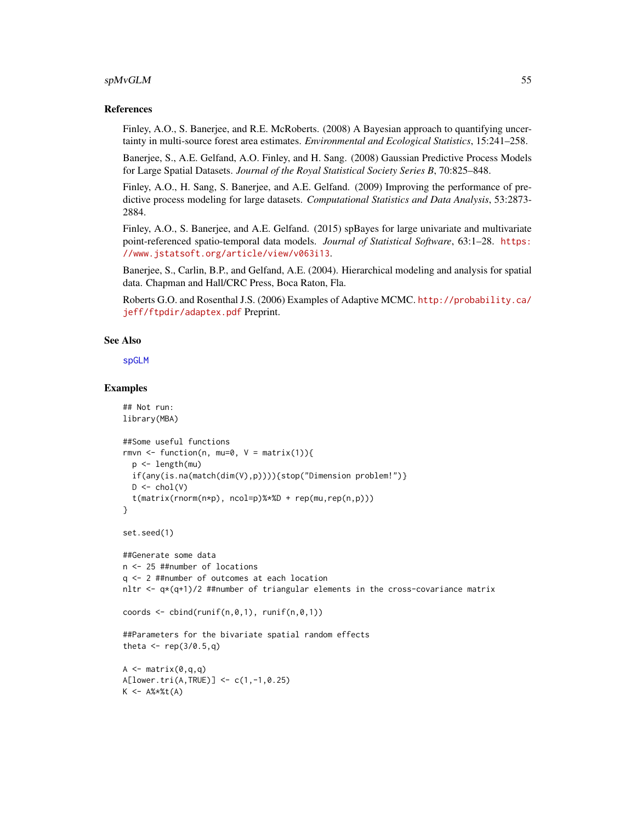### $s$ pMvGLM 55

## References

Finley, A.O., S. Banerjee, and R.E. McRoberts. (2008) A Bayesian approach to quantifying uncertainty in multi-source forest area estimates. *Environmental and Ecological Statistics*, 15:241–258.

Banerjee, S., A.E. Gelfand, A.O. Finley, and H. Sang. (2008) Gaussian Predictive Process Models for Large Spatial Datasets. *Journal of the Royal Statistical Society Series B*, 70:825–848.

Finley, A.O., H. Sang, S. Banerjee, and A.E. Gelfand. (2009) Improving the performance of predictive process modeling for large datasets. *Computational Statistics and Data Analysis*, 53:2873- 2884.

Finley, A.O., S. Banerjee, and A.E. Gelfand. (2015) spBayes for large univariate and multivariate point-referenced spatio-temporal data models. *Journal of Statistical Software*, 63:1–28. [https:](https://www.jstatsoft.org/article/view/v063i13) [//www.jstatsoft.org/article/view/v063i13](https://www.jstatsoft.org/article/view/v063i13).

Banerjee, S., Carlin, B.P., and Gelfand, A.E. (2004). Hierarchical modeling and analysis for spatial data. Chapman and Hall/CRC Press, Boca Raton, Fla.

Roberts G.O. and Rosenthal J.S. (2006) Examples of Adaptive MCMC. [http://probability.ca/](http://probability.ca/jeff/ftpdir/adaptex.pdf) [jeff/ftpdir/adaptex.pdf](http://probability.ca/jeff/ftpdir/adaptex.pdf) Preprint.

# See Also

[spGLM](#page-31-0)

```
## Not run:
library(MBA)
##Some useful functions
rmvn <- function(n, mu=0, V = matrix(1)){
 p <- length(mu)
 if(any(is.na(match(dim(V),p)))){stop("Dimension problem!")}
 D \leftarrow \text{chol}(V)t(matrix(rnorm(n*p), ncol=p)%*%D + rep(mu,rep(n,p)))
}
set.seed(1)
##Generate some data
n <- 25 ##number of locations
q <- 2 ##number of outcomes at each location
nltr \leq q*(q+1)/2 ##number of triangular elements in the cross-covariance matrix
coords \leq cbind(runif(n,0,1), runif(n,0,1))
##Parameters for the bivariate spatial random effects
theta \leq rep(3/0.5,q)
A \leq - matrix(0,q,q)
A[lower.tri(A,TRUE)] <- c(1,-1,0.25)
K < - A% * %t(A)
```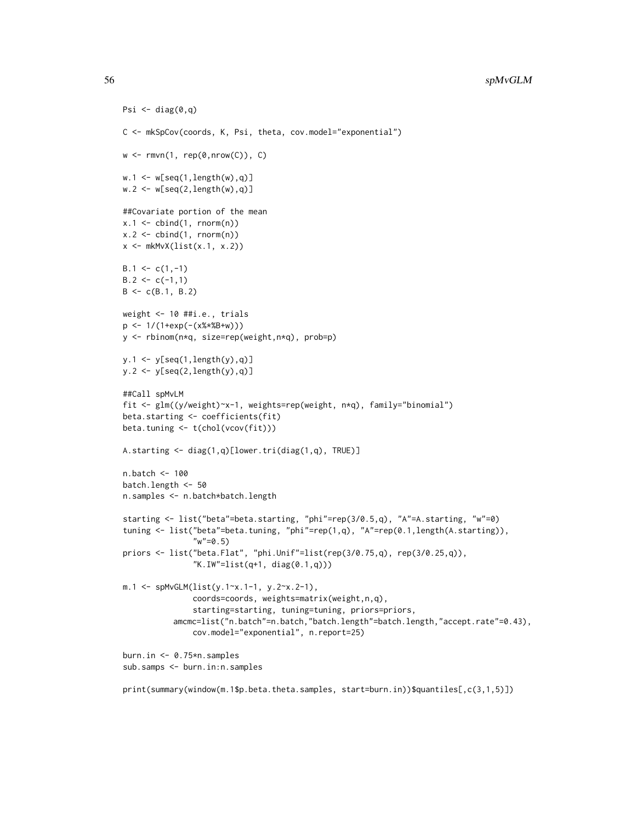```
Psi \leftarrow diag(0,q)C <- mkSpCov(coords, K, Psi, theta, cov.model="exponential")
w \leq rmvn(1, rep(0, nrow(C)), C)w.1 \leftarrow w[seq(1, length(w), q)]w.2 \leq w[\text{seq}(2, \text{length}(w), q)]##Covariate portion of the mean
x.1 \leftarrow \text{cbind}(1, \text{norm}(n))x.2 \le cbind(1, rnorm(n))
x \leftarrow mkMvX(list(x.1, x.2))B.1 \leq c(1,-1)B.2 \leq c(-1,1)B \leftarrow c(B.1, B.2)weight <- 10 ##i.e., trials
p <- 1/(1+exp(-(x%*%B+w)))
y <- rbinom(n*q, size=rep(weight,n*q), prob=p)
y.1 <- y[seq(1,length(y),q)]
y.2 \leftarrow y[seq(2, length(y), q)]##Call spMvLM
fit <- glm((y/weight)~x-1, weights=rep(weight, n*q), family="binomial")
beta.starting <- coefficients(fit)
beta.tuning <- t(chol(vcov(fit)))
A.starting <- diag(1,q)[lower.tri(diag(1,q), TRUE)]
n.batch <- 100
batch.length <- 50
n.samples <- n.batch*batch.length
starting <- list("beta"=beta.starting, "phi"=rep(3/0.5,q), "A"=A.starting, "w"=0)
tuning <- list("beta"=beta.tuning, "phi"=rep(1,q), "A"=rep(0.1,length(A.starting)),
                "w" = 0.5)priors <- list("beta.Flat", "phi.Unif"=list(rep(3/0.75,q), rep(3/0.25,q)),
                "K.IW"=list(q+1, diag(0.1,q)))
m.1 <- spMvGLM(list(y.1~x.1-1, y.2~x.2-1),
                coords=coords, weights=matrix(weight,n,q),
                starting=starting, tuning=tuning, priors=priors,
           amcmc=list("n.batch"=n.batch,"batch.length"=batch.length,"accept.rate"=0.43),
               cov.model="exponential", n.report=25)
burn.in <- 0.75*n.samples
sub.samps <- burn.in:n.samples
```

```
print(summary(window(m.1$p.beta.theta.samples, start=burn.in))$quantiles[,c(3,1,5)])
```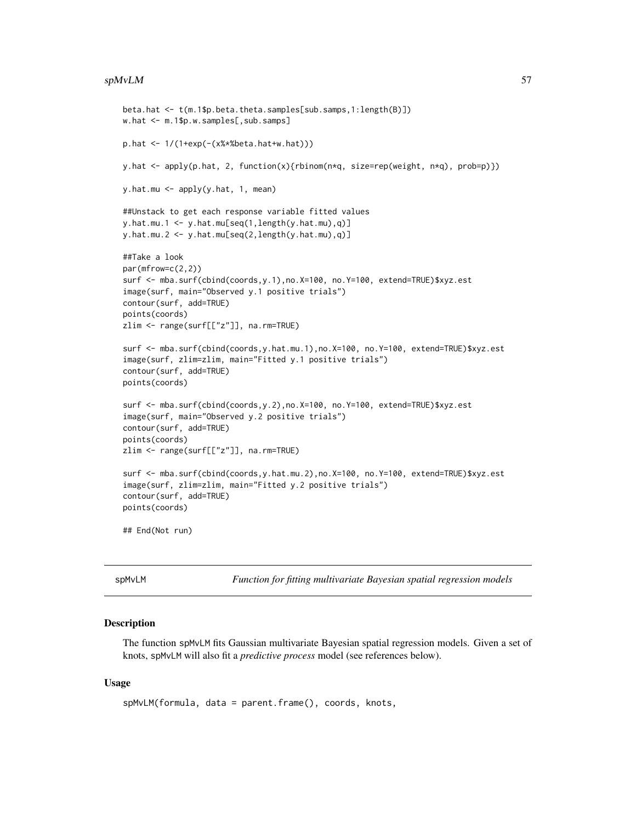#### $s$ pMvLM 57

```
beta.hat <- t(m.1$p.beta.theta.samples[sub.samps,1:length(B)])
w.hat <- m.1$p.w.samples[,sub.samps]
p.hat <- 1/(1+exp(-(x%*%beta.hat+w.hat)))
y.hat <- apply(p.hat, 2, function(x){rbinom(n*q, size=rep(weight, n*q), prob=p)})
y.hat.mu <- apply(y.hat, 1, mean)
##Unstack to get each response variable fitted values
y.hat.mu.1 \leq y.hat.mu[seq(1,length(y.hat.mu),q)]y.hat.mu.2 <- y.hat.mu[seq(2,length(y.hat.mu),q)]
##Take a look
par(mfrow=c(2,2))
surf <- mba.surf(cbind(coords,y.1),no.X=100, no.Y=100, extend=TRUE)$xyz.est
image(surf, main="Observed y.1 positive trials")
contour(surf, add=TRUE)
points(coords)
zlim <- range(surf[["z"]], na.rm=TRUE)
surf <- mba.surf(cbind(coords,y.hat.mu.1),no.X=100, no.Y=100, extend=TRUE)$xyz.est
image(surf, zlim=zlim, main="Fitted y.1 positive trials")
contour(surf, add=TRUE)
points(coords)
surf <- mba.surf(cbind(coords,y.2),no.X=100, no.Y=100, extend=TRUE)$xyz.est
image(surf, main="Observed y.2 positive trials")
contour(surf, add=TRUE)
points(coords)
zlim <- range(surf[["z"]], na.rm=TRUE)
surf <- mba.surf(cbind(coords,y.hat.mu.2),no.X=100, no.Y=100, extend=TRUE)$xyz.est
image(surf, zlim=zlim, main="Fitted y.2 positive trials")
contour(surf, add=TRUE)
points(coords)
## End(Not run)
```
<span id="page-56-0"></span>

spMvLM *Function for fitting multivariate Bayesian spatial regression models*

#### Description

The function spMvLM fits Gaussian multivariate Bayesian spatial regression models. Given a set of knots, spMvLM will also fit a *predictive process* model (see references below).

# Usage

```
spMvLM(formula, data = parent.frame(), coords, knots,
```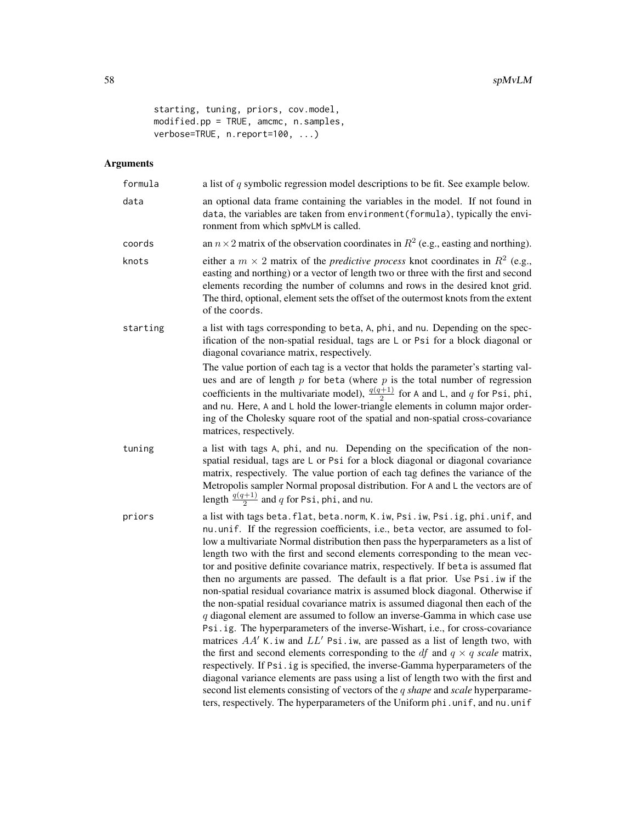```
starting, tuning, priors, cov.model,
modified.pp = TRUE, amcmc, n.samples,
verbose=TRUE, n.report=100, ...)
```

| formula  | a list of $q$ symbolic regression model descriptions to be fit. See example below.                                                                                                                                                                                                                                                                                                                                                                                                                                                                                                                                                                                                                                                                                                                                                                                                                                                                                                                                                                                                                                                                                                                                                                                                                                                                                                    |
|----------|---------------------------------------------------------------------------------------------------------------------------------------------------------------------------------------------------------------------------------------------------------------------------------------------------------------------------------------------------------------------------------------------------------------------------------------------------------------------------------------------------------------------------------------------------------------------------------------------------------------------------------------------------------------------------------------------------------------------------------------------------------------------------------------------------------------------------------------------------------------------------------------------------------------------------------------------------------------------------------------------------------------------------------------------------------------------------------------------------------------------------------------------------------------------------------------------------------------------------------------------------------------------------------------------------------------------------------------------------------------------------------------|
| data     | an optional data frame containing the variables in the model. If not found in<br>data, the variables are taken from environment (formula), typically the envi-<br>ronment from which spMvLM is called.                                                                                                                                                                                                                                                                                                                                                                                                                                                                                                                                                                                                                                                                                                                                                                                                                                                                                                                                                                                                                                                                                                                                                                                |
| coords   | an $n \times 2$ matrix of the observation coordinates in $R^2$ (e.g., easting and northing).                                                                                                                                                                                                                                                                                                                                                                                                                                                                                                                                                                                                                                                                                                                                                                                                                                                                                                                                                                                                                                                                                                                                                                                                                                                                                          |
| knots    | either a $m \times 2$ matrix of the <i>predictive process</i> knot coordinates in $R^2$ (e.g.,<br>easting and northing) or a vector of length two or three with the first and second<br>elements recording the number of columns and rows in the desired knot grid.<br>The third, optional, element sets the offset of the outermost knots from the extent<br>of the coords.                                                                                                                                                                                                                                                                                                                                                                                                                                                                                                                                                                                                                                                                                                                                                                                                                                                                                                                                                                                                          |
| starting | a list with tags corresponding to beta, A, phi, and nu. Depending on the spec-<br>ification of the non-spatial residual, tags are L or Psi for a block diagonal or<br>diagonal covariance matrix, respectively.                                                                                                                                                                                                                                                                                                                                                                                                                                                                                                                                                                                                                                                                                                                                                                                                                                                                                                                                                                                                                                                                                                                                                                       |
|          | The value portion of each tag is a vector that holds the parameter's starting val-<br>ues and are of length $p$ for beta (where $p$ is the total number of regression<br>coefficients in the multivariate model), $\frac{q(q+1)}{2}$ for A and L, and q for Psi, phi,<br>and nu. Here, A and L hold the lower-triangle elements in column major order-<br>ing of the Cholesky square root of the spatial and non-spatial cross-covariance<br>matrices, respectively.                                                                                                                                                                                                                                                                                                                                                                                                                                                                                                                                                                                                                                                                                                                                                                                                                                                                                                                  |
| tuning   | a list with tags A, phi, and nu. Depending on the specification of the non-<br>spatial residual, tags are L or Psi for a block diagonal or diagonal covariance<br>matrix, respectively. The value portion of each tag defines the variance of the<br>Metropolis sampler Normal proposal distribution. For A and L the vectors are of<br>length $\frac{q(q+1)}{2}$ and q for Psi, phi, and nu.                                                                                                                                                                                                                                                                                                                                                                                                                                                                                                                                                                                                                                                                                                                                                                                                                                                                                                                                                                                         |
| priors   | a list with tags beta. flat, beta. norm, K. iw, Psi. iw, Psi. ig, phi. unif, and<br>nu.unif. If the regression coefficients, i.e., beta vector, are assumed to fol-<br>low a multivariate Normal distribution then pass the hyperparameters as a list of<br>length two with the first and second elements corresponding to the mean vec-<br>tor and positive definite covariance matrix, respectively. If beta is assumed flat<br>then no arguments are passed. The default is a flat prior. Use Psi. iw if the<br>non-spatial residual covariance matrix is assumed block diagonal. Otherwise if<br>the non-spatial residual covariance matrix is assumed diagonal then each of the<br>$q$ diagonal element are assumed to follow an inverse-Gamma in which case use<br>Psi.ig. The hyperparameters of the inverse-Wishart, i.e., for cross-covariance<br>matrices $AA'$ K. iw and $LL'$ Psi. iw, are passed as a list of length two, with<br>the first and second elements corresponding to the <i>df</i> and $q \times q$ scale matrix,<br>respectively. If Psi.ig is specified, the inverse-Gamma hyperparameters of the<br>diagonal variance elements are pass using a list of length two with the first and<br>second list elements consisting of vectors of the q shape and scale hyperparame-<br>ters, respectively. The hyperparameters of the Uniform phi.unif, and nu.unif |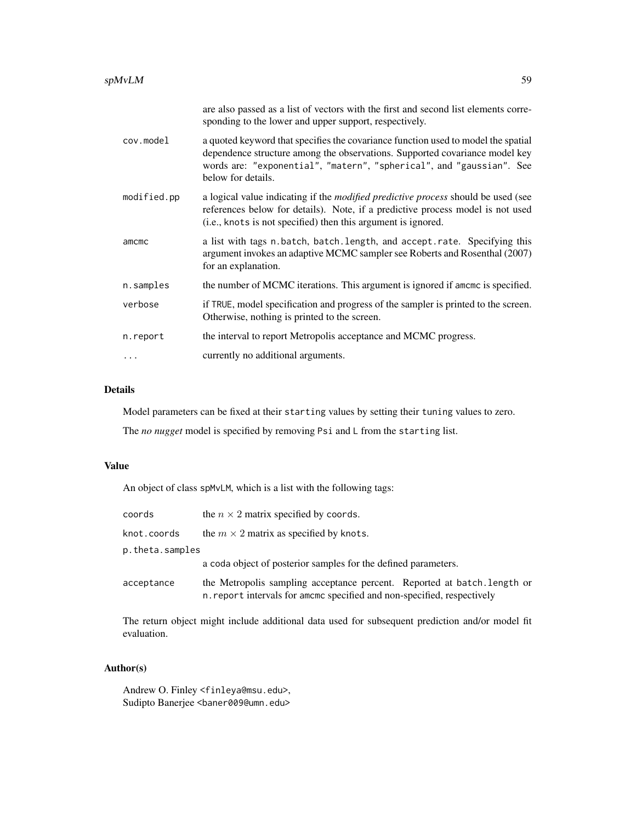|             | are also passed as a list of vectors with the first and second list elements corre-<br>sponding to the lower and upper support, respectively.                                                                                                                  |
|-------------|----------------------------------------------------------------------------------------------------------------------------------------------------------------------------------------------------------------------------------------------------------------|
| cov.model   | a quoted keyword that specifies the covariance function used to model the spatial<br>dependence structure among the observations. Supported covariance model key<br>words are: "exponential", "matern", "spherical", and "gaussian". See<br>below for details. |
| modified.pp | a logical value indicating if the <i>modified predictive process</i> should be used (see<br>references below for details). Note, if a predictive process model is not used<br>( <i>i.e.</i> , knots is not specified) then this argument is ignored.           |
| amcmc       | a list with tags n.batch, batch.length, and accept.rate. Specifying this<br>argument invokes an adaptive MCMC sampler see Roberts and Rosenthal (2007)<br>for an explanation.                                                                                  |
| n.samples   | the number of MCMC iterations. This argument is ignored if amome is specified.                                                                                                                                                                                 |
| verbose     | if TRUE, model specification and progress of the sampler is printed to the screen.<br>Otherwise, nothing is printed to the screen.                                                                                                                             |
| n.report    | the interval to report Metropolis acceptance and MCMC progress.                                                                                                                                                                                                |
| .           | currently no additional arguments.                                                                                                                                                                                                                             |

# Details

Model parameters can be fixed at their starting values by setting their tuning values to zero.

The *no nugget* model is specified by removing Psi and L from the starting list.

# Value

An object of class spMvLM, which is a list with the following tags:

| coords          | the $n \times 2$ matrix specified by coords.                                                                                                        |  |
|-----------------|-----------------------------------------------------------------------------------------------------------------------------------------------------|--|
| knot.coords     | the $m \times 2$ matrix as specified by knots.                                                                                                      |  |
| p.theta.samples |                                                                                                                                                     |  |
|                 | a coda object of posterior samples for the defined parameters.                                                                                      |  |
| acceptance      | the Metropolis sampling acceptance percent. Reported at batch. Length or<br>n. report intervals for amomo specified and non-specified, respectively |  |

The return object might include additional data used for subsequent prediction and/or model fit evaluation.

# Author(s)

Andrew O. Finley <finleya@msu.edu>, Sudipto Banerjee <baner009@umn.edu>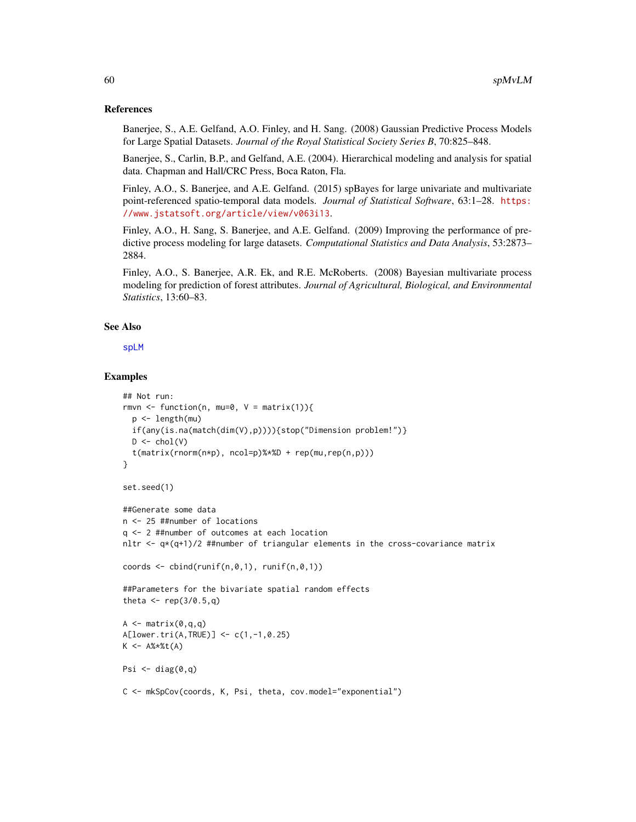### References

Banerjee, S., A.E. Gelfand, A.O. Finley, and H. Sang. (2008) Gaussian Predictive Process Models for Large Spatial Datasets. *Journal of the Royal Statistical Society Series B*, 70:825–848.

Banerjee, S., Carlin, B.P., and Gelfand, A.E. (2004). Hierarchical modeling and analysis for spatial data. Chapman and Hall/CRC Press, Boca Raton, Fla.

Finley, A.O., S. Banerjee, and A.E. Gelfand. (2015) spBayes for large univariate and multivariate point-referenced spatio-temporal data models. *Journal of Statistical Software*, 63:1–28. [https:](https://www.jstatsoft.org/article/view/v063i13) [//www.jstatsoft.org/article/view/v063i13](https://www.jstatsoft.org/article/view/v063i13).

Finley, A.O., H. Sang, S. Banerjee, and A.E. Gelfand. (2009) Improving the performance of predictive process modeling for large datasets. *Computational Statistics and Data Analysis*, 53:2873– 2884.

Finley, A.O., S. Banerjee, A.R. Ek, and R.E. McRoberts. (2008) Bayesian multivariate process modeling for prediction of forest attributes. *Journal of Agricultural, Biological, and Environmental Statistics*, 13:60–83.

### See Also

[spLM](#page-37-0)

```
## Not run:
rmvn <- function(n, mu=0, V = matrix(1)){
  p <- length(mu)
  if(any(is.na(match(dim(V),p)))){stop("Dimension problem!")}
  D \leftarrow \text{chol}(V)t(matrix(rnorm(n*p), ncol=p)%*%D + rep(mu,rep(n,p)))
}
set.seed(1)
##Generate some data
n <- 25 ##number of locations
q <- 2 ##number of outcomes at each location
nltr \leq -q \times (q+1)/2 ##number of triangular elements in the cross-covariance matrix
coords \le cbind(runif(n,0,1), runif(n,0,1))
##Parameters for the bivariate spatial random effects
theta \leq rep(3/0.5,q)
A \leq - matrix(\theta,q,q)
A[lower.tri(A,TRUE)] <- c(1,-1,0.25)
K <- A%*%t(A)
Psi \leftarrow diag(0,q)C <- mkSpCov(coords, K, Psi, theta, cov.model="exponential")
```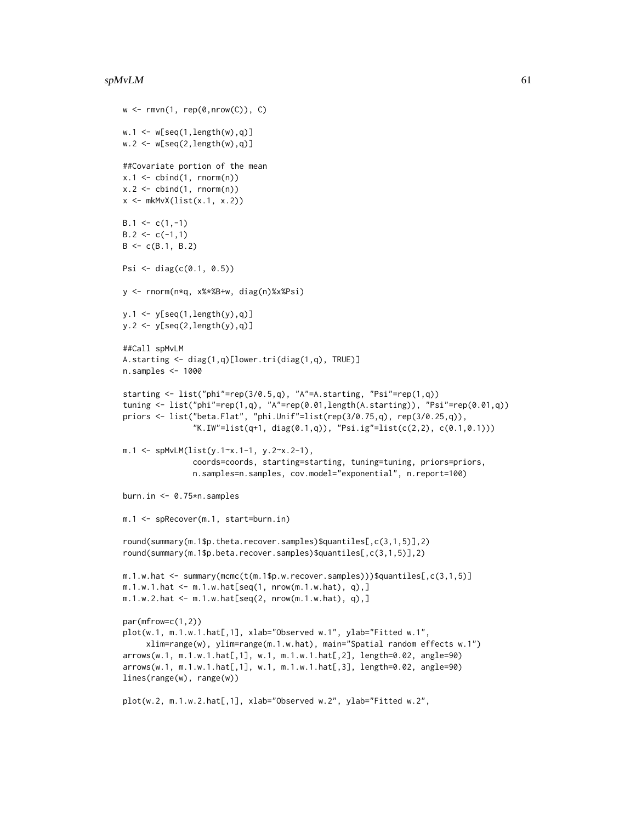#### $s$ pMvLM 61

```
w \leftarrow rmvn(1, rep(0,nrow(C)), C)w.1 \leftarrow w[seq(1, length(w), q)]w.2 \leq w[\text{seq}(2, \text{length}(w), q)]##Covariate portion of the mean
x.1 \leftarrow \text{cbind}(1, \text{norm}(n))x.2 \le cbind(1, rnorm(n))
x \leftarrow mkMvX(list(x.1, x.2))B.1 \leftarrow c(1,-1)B.2 \leq c(-1,1)B \leftarrow c(B.1, B.2)Psi \le diag(c(0.1, 0.5))
y <- rnorm(n*q, x%*%B+w, diag(n)%x%Psi)
y.1 <- y[seq(1,length(y),q)]
y.2 \leftarrow y[seq(2, length(y), q)]##Call spMvLM
A.starting <- diag(1,q)[lower.tri(diag(1,q), TRUE)]
n.samples <- 1000
starting <- list("phi"=rep(3/0.5,q), "A"=A.starting, "Psi"=rep(1,q))
tuning <- list("phi"=rep(1,q), "A"=rep(0.01,length(A.starting)), "Psi"=rep(0.01,q))
priors <- list("beta.Flat", "phi.Unif"=list(rep(3/0.75,q), rep(3/0.25,q)),
                "K.IW"=list(q+1, diag(0.1,q)), "Psi.ig"=list(c(2,2), c(0.1,0.1)))
m.1 <- spMvLM(list(y.1~x.1-1, y.2~x.2-1),
                coords=coords, starting=starting, tuning=tuning, priors=priors,
                n.samples=n.samples, cov.model="exponential", n.report=100)
burn.in <- 0.75*n.samples
m.1 <- spRecover(m.1, start=burn.in)
round(summary(m.1$p.theta.recover.samples)$quantiles[,c(3,1,5)],2)
round(summary(m.1$p.beta.recover.samples)$quantiles[,c(3,1,5)],2)
m.1.w.hat <- summary(mcmc(t(m.1$p.w.recover.samples)))$quantiles[,c(3,1,5)]
m.1.w.1.hat <- m.1.w.hat[seq(1, nrow(m.1.w.hat), q),]
m.1.w.2.hat <- m.1.w.hat[seq(2, nrow(m.1.w.hat), q),]
par(mfrow=c(1,2))
plot(w.1, m.1.w.1.hat[,1], xlab="Observed w.1", ylab="Fitted w.1",
     xlim=range(w), ylim=range(m.1.w.hat), main="Spatial random effects w.1")
arrows(w.1, m.1.w.1.hat[,1], w.1, m.1.w.1.hat[,2], length=0.02, angle=90)
arrows(w.1, m.1.w.1.hat[,1], w.1, m.1.w.1.hat[,3], length=0.02, angle=90)
lines(range(w), range(w))
plot(w.2, m.1.w.2.hat[,1], xlab="Observed w.2", ylab="Fitted w.2",
```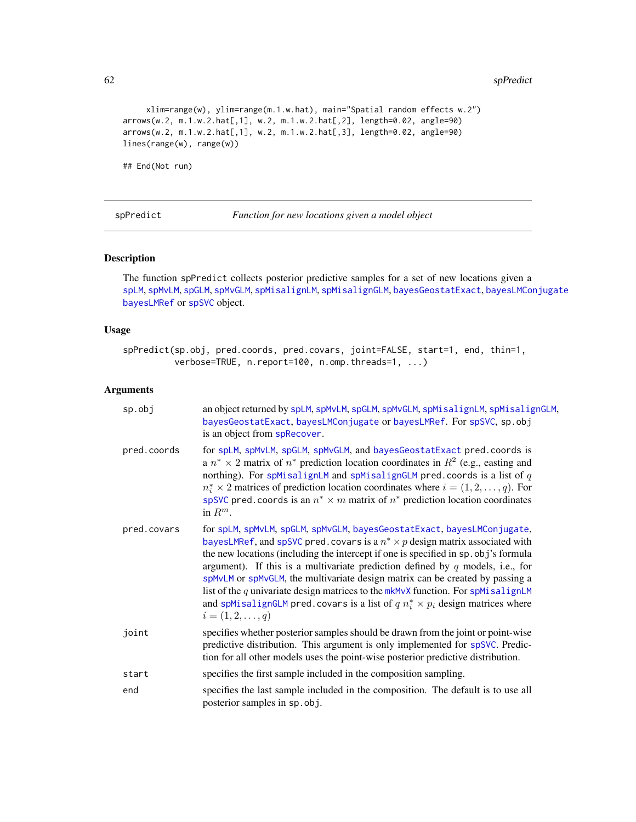```
xlim=range(w), ylim=range(m.1.w.hat), main="Spatial random effects w.2")
arrows(w.2, m.1.w.2.hat[,1], w.2, m.1.w.2.hat[,2], length=0.02, angle=90)
arrows(w.2, m.1.w.2.hat[,1], w.2, m.1.w.2.hat[,3], length=0.02, angle=90)
lines(range(w), range(w))
```
## End(Not run)

<span id="page-61-0"></span>spPredict *Function for new locations given a model object*

# Description

The function spPredict collects posterior predictive samples for a set of new locations given a [spLM](#page-37-0), [spMvLM](#page-56-0), [spGLM](#page-31-0), [spMvGLM](#page-51-0), [spMisalignLM](#page-46-0), [spMisalignGLM](#page-41-0), [bayesGeostatExact](#page-7-0), [bayesLMConjugate](#page-11-0) [bayesLMRef](#page-12-0) or [spSVC](#page-67-0) object.

# Usage

spPredict(sp.obj, pred.coords, pred.covars, joint=FALSE, start=1, end, thin=1, verbose=TRUE, n.report=100, n.omp.threads=1, ...)

| $sp.$ obj   | an object returned by spLM, spMvLM, spGLM, spMvGLM, spMisalignLM, spMisalignGLM,<br>bayesGeostatExact, bayesLMConjugate or bayesLMRef. For spSVC, sp.obj<br>is an object from spRecover.                                                                                                                                                                                                                                                                                                                                                                                                                                                 |  |
|-------------|------------------------------------------------------------------------------------------------------------------------------------------------------------------------------------------------------------------------------------------------------------------------------------------------------------------------------------------------------------------------------------------------------------------------------------------------------------------------------------------------------------------------------------------------------------------------------------------------------------------------------------------|--|
| pred.coords | for spLM, spMvLM, spGLM, spMvGLM, and bayesGeostatExact pred. coords is<br>a $n^* \times 2$ matrix of $n^*$ prediction location coordinates in $R^2$ (e.g., easting and<br>northing). For spMisalignLM and spMisalignGLM pred.coords is a list of $q$<br>$n_i^* \times 2$ matrices of prediction location coordinates where $i = (1, 2, , q)$ . For<br>spSVC pred. coords is an $n^* \times m$ matrix of $n^*$ prediction location coordinates<br>in $R^m$ .                                                                                                                                                                             |  |
| pred.covars | for spLM, spMvLM, spGLM, spMvGLM, bayesGeostatExact, bayesLMConjugate,<br>bayesLMRef, and spSVC pred. covars is a $n^* \times p$ design matrix associated with<br>the new locations (including the intercept if one is specified in sp. obj's formula<br>argument). If this is a multivariate prediction defined by $q$ models, i.e., for<br>spMvLM or spMvGLM, the multivariate design matrix can be created by passing a<br>list of the $q$ univariate design matrices to the $m$ kMvX function. For spMisalignLM<br>and spMisalignGLM pred. covars is a list of $q n_i^* \times p_i$ design matrices where<br>$i = (1, 2, \ldots, q)$ |  |
| joint       | specifies whether posterior samples should be drawn from the joint or point-wise<br>predictive distribution. This argument is only implemented for spSVC. Predic-<br>tion for all other models uses the point-wise posterior predictive distribution.                                                                                                                                                                                                                                                                                                                                                                                    |  |
| start       | specifies the first sample included in the composition sampling.                                                                                                                                                                                                                                                                                                                                                                                                                                                                                                                                                                         |  |
| end         | specifies the last sample included in the composition. The default is to use all<br>posterior samples in sp.obj.                                                                                                                                                                                                                                                                                                                                                                                                                                                                                                                         |  |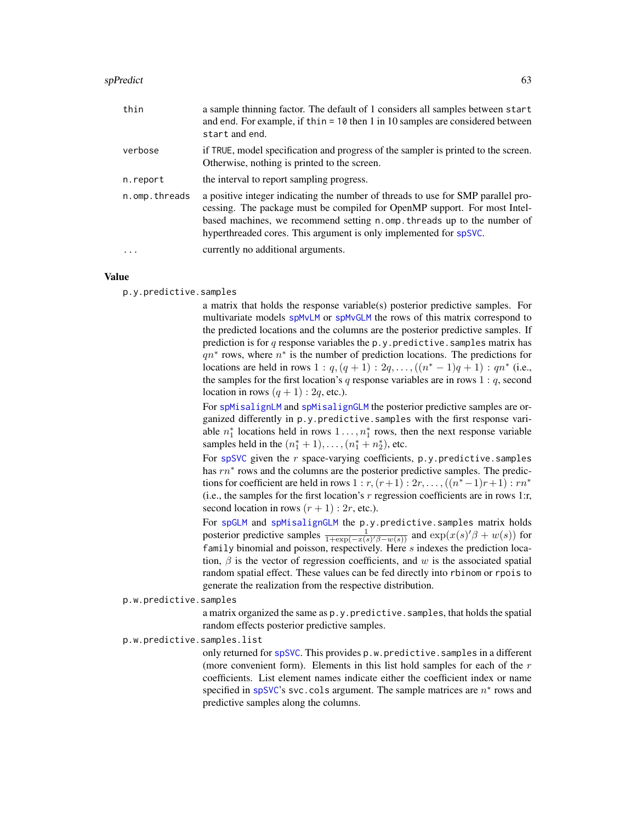| thin          | a sample thinning factor. The default of 1 considers all samples between start<br>and end. For example, if thin = $10$ then 1 in 10 samples are considered between<br>start and end.                                                                                                                          |
|---------------|---------------------------------------------------------------------------------------------------------------------------------------------------------------------------------------------------------------------------------------------------------------------------------------------------------------|
| verbose       | if TRUE, model specification and progress of the sampler is printed to the screen.<br>Otherwise, nothing is printed to the screen.                                                                                                                                                                            |
| n.report      | the interval to report sampling progress.                                                                                                                                                                                                                                                                     |
| n.omp.threads | a positive integer indicating the number of threads to use for SMP parallel pro-<br>cessing. The package must be compiled for OpenMP support. For most Intel-<br>based machines, we recommend setting n.omp. threads up to the number of<br>hyperthreaded cores. This argument is only implemented for spSVC. |
|               | currently no additional arguments.                                                                                                                                                                                                                                                                            |

### Value

p.y.predictive.samples

a matrix that holds the response variable(s) posterior predictive samples. For multivariate models [spMvLM](#page-56-0) or [spMvGLM](#page-51-0) the rows of this matrix correspond to the predicted locations and the columns are the posterior predictive samples. If prediction is for  $q$  response variables the p.y.predictive.samples matrix has  $qn^*$  rows, where  $n^*$  is the number of prediction locations. The predictions for locations are held in rows  $1 : q, (q + 1) : 2q, ..., ((n^* - 1)q + 1) : qn^*$  (i.e., the samples for the first location's q response variables are in rows  $1: q$ , second location in rows  $(q + 1)$ : 2q, etc.).

For [spMisalignLM](#page-46-0) and [spMisalignGLM](#page-41-0) the posterior predictive samples are organized differently in p.y.predictive.samples with the first response variable  $n_1^*$  locations held in rows  $1 \ldots, n_1^*$  rows, then the next response variable samples held in the  $(n_1^* + 1), \ldots, (n_1^* + n_2^*)$ , etc.

For [spSVC](#page-67-0) given the  $r$  space-varying coefficients,  $p.y.predictive.samples$ has  $rn*$  rows and the columns are the posterior predictive samples. The predictions for coefficient are held in rows  $1 : r, (r+1) : 2r, \ldots, ((n^* - 1)r + 1) : rn^*$ (i.e., the samples for the first location's  $r$  regression coefficients are in rows 1:r, second location in rows  $(r + 1)$ : 2r, etc.).

For [spGLM](#page-31-0) and [spMisalignGLM](#page-41-0) the p.y.predictive.samples matrix holds posterior predictive samples  $\frac{1}{1+\exp(-x(s)/\beta-w(s))}$  and  $\exp(x(s)/\beta+w(s))$  for family binomial and poisson, respectively. Here s indexes the prediction location,  $\beta$  is the vector of regression coefficients, and w is the associated spatial random spatial effect. These values can be fed directly into rbinom or rpois to generate the realization from the respective distribution.

p.w.predictive.samples

a matrix organized the same as p.y.predictive.samples, that holds the spatial random effects posterior predictive samples.

p.w.predictive.samples.list

only returned for [spSVC](#page-67-0). This provides p.w.predictive.samples in a different (more convenient form). Elements in this list hold samples for each of the  $r$ coefficients. List element names indicate either the coefficient index or name specified in [spSVC](#page-67-0)'s svc.cols argument. The sample matrices are  $n^*$  rows and predictive samples along the columns.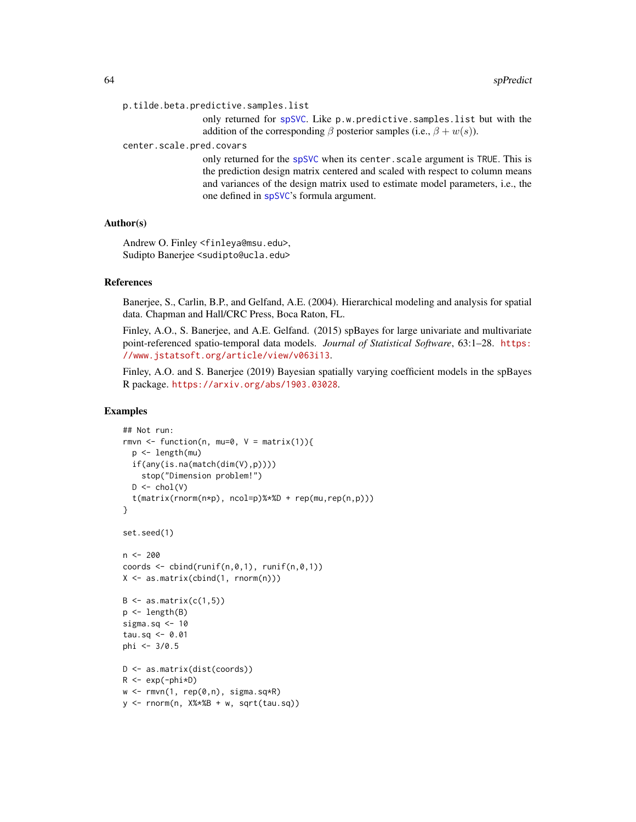```
p.tilde.beta.predictive.samples.list
```
only returned for spSVC. Like p.w.predictive.samples.list but with the addition of the corresponding  $\beta$  posterior samples (i.e.,  $\beta + w(s)$ ).

center.scale.pred.covars

only returned for the [spSVC](#page-67-0) when its center. scale argument is TRUE. This is the prediction design matrix centered and scaled with respect to column means and variances of the design matrix used to estimate model parameters, i.e., the one defined in [spSVC](#page-67-0)'s formula argument.

# Author(s)

Andrew O. Finley <finleya@msu.edu>, Sudipto Banerjee <sudipto@ucla.edu>

## References

Banerjee, S., Carlin, B.P., and Gelfand, A.E. (2004). Hierarchical modeling and analysis for spatial data. Chapman and Hall/CRC Press, Boca Raton, FL.

Finley, A.O., S. Banerjee, and A.E. Gelfand. (2015) spBayes for large univariate and multivariate point-referenced spatio-temporal data models. *Journal of Statistical Software*, 63:1–28. [https:](https://www.jstatsoft.org/article/view/v063i13) [//www.jstatsoft.org/article/view/v063i13](https://www.jstatsoft.org/article/view/v063i13).

Finley, A.O. and S. Banerjee (2019) Bayesian spatially varying coefficient models in the spBayes R package. <https://arxiv.org/abs/1903.03028>.

```
## Not run:
rmvn \leq function(n, mu=0, V = matrix(1)){
  p <- length(mu)
  if(any(is.na(match(dim(V),p))))
    stop("Dimension problem!")
  D \leftarrow \text{chol}(V)t(matrix(rnorm(n*p), ncol=p)%*%D + rep(mu,rep(n,p)))
}
set.seed(1)
n < -200coords \le cbind(runif(n,0,1), runif(n,0,1))
X \leftarrow \text{as_matrix}(\text{cbind}(1, \text{norm}(n)))B \leftarrow as.matrix(c(1,5))p <- length(B)
sigma.sq <- 10
tau.sq <-0.01phi <- 3/0.5
D <- as.matrix(dist(coords))
R <- exp(-phi*D)
w \leq -r m v n(1, rep(0,n), sigma.sq*R)y <- rnorm(n, X%*%B + w, sqrt(tau.sq))
```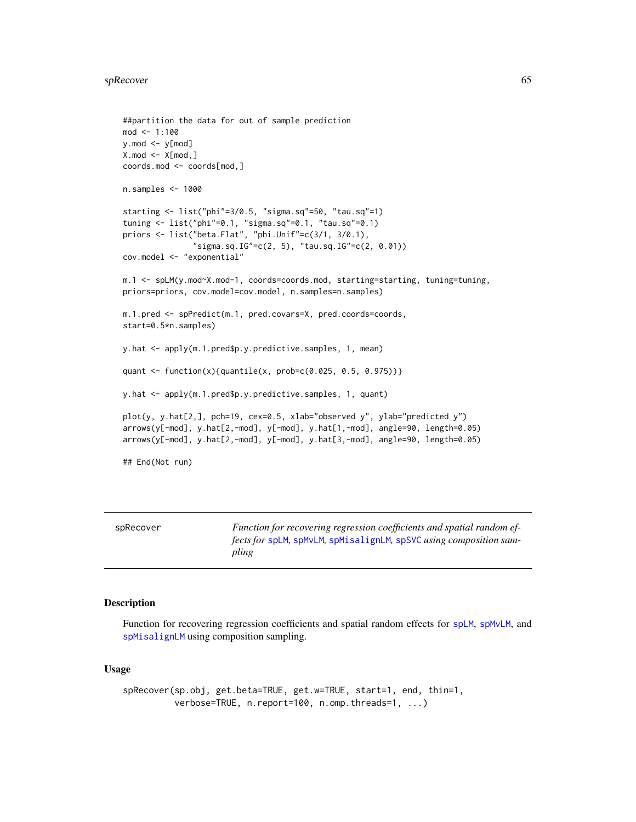#### spRecover 65

```
##partition the data for out of sample prediction
mod < -1:100y.mod <- y[mod]
X.mod \leftarrow X[mod, ]coords.mod <- coords[mod,]
n.samples <- 1000
starting <- list("phi"=3/0.5, "sigma.sq"=50, "tau.sq"=1)
tuning <- list("phi"=0.1, "sigma.sq"=0.1, "tau.sq"=0.1)
priors <- list("beta.Flat", "phi.Unif"=c(3/1, 3/0.1),
               "sigma.sq.IG"=c(2, 5), "tau.sq.IG"=c(2, 0.01))
cov.model <- "exponential"
m.1 <- spLM(y.mod~X.mod-1, coords=coords.mod, starting=starting, tuning=tuning,
priors=priors, cov.model=cov.model, n.samples=n.samples)
m.1.pred <- spPredict(m.1, pred.covars=X, pred.coords=coords,
start=0.5*n.samples)
y.hat <- apply(m.1.pred$p.y.predictive.samples, 1, mean)
quant <- function(x){quantile(x, prob=c(0.025, 0.5, 0.975))}
y.hat <- apply(m.1.pred$p.y.predictive.samples, 1, quant)
plot(y, y.hat[2,], pch=19, cex=0.5, xlab="observed y", ylab="predicted y")
arrows(y[-mod], y.hat[2,-mod], y[-mod], y.hat[1,-mod], angle=90, length=0.05)
arrows(y[-mod], y.hat[2,-mod], y[-mod], y.hat[3,-mod], angle=90, length=0.05)
## End(Not run)
```
<span id="page-64-0"></span>spRecover *Function for recovering regression coefficients and spatial random effects for* [spLM](#page-37-0)*,* [spMvLM](#page-56-0)*,* [spMisalignLM](#page-46-0)*,* [spSVC](#page-67-0) *using composition sampling*

## Description

Function for recovering regression coefficients and spatial random effects for splM, [spMvLM](#page-56-0), and [spMisalignLM](#page-46-0) using composition sampling.

# Usage

```
spRecover(sp.obj, get.beta=TRUE, get.w=TRUE, start=1, end, thin=1,
         verbose=TRUE, n.report=100, n.omp.threads=1, ...)
```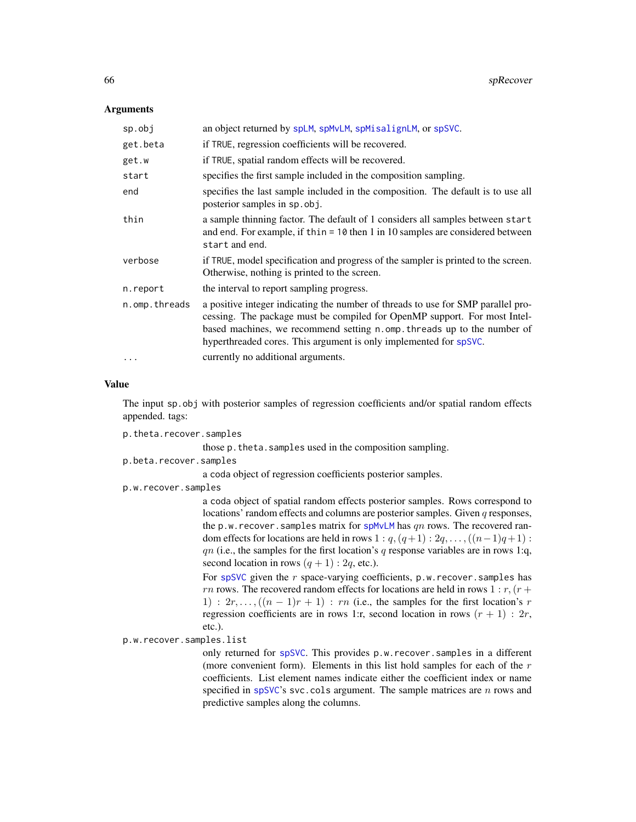## Arguments

| sp.obj        | an object returned by spLM, spMvLM, spMisalignLM, or spSVC.                                                                                                                                                                                                                                                   |  |  |
|---------------|---------------------------------------------------------------------------------------------------------------------------------------------------------------------------------------------------------------------------------------------------------------------------------------------------------------|--|--|
| get.beta      | if TRUE, regression coefficients will be recovered.                                                                                                                                                                                                                                                           |  |  |
| get.w         | if TRUE, spatial random effects will be recovered.                                                                                                                                                                                                                                                            |  |  |
| start         | specifies the first sample included in the composition sampling.                                                                                                                                                                                                                                              |  |  |
| end           | specifies the last sample included in the composition. The default is to use all<br>posterior samples in sp. obj.                                                                                                                                                                                             |  |  |
| thin          | a sample thinning factor. The default of 1 considers all samples between start<br>and end. For example, if thin = $10$ then 1 in 10 samples are considered between<br>start and end.                                                                                                                          |  |  |
| verbose       | if TRUE, model specification and progress of the sampler is printed to the screen.<br>Otherwise, nothing is printed to the screen.                                                                                                                                                                            |  |  |
| n.report      | the interval to report sampling progress.                                                                                                                                                                                                                                                                     |  |  |
| n.omp.threads | a positive integer indicating the number of threads to use for SMP parallel pro-<br>cessing. The package must be compiled for OpenMP support. For most Intel-<br>based machines, we recommend setting n.omp. threads up to the number of<br>hyperthreaded cores. This argument is only implemented for spSVC. |  |  |
| $\cdots$      | currently no additional arguments.                                                                                                                                                                                                                                                                            |  |  |

# Value

The input sp.obj with posterior samples of regression coefficients and/or spatial random effects appended. tags:

p.theta.recover.samples

those p.theta.samples used in the composition sampling.

p.beta.recover.samples

a coda object of regression coefficients posterior samples.

p.w.recover.samples

a coda object of spatial random effects posterior samples. Rows correspond to locations' random effects and columns are posterior samples. Given q responses, the p.w. recover. samples matrix for [spMvLM](#page-56-0) has  $qn$  rows. The recovered random effects for locations are held in rows  $1: q, (q+1): 2q, \ldots, (n-1)q+1)$ :  $qn$  (i.e., the samples for the first location's  $q$  response variables are in rows 1:q, second location in rows  $(q + 1)$ : 2q, etc.).

For [spSVC](#page-67-0) given the  $r$  space-varying coefficients,  $p.w.$  recover. samples has rn rows. The recovered random effects for locations are held in rows  $1 : r, (r +$ 1) :  $2r, \ldots, ((n-1)r+1)$  : rn (i.e., the samples for the first location's r regression coefficients are in rows 1:r, second location in rows  $(r + 1)$ : 2r, etc.).

p.w.recover.samples.list

only returned for [spSVC](#page-67-0). This provides p.w.recover.samples in a different (more convenient form). Elements in this list hold samples for each of the  $r$ coefficients. List element names indicate either the coefficient index or name specified in [spSVC](#page-67-0)'s svc.cols argument. The sample matrices are  $n$  rows and predictive samples along the columns.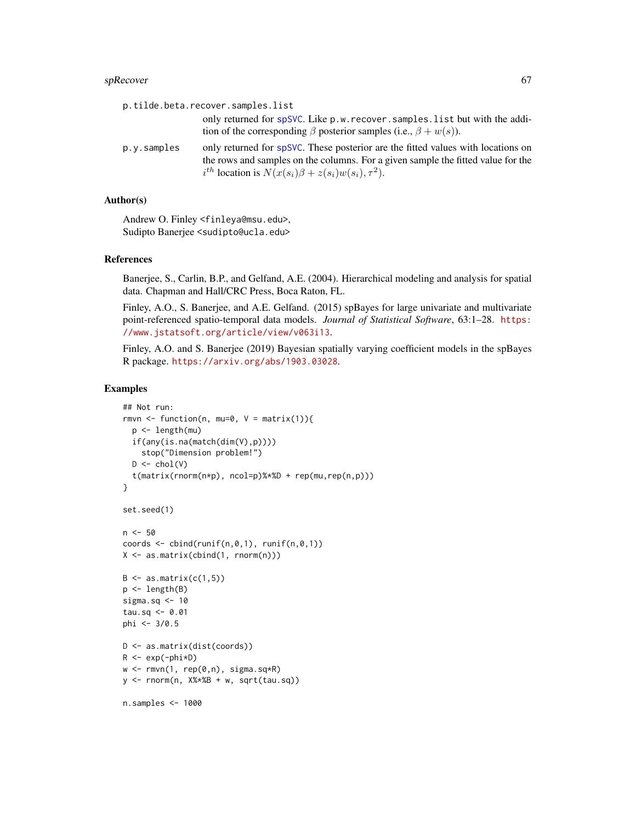#### $s$ pRecover 67

|             | p.tilde.beta.recover.samples.list                                                                                                                                                                                                      |
|-------------|----------------------------------------------------------------------------------------------------------------------------------------------------------------------------------------------------------------------------------------|
|             | only returned for spSVC. Like p.w. recover. samples. list but with the addi-<br>tion of the corresponding $\beta$ posterior samples (i.e., $\beta + w(s)$ ).                                                                           |
| p.y.samples | only returned for spSVC. These posterior are the fitted values with locations on<br>the rows and samples on the columns. For a given sample the fitted value for the<br>$i^{th}$ location is $N(x(s_i)\beta + z(s_i)w(s_i), \tau^2)$ . |

# Author(s)

Andrew O. Finley <finleya@msu.edu>, Sudipto Banerjee <sudipto@ucla.edu>

### References

Banerjee, S., Carlin, B.P., and Gelfand, A.E. (2004). Hierarchical modeling and analysis for spatial data. Chapman and Hall/CRC Press, Boca Raton, FL.

Finley, A.O., S. Banerjee, and A.E. Gelfand. (2015) spBayes for large univariate and multivariate point-referenced spatio-temporal data models. *Journal of Statistical Software*, 63:1–28. [https:](https://www.jstatsoft.org/article/view/v063i13) [//www.jstatsoft.org/article/view/v063i13](https://www.jstatsoft.org/article/view/v063i13).

Finley, A.O. and S. Banerjee (2019) Bayesian spatially varying coefficient models in the spBayes R package. <https://arxiv.org/abs/1903.03028>.

```
## Not run:
rmvn \leq function(n, mu=0, V = matrix(1)){
  p <- length(mu)
  if(any(is.na(match(dim(V),p))))
    stop("Dimension problem!")
  D \leftarrow \text{chol}(V)t(matrix(rnorm(n*p), ncol=p)%*%D + rep(mu,rep(n,p)))
}
set.seed(1)
n < -50coords \leq cbind(runif(n,0,1), runif(n,0,1))
X \leftarrow \text{as_matrix}(\text{cbind}(1, \text{norm}(n)))B \leftarrow as.matrix(c(1,5))p <- length(B)
sigma.sq <-10tau.sq <- 0.01
phi <- 3/0.5
D <- as.matrix(dist(coords))
R \leftarrow \exp(-\text{phi} \cdot \text{p})w \leq -rmvn(1, rep(0,n), signa.sq*R)y <- rnorm(n, X%*%B + w, sqrt(tau.sq))
n.samples <- 1000
```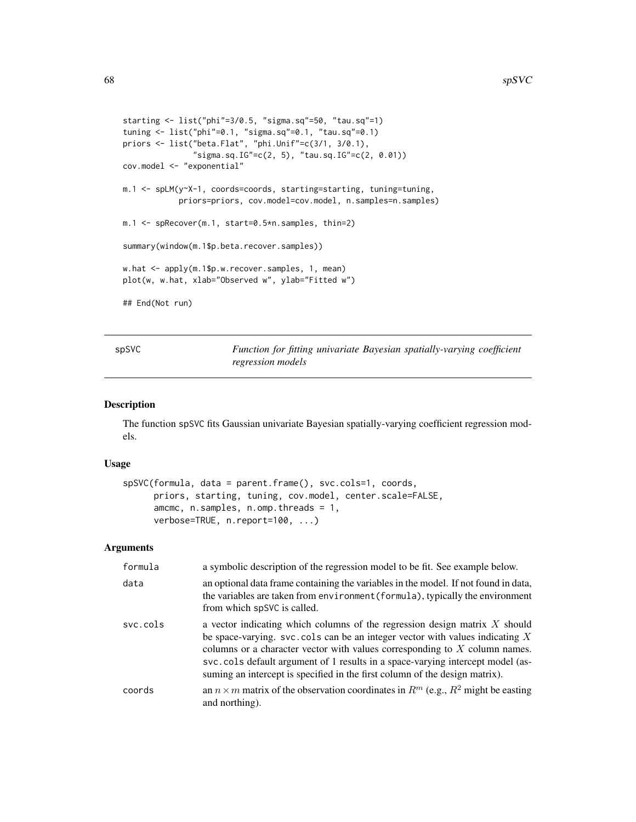```
starting <- list("phi"=3/0.5, "sigma.sq"=50, "tau.sq"=1)
tuning <- list("phi"=0.1, "sigma.sq"=0.1, "tau.sq"=0.1)
priors <- list("beta.Flat", "phi.Unif"=c(3/1, 3/0.1),
               "sigma.sq.IG"=c(2, 5), "tau.sq.IG"=c(2, 0.01))
cov.model <- "exponential"
m.1 <- spLM(y~X-1, coords=coords, starting=starting, tuning=tuning,
            priors=priors, cov.model=cov.model, n.samples=n.samples)
m.1 <- spRecover(m.1, start=0.5*n.samples, thin=2)
summary(window(m.1$p.beta.recover.samples))
w.hat <- apply(m.1$p.w.recover.samples, 1, mean)
plot(w, w.hat, xlab="Observed w", ylab="Fitted w")
## End(Not run)
```
spSVC *Function for fitting univariate Bayesian spatially-varying coefficient regression models*

# Description

The function spSVC fits Gaussian univariate Bayesian spatially-varying coefficient regression models.

# Usage

```
spSVC(formula, data = parent.frame(), svc.cols=1, coords,
     priors, starting, tuning, cov.model, center.scale=FALSE,
     amcmc, n.samples, n.omp.threads = 1,
     verbose=TRUE, n.report=100, ...)
```

| formula  | a symbolic description of the regression model to be fit. See example below.                                                                                                                                                                                                                                                                                                                                   |
|----------|----------------------------------------------------------------------------------------------------------------------------------------------------------------------------------------------------------------------------------------------------------------------------------------------------------------------------------------------------------------------------------------------------------------|
| data     | an optional data frame containing the variables in the model. If not found in data,<br>the variables are taken from environment (formula), typically the environment<br>from which spSVC is called.                                                                                                                                                                                                            |
| svc.cols | a vector indicating which columns of the regression design matrix X should<br>be space-varying. svc. cols can be an integer vector with values indicating $X$<br>columns or a character vector with values corresponding to $X$ column names.<br>svc.cols default argument of 1 results in a space-varying intercept model (as-<br>suming an intercept is specified in the first column of the design matrix). |
| coords   | an $n \times m$ matrix of the observation coordinates in $R^m$ (e.g., $R^2$ might be easting<br>and northing).                                                                                                                                                                                                                                                                                                 |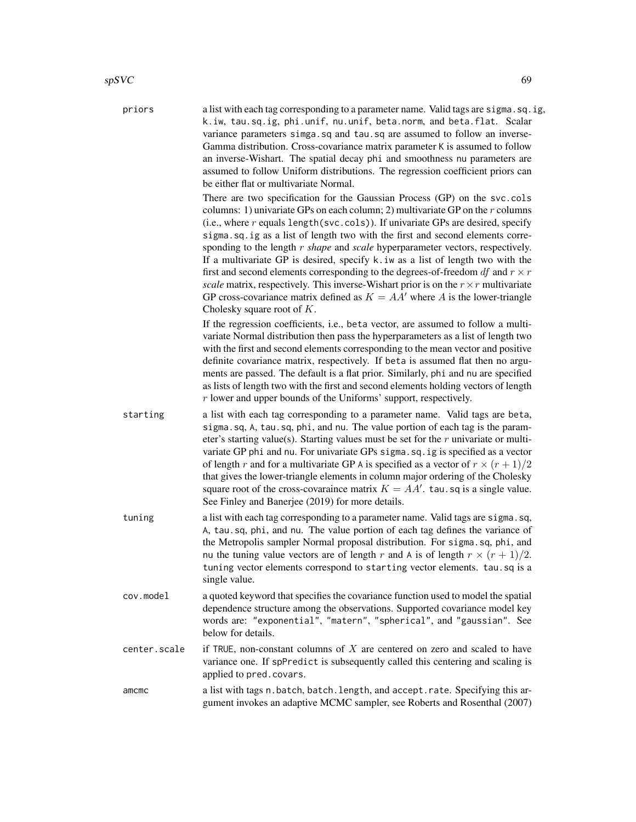priors a list with each tag corresponding to a parameter name. Valid tags are sigma.sq.ig, k.iw, tau.sq.ig, phi.unif, nu.unif, beta.norm, and beta.flat. Scalar variance parameters simga.sq and tau.sq are assumed to follow an inverse-Gamma distribution. Cross-covariance matrix parameter K is assumed to follow an inverse-Wishart. The spatial decay phi and smoothness nu parameters are assumed to follow Uniform distributions. The regression coefficient priors can be either flat or multivariate Normal. There are two specification for the Gaussian Process (GP) on the svc.cols columns: 1) univariate GPs on each column; 2) multivariate GP on the  $r$  columns (i.e., where  $r$  equals length(svc.cols)). If univariate GPs are desired, specify sigma.sq.ig as a list of length two with the first and second elements corresponding to the length r *shape* and *scale* hyperparameter vectors, respectively. If a multivariate GP is desired, specify k.iw as a list of length two with the first and second elements corresponding to the degrees-of-freedom  $df$  and  $r \times r$ *scale* matrix, respectively. This inverse-Wishart prior is on the  $r \times r$  multivariate GP cross-covariance matrix defined as  $K = AA'$  where A is the lower-triangle Cholesky square root of K. If the regression coefficients, i.e., beta vector, are assumed to follow a multivariate Normal distribution then pass the hyperparameters as a list of length two with the first and second elements corresponding to the mean vector and positive definite covariance matrix, respectively. If beta is assumed flat then no arguments are passed. The default is a flat prior. Similarly, phi and nu are specified as lists of length two with the first and second elements holding vectors of length r lower and upper bounds of the Uniforms' support, respectively. starting a list with each tag corresponding to a parameter name. Valid tags are beta, sigma.sq, A, tau.sq, phi, and nu. The value portion of each tag is the parameter's starting value(s). Starting values must be set for the  $r$  univariate or multivariate GP phi and nu. For univariate GPs sigma.sq.ig is specified as a vector of length r and for a multivariate GP A is specified as a vector of  $r \times (r+1)/2$ that gives the lower-triangle elements in column major ordering of the Cholesky square root of the cross-covaraince matrix  $K = AA'$ . tau.sq is a single value. See Finley and Banerjee (2019) for more details. tuning a list with each tag corresponding to a parameter name. Valid tags are sigma.sq, A, tau.sq, phi, and nu. The value portion of each tag defines the variance of the Metropolis sampler Normal proposal distribution. For sigma.sq, phi, and nu the tuning value vectors are of length r and A is of length  $r \times (r + 1)/2$ . tuning vector elements correspond to starting vector elements. tau.sq is a single value. cov.model a quoted keyword that specifies the covariance function used to model the spatial

- dependence structure among the observations. Supported covariance model key words are: "exponential", "matern", "spherical", and "gaussian". See below for details.
- center. scale if TRUE, non-constant columns of X are centered on zero and scaled to have variance one. If spPredict is subsequently called this centering and scaling is applied to pred.covars.
- amcmc a list with tags n.batch, batch.length, and accept.rate. Specifying this argument invokes an adaptive MCMC sampler, see Roberts and Rosenthal (2007)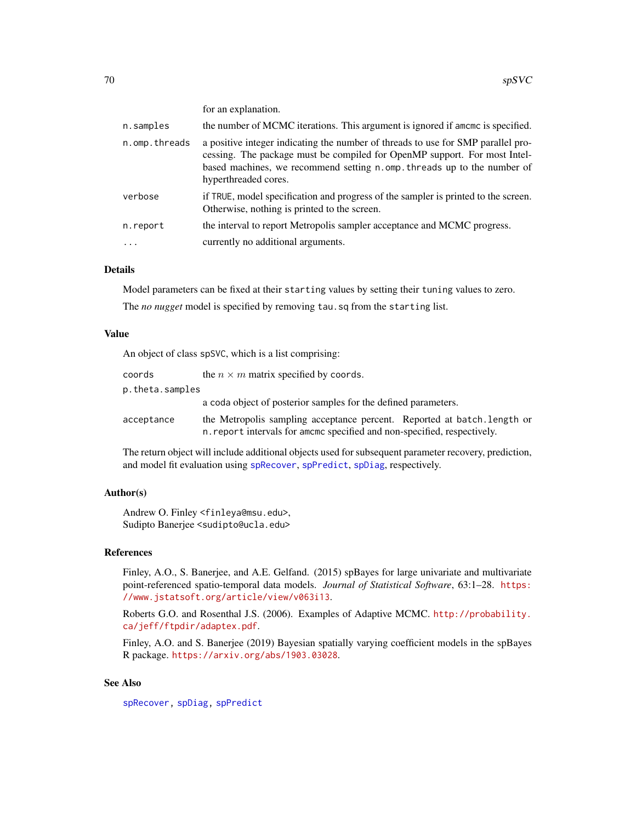for an explanation.

| n.samples     | the number of MCMC iterations. This argument is ignored if amcmc is specified.                                                                                                                                                                                   |  |
|---------------|------------------------------------------------------------------------------------------------------------------------------------------------------------------------------------------------------------------------------------------------------------------|--|
| n.omp.threads | a positive integer indicating the number of threads to use for SMP parallel pro-<br>cessing. The package must be compiled for OpenMP support. For most Intel-<br>based machines, we recommend setting n.omp. threads up to the number of<br>hyperthreaded cores. |  |
| verbose       | if TRUE, model specification and progress of the sampler is printed to the screen.<br>Otherwise, nothing is printed to the screen.                                                                                                                               |  |
| n.report      | the interval to report Metropolis sampler acceptance and MCMC progress.                                                                                                                                                                                          |  |
| $\cdot$       | currently no additional arguments.                                                                                                                                                                                                                               |  |

# Details

Model parameters can be fixed at their starting values by setting their tuning values to zero. The *no nugget* model is specified by removing tau.sq from the starting list.

#### Value

An object of class spSVC, which is a list comprising:

| coords          | the $n \times m$ matrix specified by coords.                                                                                                         |  |
|-----------------|------------------------------------------------------------------------------------------------------------------------------------------------------|--|
| p.theta.samples |                                                                                                                                                      |  |
|                 | a coda object of posterior samples for the defined parameters.                                                                                       |  |
| acceptance      | the Metropolis sampling acceptance percent. Reported at batch. Length or<br>n, report intervals for amome specified and non-specified, respectively. |  |

The return object will include additional objects used for subsequent parameter recovery, prediction, and model fit evaluation using [spRecover](#page-64-0), [spPredict](#page-61-0), [spDiag](#page-24-0), respectively.

# Author(s)

Andrew O. Finley <finleya@msu.edu>, Sudipto Banerjee <sudipto@ucla.edu>

## References

Finley, A.O., S. Banerjee, and A.E. Gelfand. (2015) spBayes for large univariate and multivariate point-referenced spatio-temporal data models. *Journal of Statistical Software*, 63:1–28. [https:](https://www.jstatsoft.org/article/view/v063i13) [//www.jstatsoft.org/article/view/v063i13](https://www.jstatsoft.org/article/view/v063i13).

Roberts G.O. and Rosenthal J.S. (2006). Examples of Adaptive MCMC. [http://probability.](http://probability.ca/jeff/ftpdir/adaptex.pdf) [ca/jeff/ftpdir/adaptex.pdf](http://probability.ca/jeff/ftpdir/adaptex.pdf).

Finley, A.O. and S. Banerjee (2019) Bayesian spatially varying coefficient models in the spBayes R package. <https://arxiv.org/abs/1903.03028>.

# See Also

[spRecover,](#page-64-0) [spDiag,](#page-24-0) [spPredict](#page-61-0)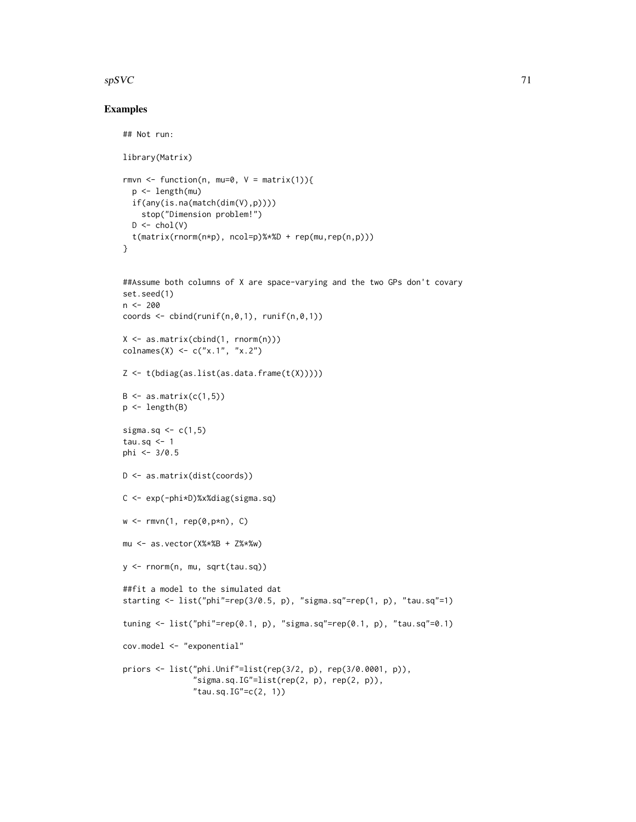# $spsVC$  71

# Examples

## Not run:

```
library(Matrix)
rmvn <- function(n, mu=0, V = matrix(1)){
  p <- length(mu)
  if(any(is.na(match(dim(V),p))))
    stop("Dimension problem!")
  D \leftarrow \text{chol}(V)t(matrix(rnorm(n*p), ncol=p)%*%D + rep(mu,rep(n,p)))
}
##Assume both columns of X are space-varying and the two GPs don't covary
set.seed(1)
n < -200coords \leq cbind(runif(n,0,1), runif(n,0,1))
X <- as.matrix(cbind(1, rnorm(n)))
colnames(X) <- c("x.1", "x.2")
Z \leftarrow t(bdiag(as.list(as.data.frame(t(X))))B \leq -a s.matrix(c(1,5))p <- length(B)
sigma.sq \leq c(1,5)
tau.sq \leq -1phi <- 3/0.5
D <- as.matrix(dist(coords))
C <- exp(-phi*D)%x%diag(sigma.sq)
w \leq -rmvn(1, rep(0, p*n), C)mu <- as.vector(X%*%B + Z%*%w)
y <- rnorm(n, mu, sqrt(tau.sq))
##fit a model to the simulated dat
starting <- list("phi"=rep(3/0.5, p), "sigma.sq"=rep(1, p), "tau.sq"=1)
tuning <- list("phi"=rep(0.1, p), "sigma.sq"=rep(0.1, p), "tau.sq"=0.1)
cov.model <- "exponential"
priors <- list("phi.Unif"=list(rep(3/2, p), rep(3/0.0001, p)),
               "sigma.sq.IG"=list(rep(2, p), rep(2, p)),
               "tau.sq.IG" = c(2, 1))
```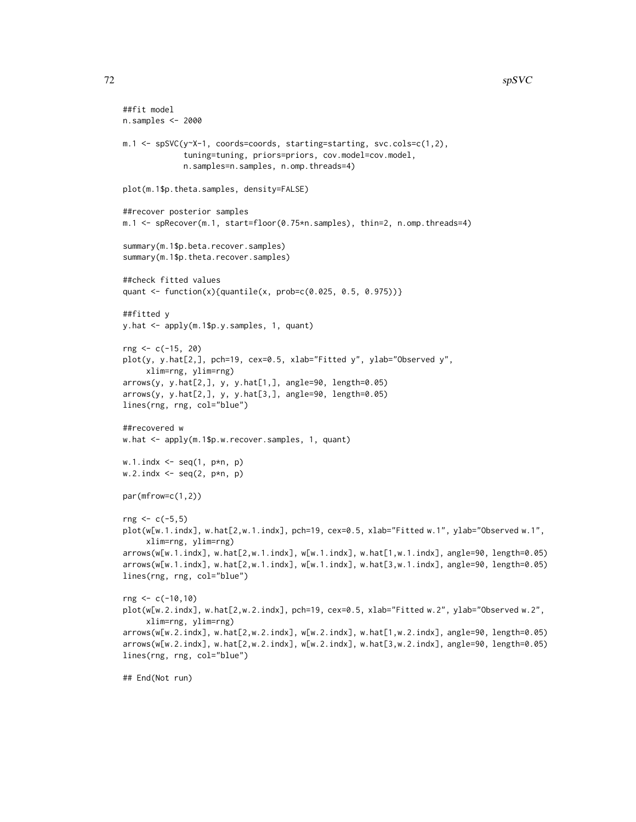# $72$  spSVC

```
##fit model
n.samples <- 2000
m.1 <- spSVC(y~X-1, coords=coords, starting=starting, svc.cols=c(1,2),
             tuning=tuning, priors=priors, cov.model=cov.model,
             n.samples=n.samples, n.omp.threads=4)
plot(m.1$p.theta.samples, density=FALSE)
##recover posterior samples
m.1 <- spRecover(m.1, start=floor(0.75*n.samples), thin=2, n.omp.threads=4)
summary(m.1$p.beta.recover.samples)
summary(m.1$p.theta.recover.samples)
##check fitted values
quant <- function(x){quantile(x, prob=c(0.025, 0.5, 0.975))}
##fitted y
y.hat <- apply(m.1$p.y.samples, 1, quant)
rng <- c(-15, 20)
plot(y, y.hat[2,], pch=19, cex=0.5, xlab="Fitted y", ylab="Observed y",
     xlim=rng, ylim=rng)
arrows(y, y.hat[2,], y, y.hat[1,], angle=90, length=0.05)
arrows(y, y.hat[2,], y, y.hat[3,], angle=90, length=0.05)
lines(rng, rng, col="blue")
##recovered w
w.hat <- apply(m.1$p.w.recover.samples, 1, quant)
w.1.indx \leq seq(1, p*n, p)w.2.indx \leq seq(2, p*n, p)
par(mfrow=c(1,2))
rng < -c(-5,5)plot(w[w.1.indx], w.hat[2,w.1.indx], pch=19, cex=0.5, xlab="Fitted w.1", ylab="Observed w.1",
     xlim=rng, ylim=rng)
arrows(w[w.1.indx], w.hat[2,w.1.indx], w[w.1.indx], w.hat[1,w.1.indx], angle=90, length=0.05)
arrows(w[w.1.indx], w.hat[2,w.1.indx], w[w.1.indx], w.hat[3,w.1.indx], angle=90, length=0.05)
lines(rng, rng, col="blue")
rng <- c(-10,10)
plot(w[w.2.indx], w.hat[2,w.2.indx], pch=19, cex=0.5, xlab="Fitted w.2", ylab="Observed w.2",
     xlim=rng, ylim=rng)
arrows(w[w.2.indx], w.hat[2,w.2.indx], w[w.2.indx], w.hat[1,w.2.indx], angle=90, length=0.05)
arrows(w[w.2.indx], w.hat[2,w.2.indx], w[w.2.indx], w.hat[3,w.2.indx], angle=90, length=0.05)
lines(rng, rng, col="blue")
## End(Not run)
```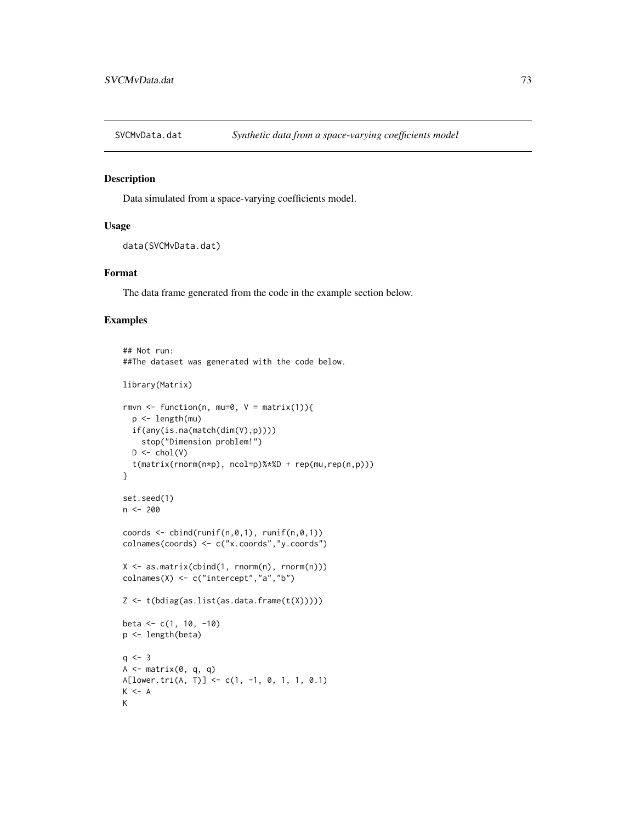<span id="page-72-0"></span>

## Description

Data simulated from a space-varying coefficients model.

## Usage

```
data(SVCMvData.dat)
```
## Format

The data frame generated from the code in the example section below.

## Examples

```
## Not run:
##The dataset was generated with the code below.
library(Matrix)
rmvn <- function(n, mu=0, V = matrix(1)){
  p <- length(mu)
  if(any(is.na(match(dim(V),p))))
    stop("Dimension problem!")
  D \leftarrow \text{chol}(V)t(matrix(rnorm(n*p), ncol=p)%*%D + rep(mu,rep(n,p)))
}
set.seed(1)
n <- 200
coords \leq cbind(runif(n,0,1), runif(n,0,1))
colnames(coords) <- c("x.coords","y.coords")
X \leq -a s.matrix(cbind(1, rnorm(n), rnorm(n)))colnames(X) <- c("intercept","a","b")
Z <- t(bdiag(as.list(as.data.frame(t(X)))))
beta <- c(1, 10, -10)
p <- length(beta)
q \le -3A \leq - matrix(0, q, q)
A[lower.tri(A, T)] <- c(1, -1, 0, 1, 1, 0.1)
K < - AK
```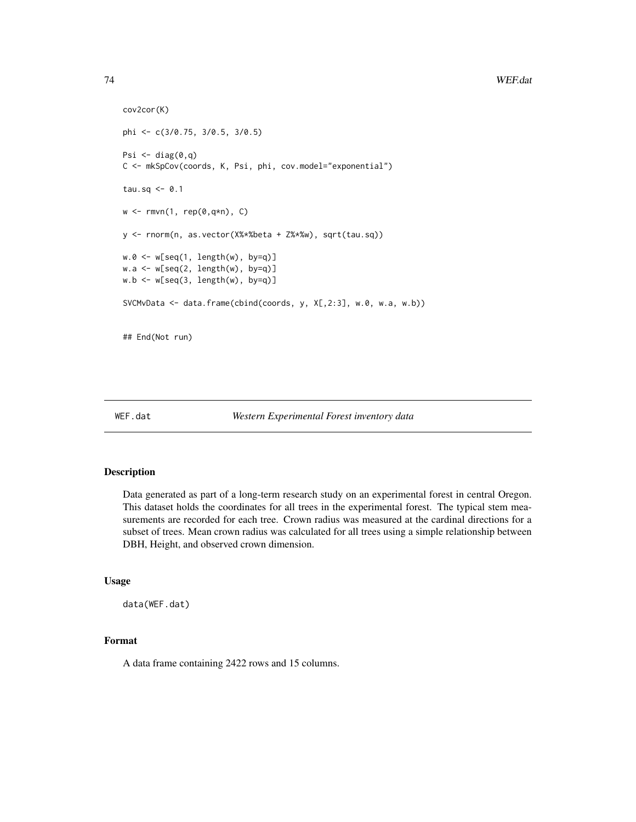```
cov2cor(K)
phi <- c(3/0.75, 3/0.5, 3/0.5)
Psi \leftarrow diag(0, q)C <- mkSpCov(coords, K, Psi, phi, cov.model="exponential")
tau.sq <- 0.1
w \leq -rmvn(1, rep(0,q*n), C)y <- rnorm(n, as.vector(X%*%beta + Z%*%w), sqrt(tau.sq))
w.\theta \leq w[\text{seq}(1, \text{length}(w), \text{by=q})]w.a <- w[seq(2, length(w), by=q)]
w.b <- w[seq(3, length(w), by=q)]
SVCMvData <- data.frame(cbind(coords, y, X[,2:3], w.0, w.a, w.b))
## End(Not run)
```
#### WEF.dat *Western Experimental Forest inventory data*

## Description

Data generated as part of a long-term research study on an experimental forest in central Oregon. This dataset holds the coordinates for all trees in the experimental forest. The typical stem measurements are recorded for each tree. Crown radius was measured at the cardinal directions for a subset of trees. Mean crown radius was calculated for all trees using a simple relationship between DBH, Height, and observed crown dimension.

## Usage

data(WEF.dat)

# Format

A data frame containing 2422 rows and 15 columns.

<span id="page-73-0"></span>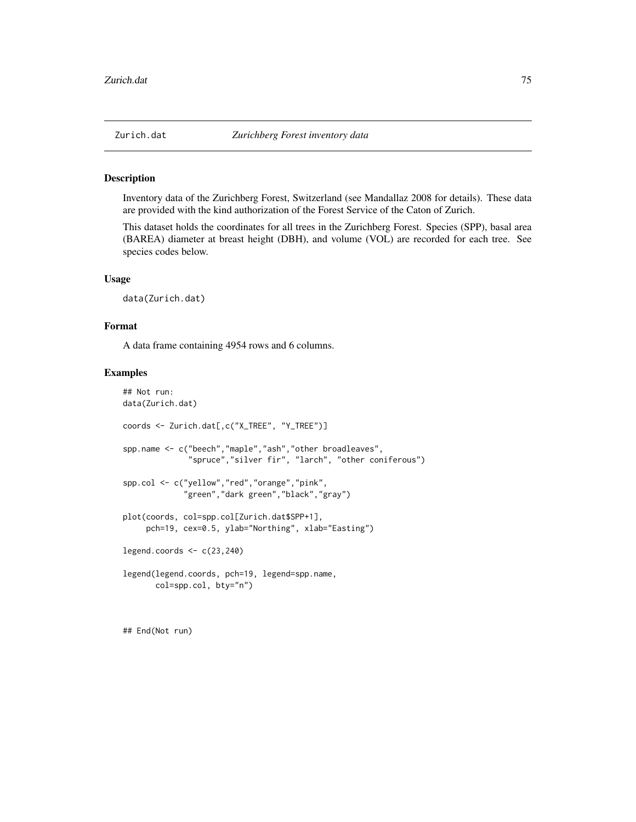<span id="page-74-0"></span>

## Description

Inventory data of the Zurichberg Forest, Switzerland (see Mandallaz 2008 for details). These data are provided with the kind authorization of the Forest Service of the Caton of Zurich.

This dataset holds the coordinates for all trees in the Zurichberg Forest. Species (SPP), basal area (BAREA) diameter at breast height (DBH), and volume (VOL) are recorded for each tree. See species codes below.

## Usage

data(Zurich.dat)

## Format

A data frame containing 4954 rows and 6 columns.

### Examples

```
## Not run:
data(Zurich.dat)
coords <- Zurich.dat[,c("X_TREE", "Y_TREE")]
spp.name <- c("beech","maple","ash","other broadleaves",
              "spruce","silver fir", "larch", "other coniferous")
spp.col <- c("yellow","red","orange","pink",
             "green","dark green","black","gray")
plot(coords, col=spp.col[Zurich.dat$SPP+1],
     pch=19, cex=0.5, ylab="Northing", xlab="Easting")
legend.coords <- c(23,240)
legend(legend.coords, pch=19, legend=spp.name,
      col=spp.col, bty="n")
```
## End(Not run)